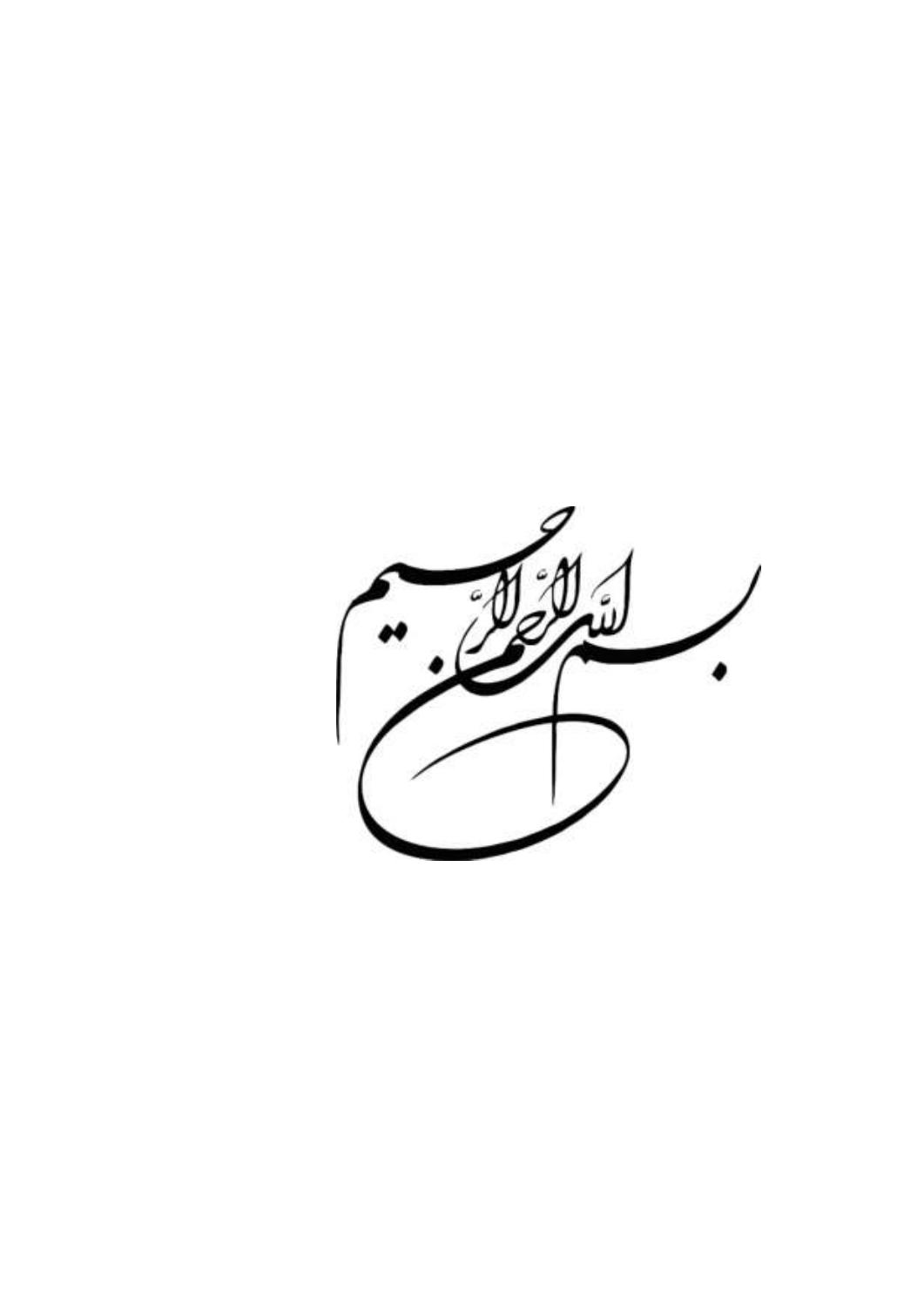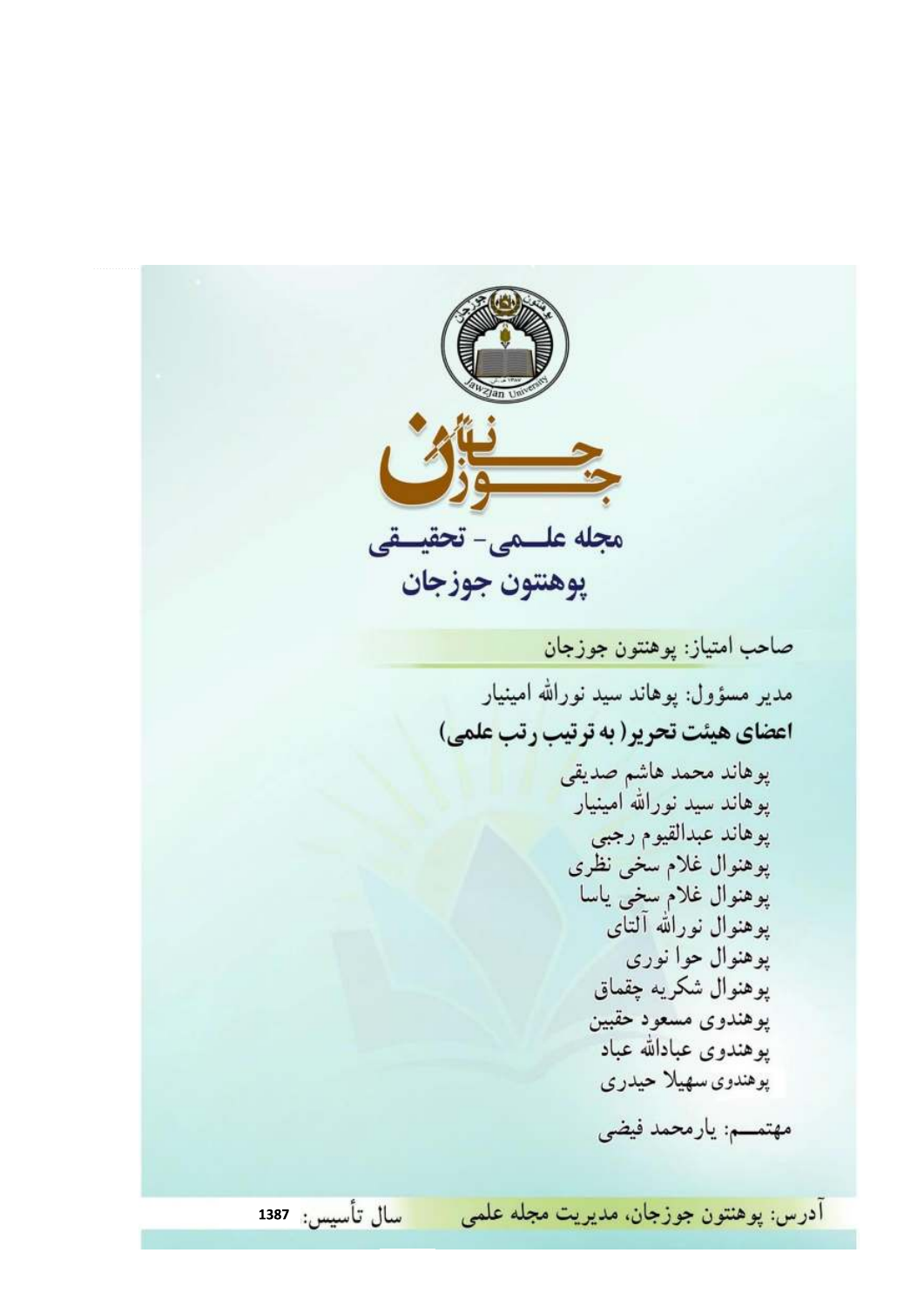مجله علــمى- تحقيــقى پوهنتون جوزجان صاحب امتياز: پوهنتون جوزجان مدیر مسؤول: یوهاند سید نورالله امینیار اعضای هیئت تحریر( به ترتیب رتب علمی) پوهاند محمد هاشم صديقى پوهاند سید نورالله امینیار پوهاند عبدالقيوم رجبي پوهنوال غلام سخى نظرى پوهنوال غلام سخى ياسا پوهنوال نورالله آلتای پوهنوال حوا نورې پوهنوال شكريه چقماق پوهندوی مسعود حقبین پوهندوی عبادالله عباد یوهندوی سهیلا حیدری مهتمــم: يارمحمد فيضي آدرس: پوهنتون جوزجان، مديريت مجله علمي <mark>سال تأسيس</mark>: 1387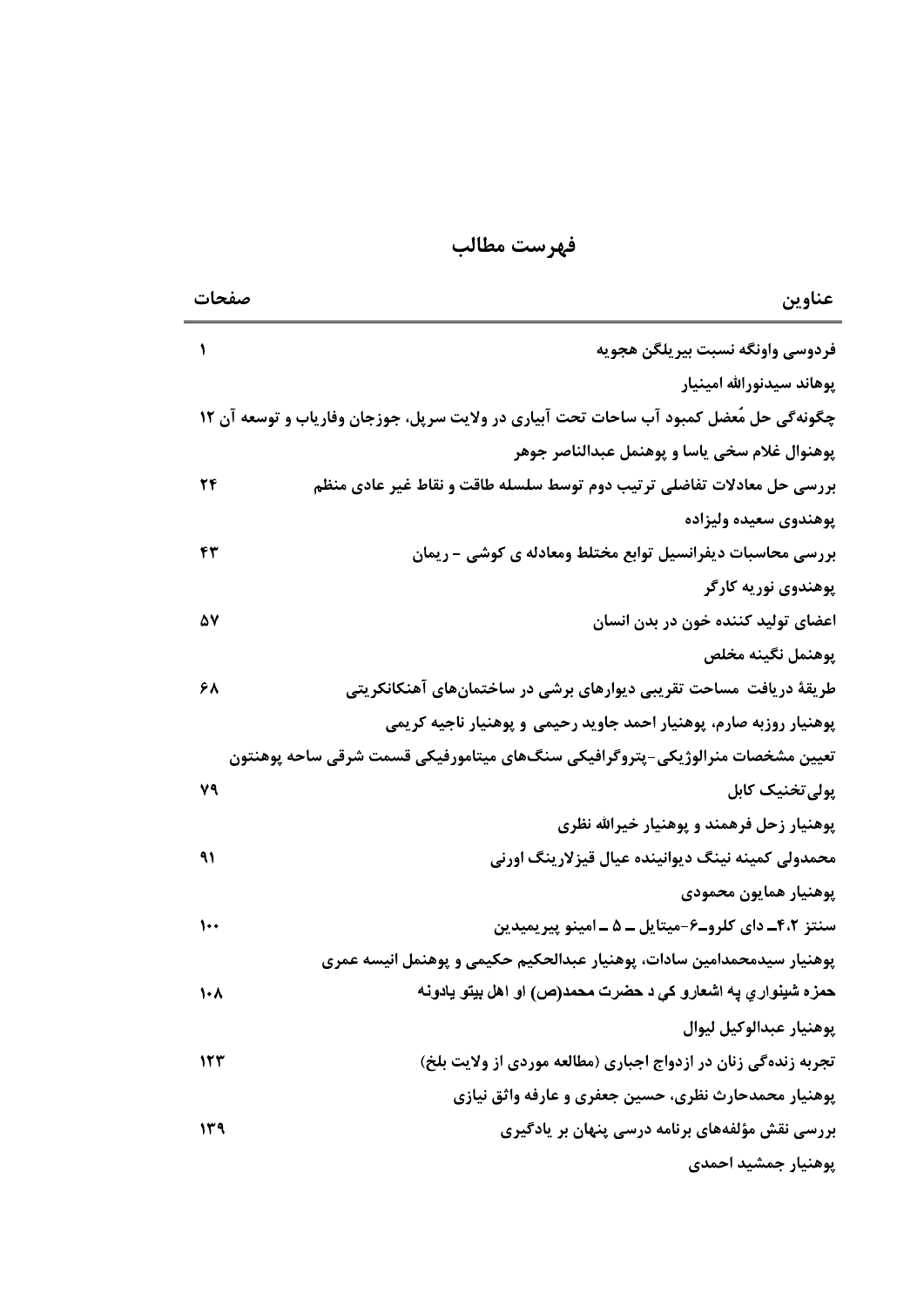| فهرست مطالب |  |
|-------------|--|
|             |  |

| فهرست مطالب                                                                               |               |
|-------------------------------------------------------------------------------------------|---------------|
| عناوين                                                                                    | صفحات         |
| فردوسي واونگه نسبت بيريلگن هجويه                                                          |               |
| پوهاند سيدنورالله امينيار                                                                 |               |
| چگونهگی حل مُعضل کمبود آب ساحات تحت آبیاری در ولایت سرپل، جوزجان وفاریاب و توسعه آن ۱۲    |               |
| پوهنوال غلام سخى ياسا و پوهنمل عبدالناصر جوهر                                             |               |
| بررسي حل معادلات تفاضلي ترتيب دوم توسط سلسله طاقت و نقاط غير عادي منظم                    | 24            |
| پوهندوی سعیده ولیزاده                                                                     |               |
| بررسی محاسبات دیفرانسیل توابع مختلط ومعادله ی کوشی - ریمان                                | ۴۳            |
| پوهندوي نوريه کارگر                                                                       |               |
| اعضای تولید کننده خون در بدن انسان                                                        | ۵٧            |
| يوهنمل نگينه مخلص                                                                         |               |
| طریقهٔ دریافت ًمساحت تقریبی دیوارهای برشی در ساختمانهای آهنکانکریتی                       | ۶۸            |
| پوهنیار روزبه صارم، پوهنیار احمد جاوید رحیمی و پوهنیار ناجیه کریمی                        |               |
| تعيين مشخصات منرالوژيكي–پتروگرافيكي سنگھاي ميتامورفيكي قسمت شرقي ساحه پوهنتون             |               |
| پولی تخنیک کابل                                                                           | ٧٩            |
| پوهنیار زحل فرهمند و پوهنیار خیرالله نظری                                                 |               |
| محمدولي کمينه نينگ ديوانينده عيال قيزلارينگ اورني                                         | ۹۱            |
| يوهنيار همايون محمودي                                                                     |               |
| سنتز ۴،۲ـ دای کلروـ۶-میتایل ــ ۵ ــ امینو پیریمیدین                                       | $\mathcal{L}$ |
| پوهنیار سیدمحمدامین سادات، پوهنیار عبدالحکیم حکیمی و پوهنمل انیسه عمری                    |               |
| حمزه شينوار ي په اشعارو کې د حضرت محمد(ص) او اهل بيتو يادونه                              | $\mathcal{N}$ |
| يوهنيار عبدالوكيل ليوال<br>تجربه زندهگی زنان در ازدواج اجباری (مطالعه موردی از ولایت بلخ) | 157           |
| پوهنیار محمدحارث نظری، حسین جعفری و عارفه واثق نیازی                                      |               |
| بررسی نقش مؤلفههای برنامه درسی پنهان بر یادگیری                                           | ۱۳۹           |
| پوهنيار جمشيد احمدي                                                                       |               |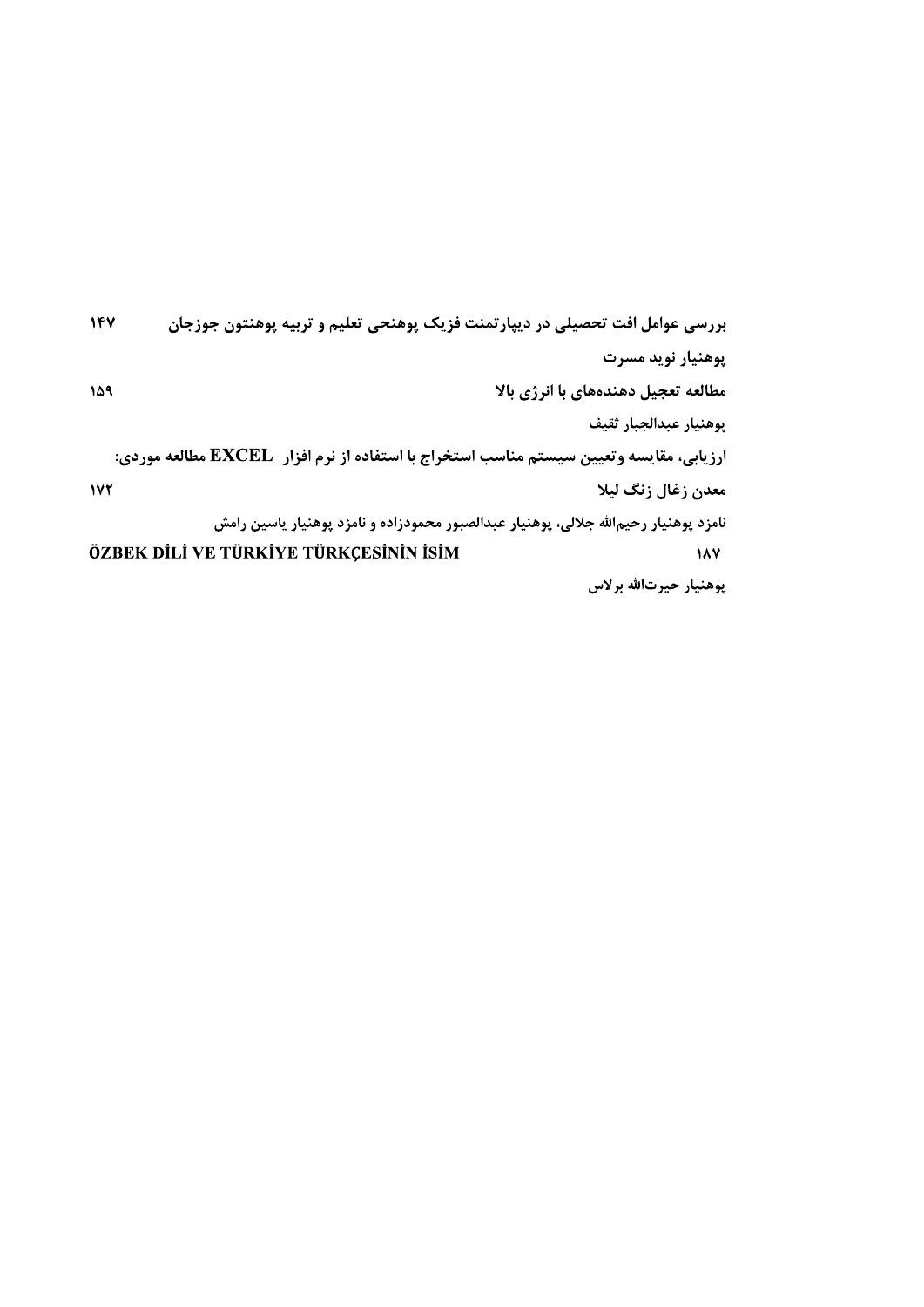| بررسی عوامل افت تحصیلی در دیپارتمنت فزیک پوهنحی تعلیم و تربیه پوهنتون جوزجان             |                                     |
|------------------------------------------------------------------------------------------|-------------------------------------|
|                                                                                          | پوهنيار نويد مسرت                   |
|                                                                                          | مطالعه تعجیل دهندههای با انرژی بالا |
|                                                                                          | يوهنيار عبدالجبار ثقيف              |
| ارزیابی، مقایسه وتعیین سیستم مناسب استخراج با استفاده از نرم افزار   EXCEL مطالعه موردی: |                                     |
|                                                                                          | معدن زغال زنگ ليلا                  |
| نامزد پوهنيار رحيمالله جلالي، پوهنيار عبدالصبور محمودزاده و نامزد پوهنيار ياسين رامش     |                                     |
| ÖZBEK DİLİ VE TÜRKİYE TÜRKÇESİNİN İSİM                                                   | 187                                 |
|                                                                                          | يوهنيار حيرتالله برلاس              |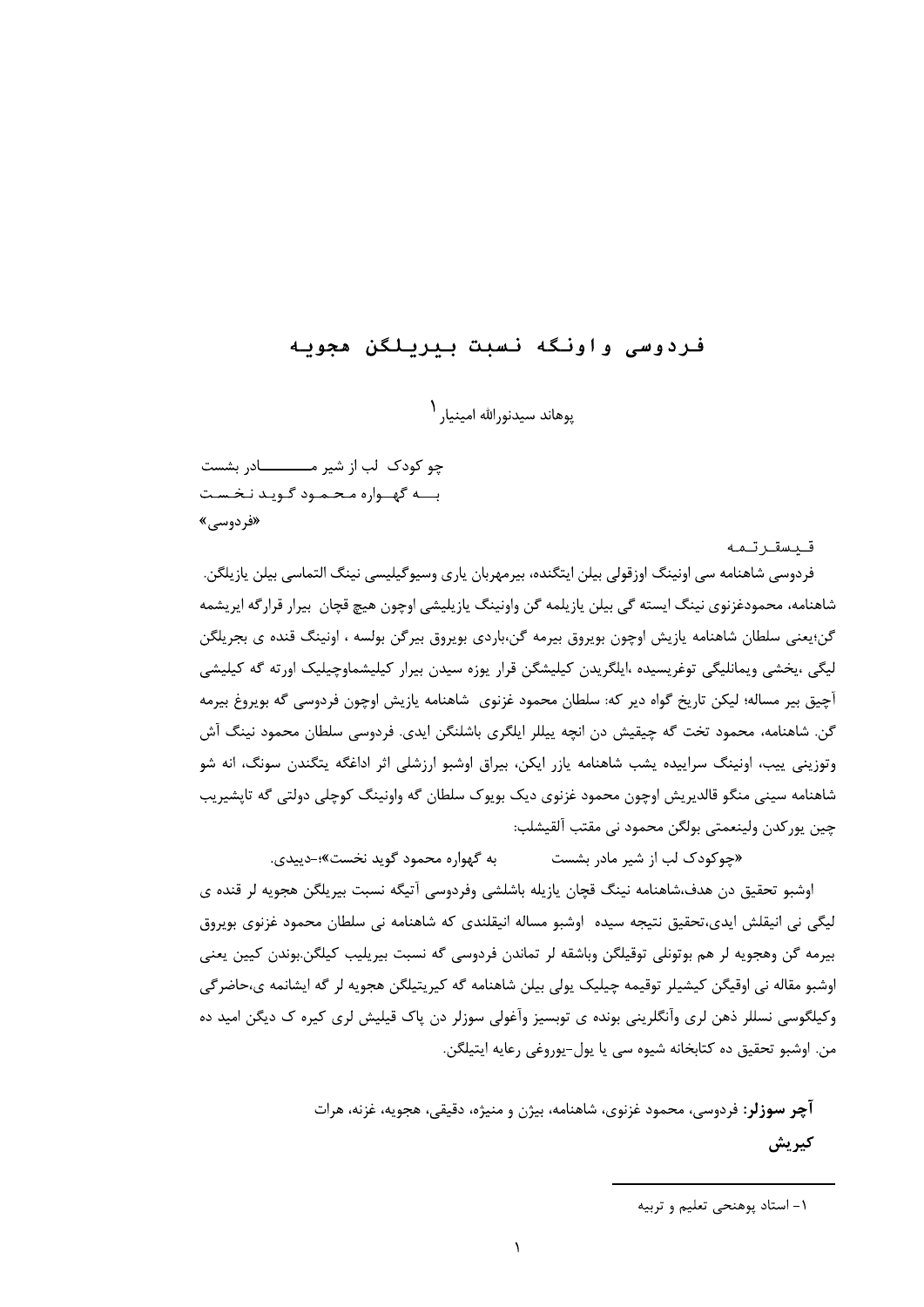# فردوسى واونكه نسبت بيريلكن مجويه

يوهاند سيدنو<sub>د</sub>الله امينيا, <sup>۱</sup>

چو کودک لب از شیر مـــــــــادر بشست بسه گهسواره محمود گويد نخست «فردوسے»

قىسقاتمە

فردوسی شاهنامه سی اونینگ اوزقولی بیلن ایتگنده، بیرمهربان پاری وسیوگیلیسی نینگ التماسی بیلن پازیلگن. شاهنامه، محمودغزنوي نينگ ايسته گي بيلن يازيلمه گن واونينگ يازيليشي اوچون هيچ قچان بيرار قرارگه ايريشمه گن؛يعني سلطان شاهنامه يازيش اوچون بويروق بيرمه گن،باردي بويروق بيرگن بولسه ، اونينگ قنده ي بجريلگن لیگی ،یخشی ویمانلیگی توغریسیده ،ایلگریدن کیلیشگن قرار یوزه سیدن بیرار کیلیشماوچیلیک اورته گه کیلیشی آچیق بیر مساله؛ لیکن تاریخ گواه دیر که: سلطان محمود غزنوی شاهنامه پازیش اوچون فردوسی گه بویروغ بیرمه گن. شاهنامه، محمود تخت گه چیقیش دن انچه پیللر ایلگری باشلنگن ایدی. فردوسی سلطان محمود نینگ آش وتوزینی پیب، اونینگ سراییده پشب شاهنامه یازر ایکن، بیراق اوشبو ارزشلی اثر اداغگه پتگندن سونگ، انه شو شاهنامه سيني منگو قالديريش اوچون محمود غزنوي ديک بويوک سلطان گه واونينگ کوچلي دولتي گه تايشيريب چين پورکدن ولينعمتي بولگن محمود ني مقتب آلقيشلب:

به گهواره محمود گوید نخست»؛-دیندی. «چوکودک لب از شیر مادر بشست اوشبو تحقیق دن هدف،شاهنامه نینگ قچان پازیله باشلشی وفردوسی آتیگه نسبت بیریلگن هجویه لر قنده ی لیگی نی انیقلش ایدی،تحقیق نتیجه سیده |وشبو مساله انیقلندی که شاهنامه نی سلطان محمود غزنوی بویروق بیرمه گن وهجویه لر هم بوتونلی توقیلگن وباشقه لر تماندن فردوسی گه نسبت بیریلیب کیلگن.بوندن کیین یعنی اوشبو مقاله نی اوقیگن کیشیلر توقیمه چیلیک پولی بیلن شاهنامه گه کیریتیلگن هجویه لر گه ایشانمه ی،حاضرگی وکیلگوسی نسللر ذهن لری وآنگلرینی بونده ی توبسیز وآغولی سوزلر دن پاک قیلیش لری کیره ک دیگن امید ده من. اوشبو تحقيق ده كتابخانه شيوه سي يا يول-يوروغي رعايه ايتيلگن.

> **آچر سوزلر:** فردوسی، محمود غزنوی، شاهنامه، بیژن و منیژه، دقیقی، هجویه، غزنه، هرات كيريش

١- استاد پوهنحي تعليم و تربيه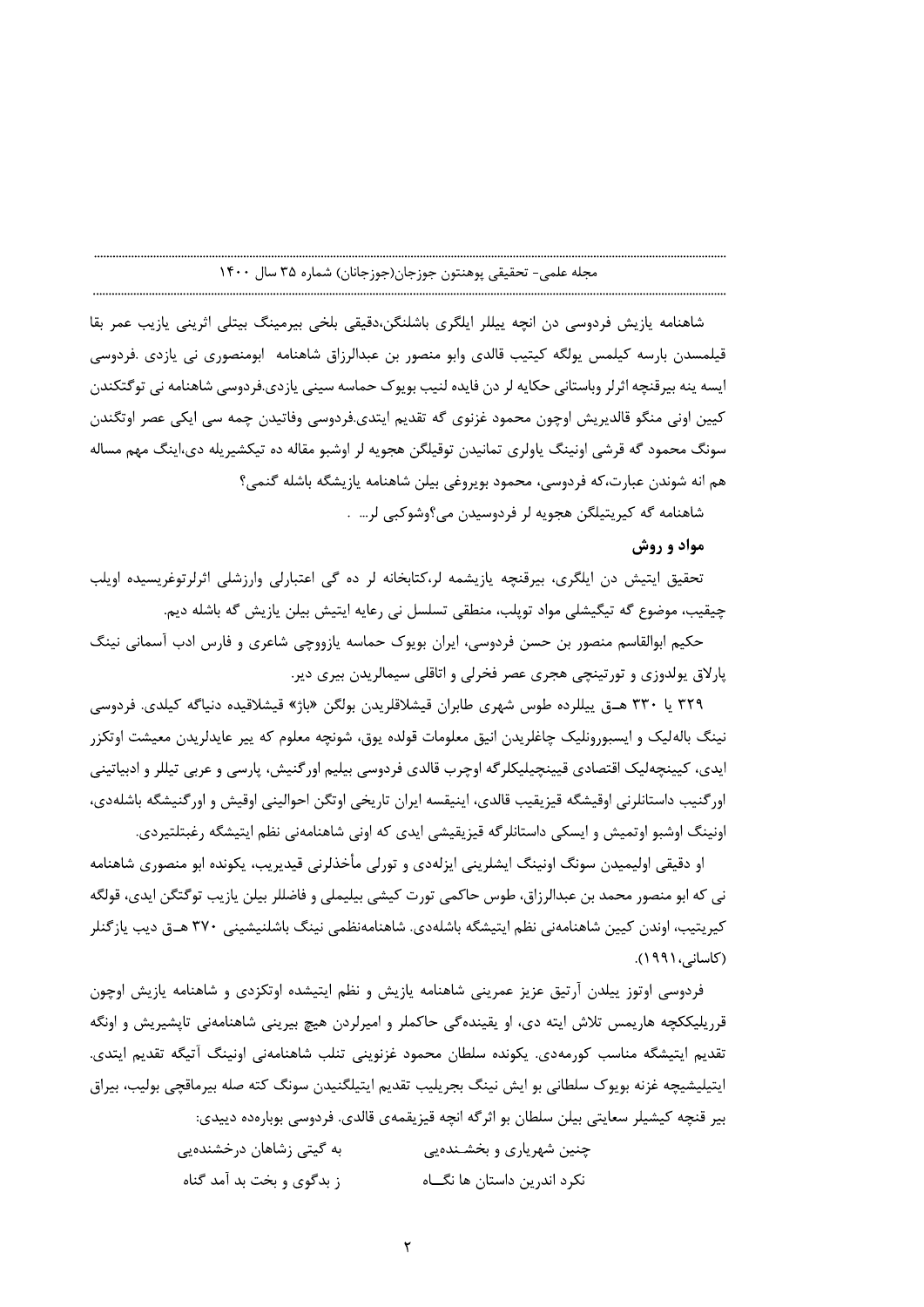شاهنامه یازیش فردوسی دن انچه پیللر ایلگری باشلنگن،دقیقی بلخی بیرمینگ بیتلی اثرینی یازیب عمر بقا قیلمسدن بارسه کیلمس یولگه کیتیب قالدی وابو منصور بن عبدالرزاق شاهنامه ابومنصوری نی یازدی .فردوسی ایسه پنه بیرقنچه اثرلر وباستانی حکایه لر دن فایده لنیب بویوک حماسه سینی یازدی.فردوسی شاهنامه نی توگتکندن کيين اوني منگو قالديريش اوچون محمود غزنوي گه تقديم ايتدي.فردوسي وفاتيدن چمه سي ايکي عصر اوتگندن سونگ محمود گه قرشی اونینگ پاولری تمانیدن توقیلگن هجویه لر اوشبو مقاله ده تیکشیریله دی،اینگ مهم مساله هم انه شوندن عبارت،كه فردوسي، محمود بويروغي بيلن شاهنامه يازيشگه باشله گنمي؟

شاهنامه گه کیریتیلگن هجویه لر فردوسیدن می؟وشوکبی لر… .

مواد و روش

تحقیق ایتیش دن ایلگری، بیرقنچه یازیشمه لر،کتابخانه لر ده گی اعتبارلی وارزشلی اثرلرتوغریسیده اویلب چیقیب، موضوع گه تیگیشلی مواد توپلب، منطقی تسلسل نی رعایه ایتیش بیلن یازیش گه باشله دیم.

حکیم ابوالقاسم منصور بن حسن فردوسی، ایران بویوک حماسه یازووچی شاعری و فارس ادب آسمانی نینگ پارلاق پولدوزی و تورتینچی هجری عصر فخرلی و اتاقلی سیمالریدن بیری دیر.

٣٢٩ يا ٣٣٠ هــق ييللرده طوس شهري طابران قيشلاقلريدن بولگن «باژ» قيشلاقيده دنياگه كيلدي. فردوسي نینگ بالهلیک و ایسبورونلیک چاغلریدن انیق معلومات قولده یوق، شونچه معلوم که پیر عایدلریدن معیشت اوتکزر ایدی، کیپنچهلیک اقتصادی قیپنچیلیکلرگه اوچرب قالدی فردوسی بیلیم اورگنیش، پارسی و عربی تیللر و ادبیاتینی اورگنيب داستانلرني اوقيشگه قيزيقيب قالدي، اينيقسه ايران تاريخي اوتگن احواليني اوقيش و اورگنيشگه باشلهدي، اونینگ اوشبو اوتمیش و ایسکی داستانلرگه قیزیقیشی ایدی که اونی شاهنامهنی نظم ایتیشگه رغبتلتیردی.

او دقیقی اولیمیدن سونگ اونینگ ایشلرینی ایزلهدی و تورلی مأخذلرنی قیدیریب، یکونده ابو منصوری شاهنامه نی که ابو منصور محمد بن عبدالرزاق، طوس حاکمی تورت کیشی بیلیملی و فاضللر بیلن پازیب توگتگن ایدی، قولگه کیریتیب، اوندن کیپن شاهنامەنی نظم ایتیشگه باشلەدی. شاهنامەنظمی نینگ باشلنیشینی ۳۷۰ هــق دیب یازگنلر (کاسانی، ۱۹۹۱).

فردوسی اوتوز ییلدن آرتیق عزیز عمرینی شاهنامه یازیش و نظم ایتیشده اوتکزدی و شاهنامه یازیش اوچون قرریلیککچه هاریمس تلاش ایته دی، او یقیندهگی حاکملر و امپرلردن هیچ بیرینی شاهنامهنی تاپشیریش و اونگه تقديم ايتيشگه مناسب كورمهدى. يكونده سلطان محمود غزنوينى تنلب شاهنامهنى اونينگ آتيگه تقديم ايتدى. ايتيليشيچه غزنه بويوک سلطاني بو ايش نينگ بجريليب تقديم ايتيلگنيدن سونگ کته صله بيرماقچي بوليب، بيراق

بیر قنچه کیشیلر سعایتی بیلن سلطان بو اثرگه انچه قیزیقمهی قالدی. فردوسی بوبارهده دیپدی: به گیتی زشاهان درخشندهیی چنین شهریاری و بخشـندهیی ز بدگوی و بخت بد آمد گناه نکرد اندرین داستان ها نگـــاه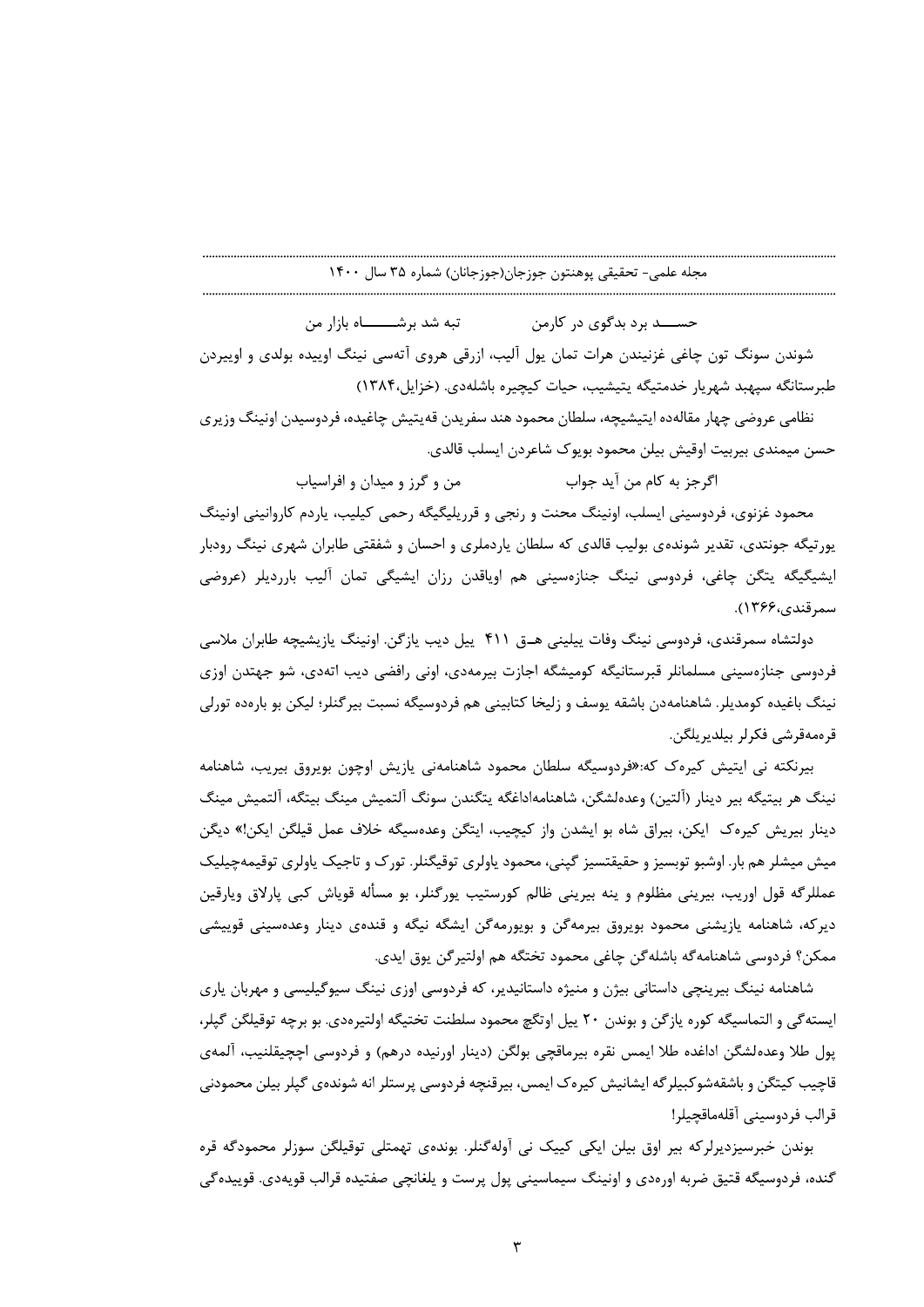تبه شد برشــــــاه بازار من حســـد برد بدگوی در کارمن شوندن سونگ تون چاغی غزنیندن هرات تمان پول آلیب، ازرقی هروی آتهسی نینگ اوییده بولدی و اوییردن طبرستانگه سیهبد شهریار خدمتیگه پتیشیب، حیات کیچیره باشلهدی. (خزایل،۱۳۸۴)

نظامی عروضی چهار مقالەده ایتیشیچه، سلطان محمود هند سفریدن قەیتیش چاغیده، فردوسیدن اونینگ وزیری حسن میمندی بیربیت اوقیش بیلن محمود بویوک شاعردن ایسلب قالدی.

> من و گرز و میدان و افراسیاب اگرجز به کام من آید جواب

محمود غزنوی، فردوسینی ایسلب، اونینگ محنت و رنجی و قرریلیگیگه رحمی کیلیب، یاردم کاروانینی اونینگ یورتیگه جونتدی، تقدیر شوندهی بولیب قالدی که سلطان یاردملری و احسان و شفقتی طابران شهری نینگ رودبار ایشیگیگه یتگن چاغی، فردوسی نینگ جنازهسینی هم اویاقدن رزان ایشیگی تمان آلیب بارردیلر (عروضی سمرقندي،۱۳۶۶).

دولتشاه سمرقندی، فردوسی نینگ وفات پیلینی هــق ۴۱۱ پیل دیب پازگن. اونینگ پازیشیچه طابران ملاسی فردوسی جنازەسپنی مسلمانلر قبرستانیگه کومیشگه اجازت بیرمەدی، اونی رافضی دیب اتەدی، شو جهتدن اوزی نینگ باغیده کومدیلر. شاهنامهدن باشقه یوسف و زلیخا کتابینی هم فردوسیگه نسبت بیرگنلر؛ لیکن بو بارهده تورلی قرەمەقرشى فكرلر بيلديريلگن.

بیرنکته نی ایتیش کیرهک که:«فردوسیگه سلطان محمود شاهنامهنی یازیش اوچون بویروق بیریب، شاهنامه نينگ هر بيتيگه بير دينار (اَلتين) وعدەلشگن، شاهنامهاداغگه يتگندن سونگ اَلتميش مينگ بيتگه، اَلتميش مينگ دینار بیریش کیرهک ایکن، بیراق شاه بو ایشدن واز کیچیب، ایتگن وعدهسیگه خلاف عمل قیلگن ایکن!» دیگن میش میشلر هم بار. اوشبو توبسیز و حقیقتسیز گپنی، محمود یاولری توقیگنلر. تورک و تاجیک یاولری توقیمهچیلیک عمللرگه قول اوریب، بیرینی مظلوم و پنه بیرینی ظالم کورستیب پورگنلر، بو مسأله قویاش کبی پارلاق ویارقین دیرکه، شاهنامه یازیشنی محمود بویروق بیرمهگن و بویورمهگن ایشگه نیگه و قندهی دینار وعدهسینی قوییشی ممكن؟ فردوسي شاهنامه ًكه باشله گن چاغي محمود تختگه هم اولتير گن يوق ايدي.

شاهنامه نینگ بیرینچی داستانی بیژن و منیژه داستانیدیر، که فردوسی اوزی نینگ سیوگیلیسی و مهربان پاری ايسته گي و التماسيگه كوره يازگن و بوندن ٢٠ ييل اوتگچ محمود سلطنت تختيگه اولتيرهدي. بو برچه توقيلگن گپلر، پول طلا وعدهلشگن اداغده طلا ايمس نقره بيرماقچي بولگن (دينار اورنيده درهم) و فردوسي اچچيقلنيب، آلمهي قاچیب کیتگن و باشقهشوکبیلر گه ایشانیش کیره ک ایمس، بیرقنچه فردوسی پرستلر انه شوندهی گیلر بیلن محمودنی قرالب فردوسيني آقلهماقچيلر!

بوندن خبرسیزدپرلرکه بیر اوق بیلن ایکی کییک نی آولهگنلر. بوندهی تهمتلی توقیلگن سوزلر محمودگه قره گنده، فردوسیگه قتیق ضربه اورهدی و اونینگ سیماسینی پول پرست و یلغانچی صفتیده قرالب قویهدی. قوییده *گ*ی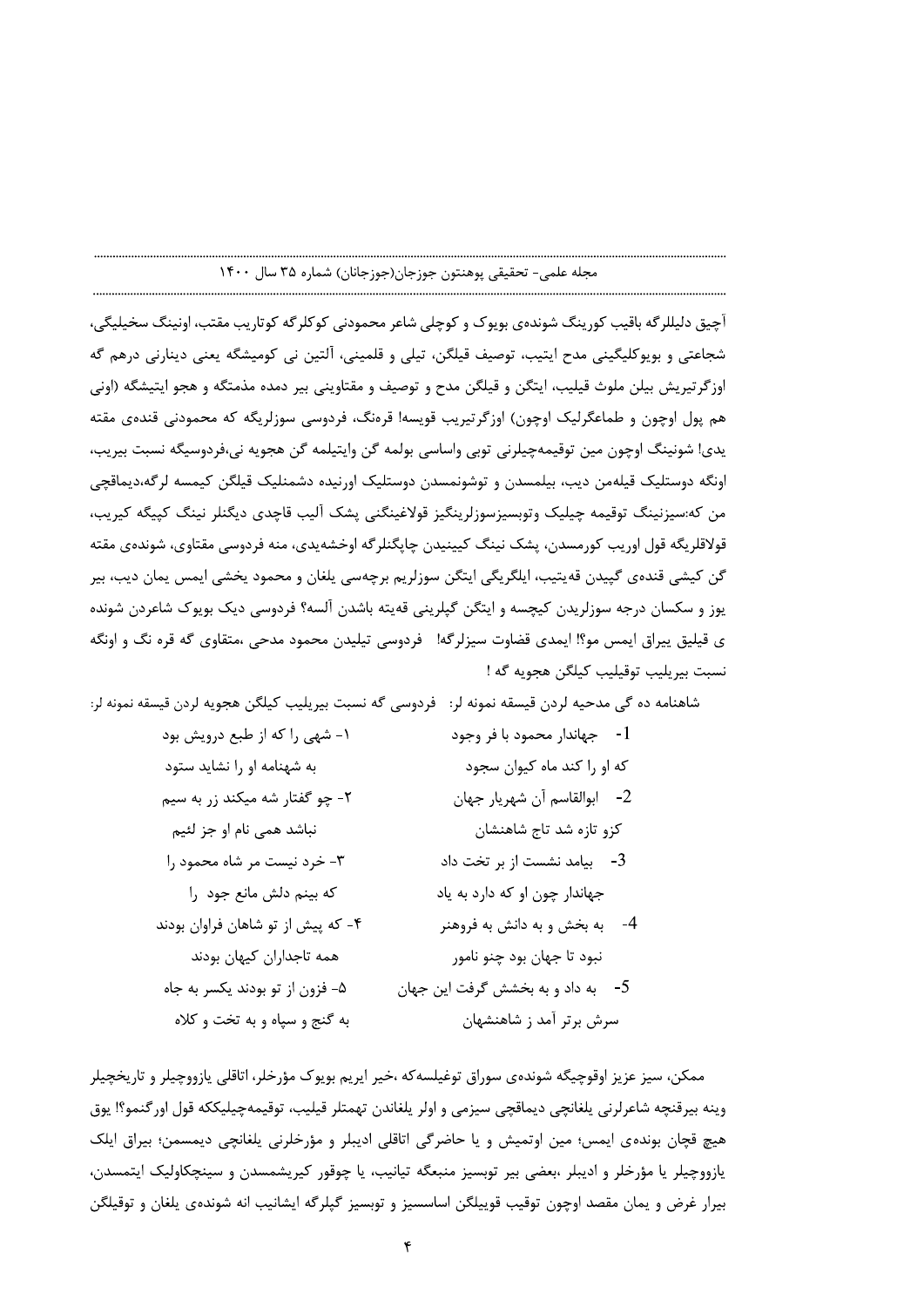آچیق دلیللرگه باقیب کورینگ شوندهی بویوک و کوچلی شاعر محمودنی کوکلرگه کوتاریب مقتب، اونینگ سخیلیگی، شجاعتی و بویوکلیگینی مدح ایتیب، توصیف قیلگن، تیلی و قلمینی، آلتین نی کومیشگه یعنی دینارنی درهم گه اوزگرتيريش بيلن ملوث قيليب، ايتگن و قيلگن مدح و توصيف و مقتاويني بير دمده مذمتگه و هجو ايتيشگه (اوني هم يول اوچون و طماعگرليک اوچون) اوزگر تيريب قويسه! قرەنگ، فردوسى سوزلريگه که محمودنى قندەي مقته يدي! شونينگ اوچون مين توقيمهچيلرني توبي واساسي بولمه گن وايتيلمه گن هجويه ني،فردوسيگه نسبت بيريب، اونگه دوستلیک قیلهمن دیب، بیلمسدن و توشونمسدن دوستلیک اورنیده دشمنلیک قیلگن کیمسه لرگه،دیماقچی من كە:سيزنينگ توقيمە چيليک وتوبسيزسوزلرينگيز قولاغينگنى پشک آليب قاچدى ديگنلر نينگ كپيگه كيريب، قولاقلریگه قول اوریب کورمسدن، پشک نینگ کیینیدن چاپگنلر گه اوخشهیدی، منه فردوسی مقتاوی، شوندهی مقته گن کیشی قندهی گپیدن قهیتیب، ایلگریگی ایتگن سوزلریم برچهسی یلغان و محمود یخشی ایمس یمان دیب، بیر يوز و سكسان درجه سوزلريدن كيچسه و ايتگن گيلريني قەيته باشدن آلسه؟ فردوسي ديک بويوک شاعردن شونده ى قيليق ييراق ايمس مو؟! ايمدى قضاوت سيزلرگه! فردوسى تيليدن محمود مدحى ،متقاوى گه قره نگ و اونگه نسبت بيريليب توقيليب كيلگن هجويه گه !

شاهنامه ده گی مدحیه لردن قیسقه نمونه لر: فردوسی گه نسبت بیریلیب کیلگن هجویه لردن قیسقه نمونه لر:

ممکن، سيز عزيز اوقوچيگه شوندهي سوراق توغيلسه که ،خير ايريم بويوک مؤرخلر، اتاقلي يازووچيلر و تاريخچيلر وينه بيرقنچه شاعرلرني يلغانچي ديماقچي سيزمي و اولر يلغاندن تهمتلر قيليب، توقيمهچيليككه قول اورگنمو؟! يوق هیچ قچان بوندهی ایمس؛ مین اوتمیش و یا حاضرگی اتاقلی ادیبلر و مؤرخلرنی یلغانچی دیمسمن؛ بیراق ایلک يازووچيلر يا مؤرخلر و اديبلر ،بعضي بير توبسيز منبعگه تيانيب، يا چوقور كيريشمسدن و سينچكاوليک ايتمسدن، بیرار غرض و یمان مقصد اوچون توقیب قوییلگن اساسسیز و توبسیز گپلرگه ایشانیب انه شوندهی یلغان و توقیلگن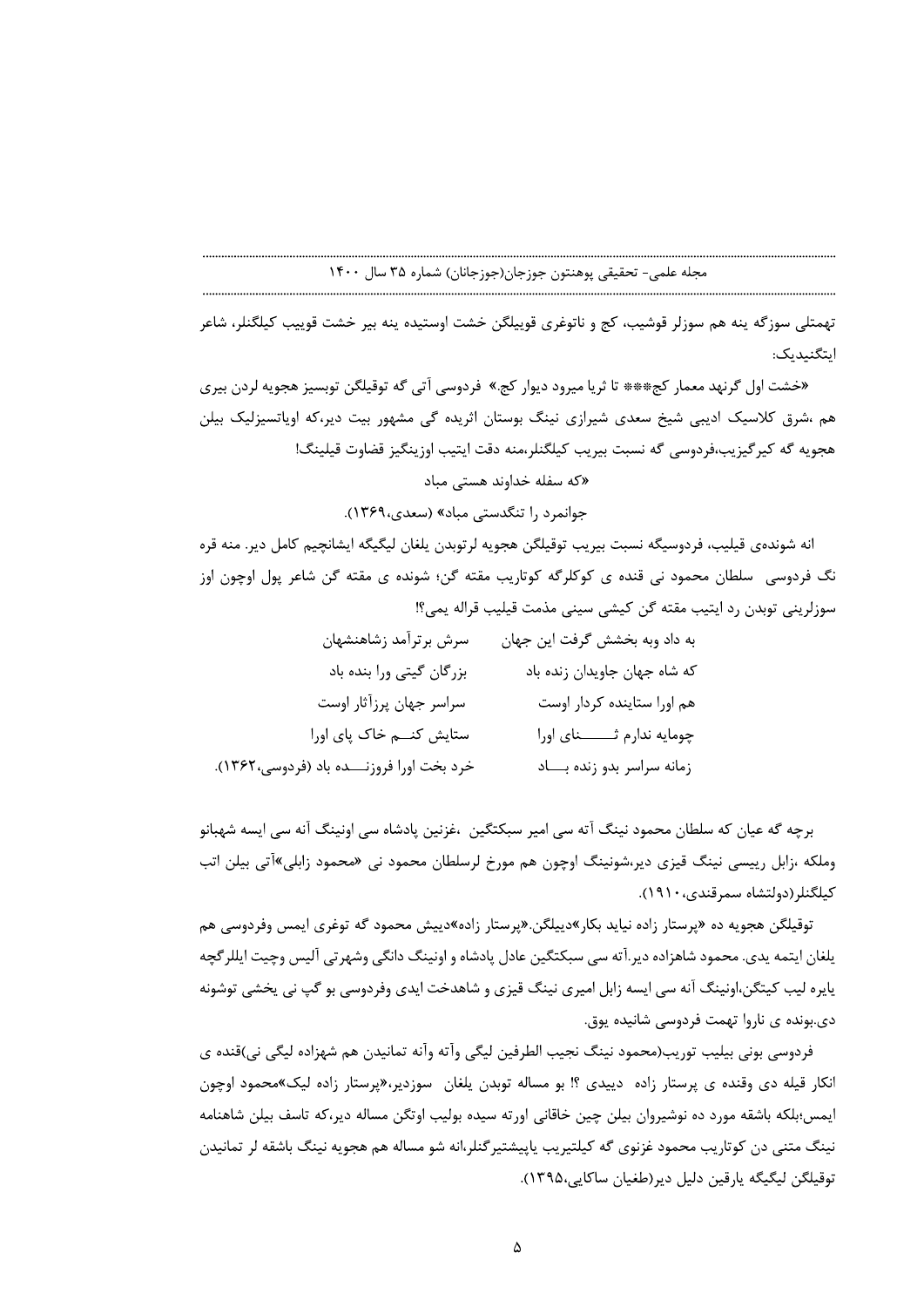نلی سوزگه ینه هم سوزلر قوشیب، کج و ناتوغری قوییلگن خشت اوستیده ینه بیر خشت قوییب کیلگنلر، شاعر

' ;<%:/%\* 129@28%DE9./0&-«خشت اول گرنهد معمار کج\*\*\* تا ثریا میرود دیوار کج.» فردوسی آتی گه توقیلگن توبسیز هجویه لردن بیری )@2GCB45\*%@@)2%2A???45>:'2&)\*+,-= .9<8DE%)\*562%@+9',-هم ،شرق کلاسیک ادیبی شیخ سعدی شیرازی نینگ بوستان اثریده گ - هجويه گه گيرگيزيب،فردوسي گه نسبت بيريب گيلگنلر،منه دقت ايتيب اوزينگيز قضاوت قيلينگ!

# «که سفله خداوند هستی مباد

جوانمرد را تنگدستی مباد» (سعدی،۱۳۶۹).

انه شوندهی قیلیب، فردوسیگه نسبت بیریب توقیلگن هجویه لرتوبدن یلغان لیگیگه ایشانچیم کامل دیر. منه قره ٔ نگ فردوسی ً سلطان محمود نی قنده ی گوگلرگه گوتاریب مقته گن؛ شونده ی مقته گن شاعر پول اوچون اوز نی توبدن رد ایتیب مقته کُن کیشی سینی مذمت قیلیب قراله یمی؟!

%28 ',
:F229]2 '.%\*+G2&[,\99)@\*@9 @9 :9\*)-&&D9@9 :\*:%)' 
5^^^^^^^^^^^^^^^^^^^^^^^^^ + )\*AF2'2 \*2 + )\*\*@25 :% \*)\*( \*)\*1a-(\_\_5[% \*)\*1\_\_\_\_\_\_A`\*:%W^^ B!Qb6- )@2G@9 :\_\_\_)2G\*)\*+\9@2-@\_\_\_9 :):92 \*2  L'
E%\*-

برچه که عیان که سلطان محمود نینگ آته سی امیر سبکتگین ،غزنین پادشاه سی اونینگ آنه س وملکه ،زابل رییسی نینگ قیزی دیر،شونینگ اوچون هم مورخ لرسلطان محمود نی «محمود زابلی»اتی بیلن اتب كيلگنلر(دولتشاه سمرقندى،١٩١٠).

- توقیلگن هجویه ده «پرستار زاده نیاید بکار»دییلگن.«پرستار زاده»دییش محمود که توغری ایمس وفردوسی هم یلغان ایتمه یدی. محمود شاهزاده دیر.اته سی سبکتگین عادل پادشاه و اونینگ دانگی وشهرتی الیس وچیت ایللرگچه ِ سبکتگین ،غزنین پادشاه سی اونینگ آنه سی ایسه شهبانو<br>جم مورخ لرسلطان محمود نی «محمود زابلی»آتی بیلن اتب<br>«پرستار زاده»دییش محمود گه توغری ایمس وفردوسی هم<br>عادل پادشاه و اونینگ دانگی وشهرتی آلیس وچیت ایللرگچه<br>قیزی و شاهدخت ا یایره لیب کیتگن،اونینگ آنه سی ایسه زابل امیری نینگ قیزی و شاهدخت ایدی وفردوسی بو گپ نی یخشی توشونه دی.بونده ی ناروا تهمت فردوسی شانیده یوق.

وملکه ،زابل رییسی نینگ قیزی دیر،شونینگ اوچون<br>کیلگنلر(دولتشاه سمرقندی، ۱۹۱۰).<br>توقیلگن هجویه ده «پرستار زاده نیاید بکار »دیبلگو<br>یلنان ایتمه یدی. محمود شاهزاده دیر.آته سی سبکتگیـ<br>یایره لیب کیتگن،اونینگ آنه سی ایسه زابل امیری فردوسی بونی بیلیب توریب(محمود نینگ نجیب الطرفین لیگی واته وانه تمانیدن هم شهزاده لیگی نی)قنده ی متار زاده»دییش محمود گه توغری ایمس وفردوسی هم<br>متار زاده»دییش محمود گه توغری ایمس وفردوسی هم<br>ی پادشاه و اونینگ دانگی وشهرتی آلیس وچیت ایللرگچه<br>ی و شاهدخت ایدی وفردوسی بو گپ نی یخشی توشونه<br>نیرگنلر،انه شو زدیر،«پرستار زاده ل ه انگار قیله دی وقنده ی پرستار زاده دییدی ؟! بو مساله توبدن یلغان سوزدیر،«پرستار زاده لیک»محمود اوچون ایمس؛بلکه باشقه مورد ده نوشیروان بیلن چین خاقانی اورته سیده بولیب اوتگن مساله دیر،که تاسف بیلن شاهنامه - نینگ متنی دن کوتاریب محمود غزنوی گه کیلتیریب یاپیشتیرگنلر،انه شو مساله هم هجویه نینگ باشقه لر تمانیدن توقيلڭن ليڭيڭە يارقين دليل دير(طغيان ساكايى،١٣٩۵).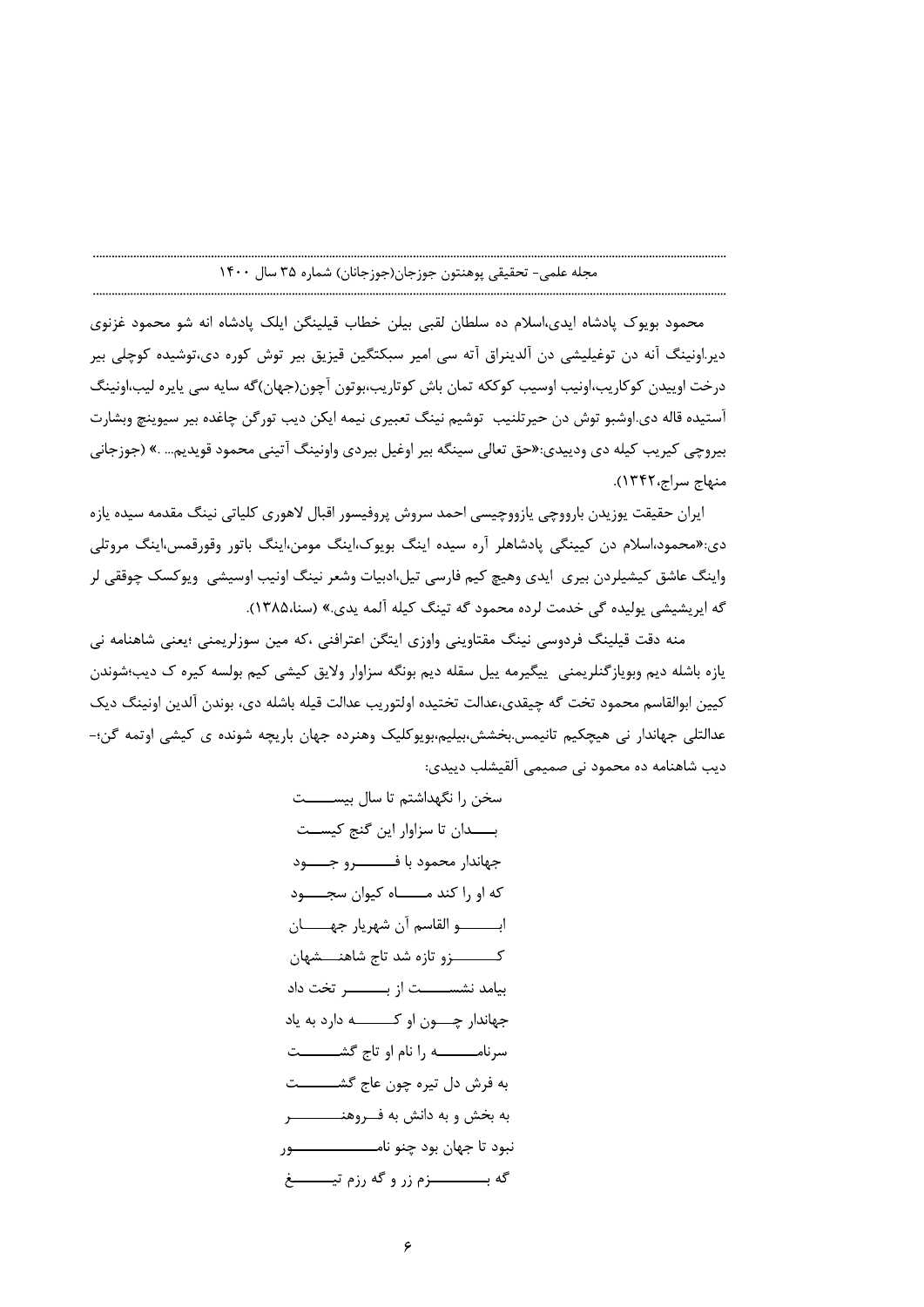محمود بويوک پادشاه ايدى،اسلام ده سلطان لقبى بيلن خطاب قيلينگن ايلک پادشاه انه شو محمود غزنوى دیر.اونینگ آنه دن توغیلیشی دن آلدینراق آته سی امیر سبکتگین قیزیق بیر توش کوره دی،توشیده کوچلی بیر درخت اوپیدن کوکاریب،اونیب اوسیب کوککه تمان باش کوتاریب،بوتون آچون(جهان)گه سایه سی پایره لیب،اونینگ آستيده قاله دي.اوشبو توش دن حيرتلنيب توشيم نينگ تعبيري نيمه ايكن ديب تورگن چاغده بير سيوينچ وبشارت بیروچی کیریب کیله دی ودیپدی:«حق تعالی سینگه بیر اوغیل بیردی واونینگ آتینی محمود قویدیم… .» (جوزجانی منهاج سراج، ١٣۴٢).

ايران حقيقت يوزيدن بارووچي يازووچيسي احمد سروش پروفيسور اقبال لاهوري كلياتي نينگ مقدمه سيده يازه دی:«محمود،اسلام دن کیپنگی پادشاهلر آره سیده اینگ بویوک،اینگ مومن،اینگ باتور وقورقمس،اینگ مروتلی واینگ عاشق کیشیلردن بیری ایدی وهیچ کیم فارسی تیل،ادبیات وشعر نینگ اونیب اوسیشی ویوکسک چوققی لر گه ایریشیشی پولیده گی خدمت لرده محمود گه تینگ کیله آلمه یدی.» (سنا،۱۳۸۵).

منه دقت قیلینگ فردوسی نینگ مقتاوینی واوزی ایتگن اعترافنی ،که مین سوزلریمنی ؛یعنی شاهنامه نی یازه باشله دیم وبویازگنلریمنی پیگیرمه پیل سقله دیم بونگه سزاوار ولایق کیشی کیم بولسه کیره ک دیب؛شوندن كيين ابوالقاسم محمود تخت گه چيقدى،عدالت تختيده اولتوريب عدالت قيله باشله دى، بوندن آلدين اونينگ ديک عدالتلی جهاندار نی هیچکیم تانیمس.بخشش،بیلیم،بویوکلیک وهنرده جهان باریچه شونده ی کیشی اوتمه گن؛-ديب شاهنامه ده محمود ني صميمي آلقيشلب دييدي: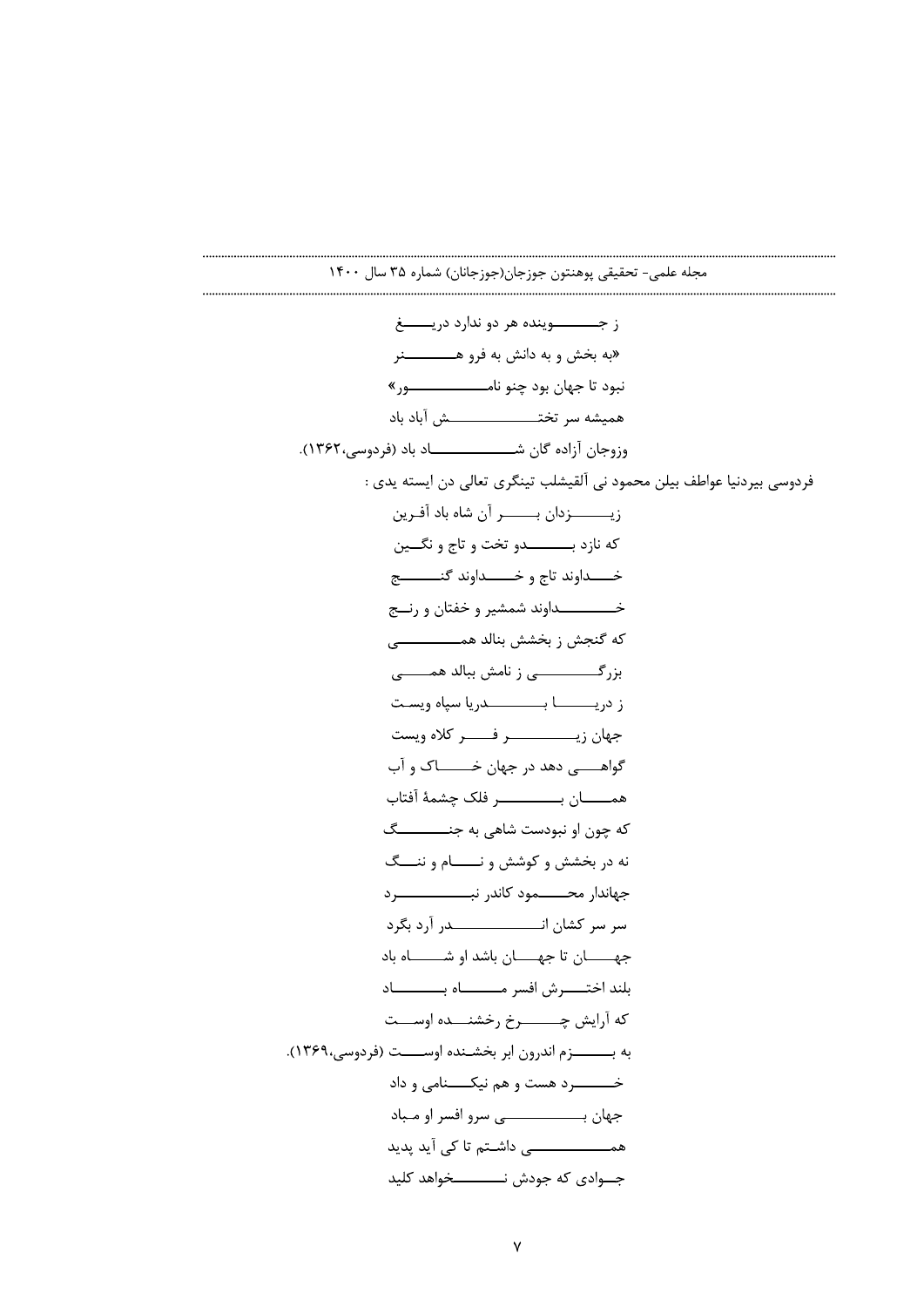ز جـــــــوينده هر دو ندارد دريـــــــغ «به بخش و به دانش به فرو هـــــــــــــنر نبود تا جهان بود چنو نامــــــــــــــــور» همیشه سر تختــــــــــــــــــش آباد باد وزوجان آزاده گان شـــــــــــــــــــاد باد (فردوسي،١٣۶٢). .<br>فردوسی بیردنیا عواطف بیلن محمود نی آلقیشلب تینگری تعال<sub>ی</sub> دن ایسته یدی : زيــــــــزدان بـــــــر آن شاه باد آفـرين که نازد بــــــــــــدو تخت و تاج و نگـــين خــــداوند تاج و خــــــداوند گنـــــــــج خــــــــــــــداوند شمشير و خفتان و رنـــج ز دريـــــــــــــا بـــــــــــــــــدريا سپاه ويســت گواهــــــــــی دهد در جهان خـــــــــــاک و آب که چون او نبودست شاهی به جنـــــــــــگ نه در بخشش و کوشش و نـــــام و ننـــگ جهاندار محــــــمود كاندر نبـــــــــــــــــرد جهـــــــان تا جهــــــان باشد او شـــــــــاه باد بلند اختـــــــــرش افسر مـــــــــــــاه بــــــــــــــاد كه آرايش چـــــــــرخ رخشنــــده اوســــت به بــــــــزم اندرون ابر بخشـنده اوســـــت (فردوسي،١٣۶٩). همــــــــــــــــــ ، داشــتم تا کی آید پدید جـــوادي كه جودش نــــــــــــخواهد كليد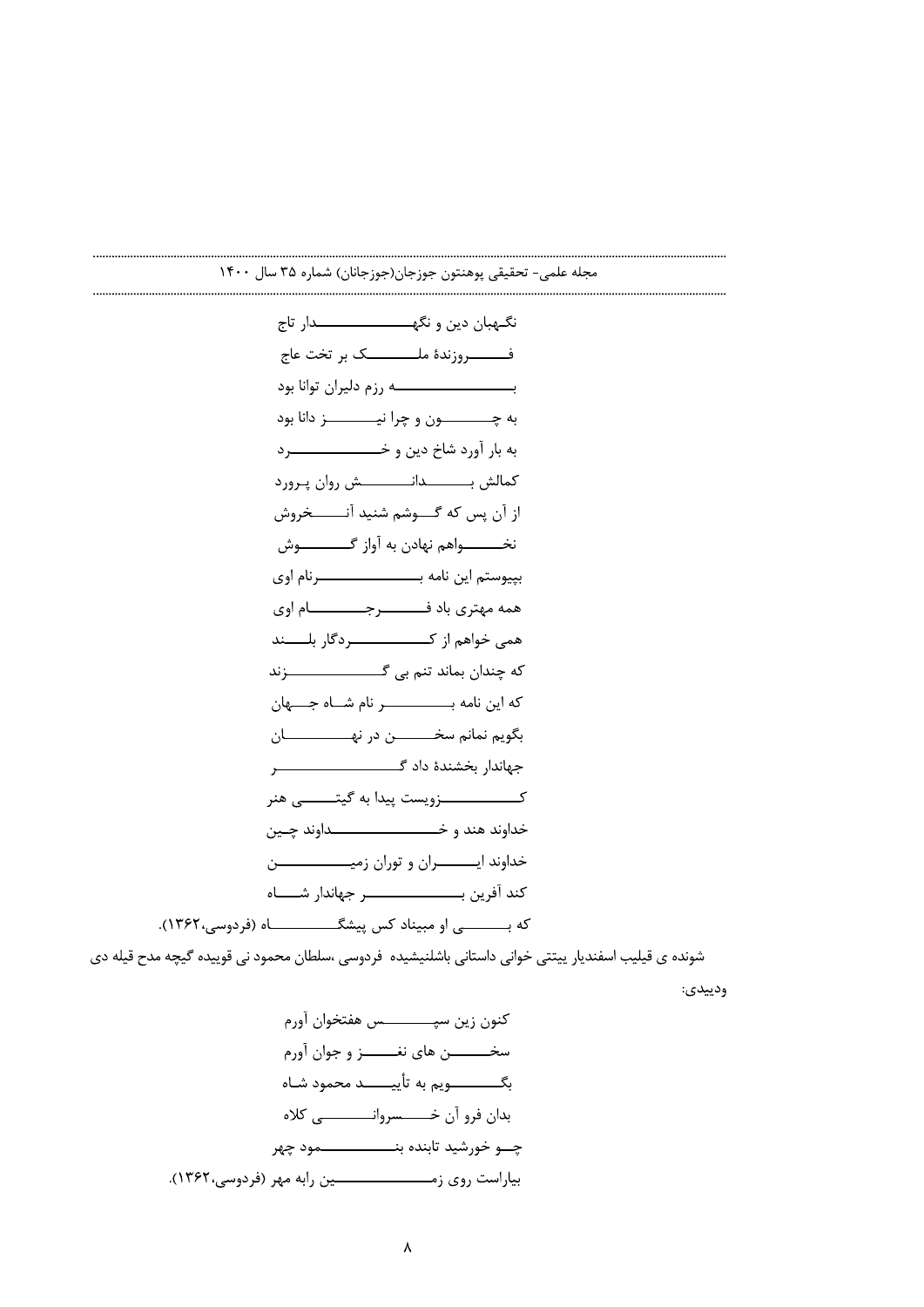$$
3.11
$$
 \n
$$
4.12
$$
 \n
$$
5.13
$$
 \n
$$
6.13
$$
 \n
$$
6.14
$$
 \n
$$
6.15
$$
 \n
$$
6.16
$$
 \n
$$
6.16
$$
 \n
$$
6.17
$$
 \n
$$
6.18
$$
 \n
$$
6.19
$$
 \n
$$
6.19
$$
 \n
$$
6.19
$$
 \n
$$
6.19
$$
 \n
$$
6.19
$$
 \n
$$
6.19
$$
 \n
$$
6.19
$$
 \n
$$
6.19
$$
 \n
$$
6.19
$$
 \n
$$
6.19
$$
 \n
$$
6.19
$$
 \n
$$
6.19
$$
 \n
$$
6.19
$$
 \n
$$
6.19
$$
 \n
$$
6.19
$$
 \n
$$
6.19
$$
 \n
$$
6.19
$$
 \n
$$
6.19
$$
 \n
$$
6.19
$$
 \n
$$
6.19
$$
 \n
$$
6.19
$$
 \n
$$
6.19
$$
 \n
$$
6.19
$$
 \n
$$
6.19
$$
 \n
$$
6.19
$$
 \n
$$
6.19
$$
 \n
$$
6.19
$$
 \n
$$
6.19
$$
 \n
$$
6.19
$$
 \n
$$
6.19
$$
 \n
$$
6.19
$$
 \n
$$
6.19
$$
 \n
$$
6.19
$$
 \n
$$
6.19
$$
 \n
$$
6.19
$$
 \n
$$
6.19
$$
 \n
$$
6.19
$$
 \n
$$
6.19
$$

شونده ی قیلیب اسفندیار ییتتی خوانی داستانی باشلنیشیده فردوسی ،سلطان محمود نی قوییده گیچه مدح قیله دی

ودييدي: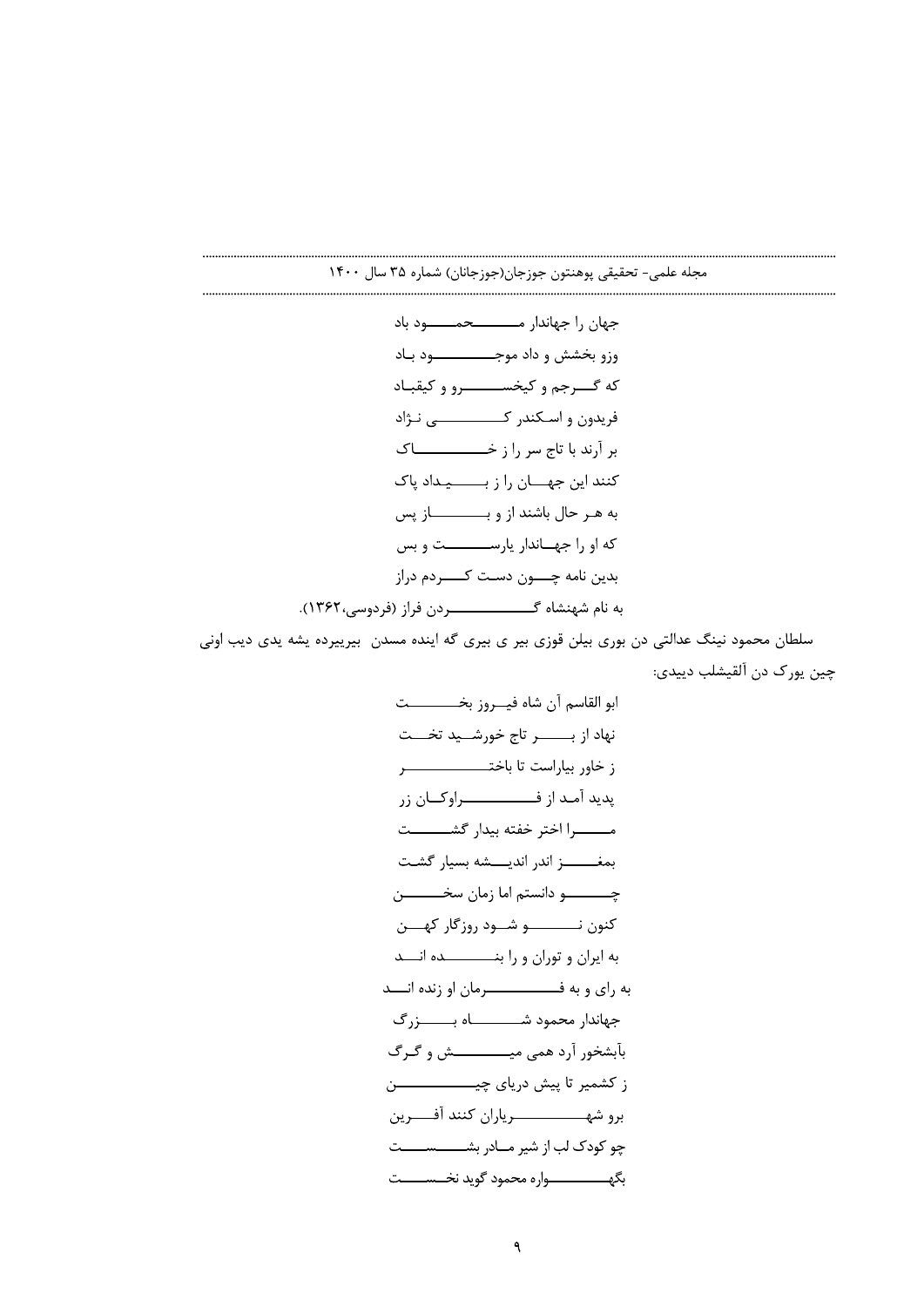مجله علمی- تحقیقی پوهنتون جوزجان(جوزجانان) شماره ۳۵ سال ۱۴۰۰

جهان را جهاندار مــــــــحمـــــود باد وزو بخشش و داد موجــــــــــــــود بـاد که گـــرجم و کیخســــــــرو و کیقبـاد بر آرند با تاج سر را ز خــــــــــــــاک کنند این جهــــان را ز بـــــــــیـداد پاک به هـر حال باشند از و بـــــــــــاز پس که او را جهـاندار پارســــــــت و بس بدين نامه چــــون دسـت كــــــردم دراز 

سلطان محمود نینگ عدالتی دن بوری بیلن قوزی بیر ی بیری گه اینده مسدن بیرییرده یشه یدی دیب اونی چين يورک دن آلقيشلب ديپدي: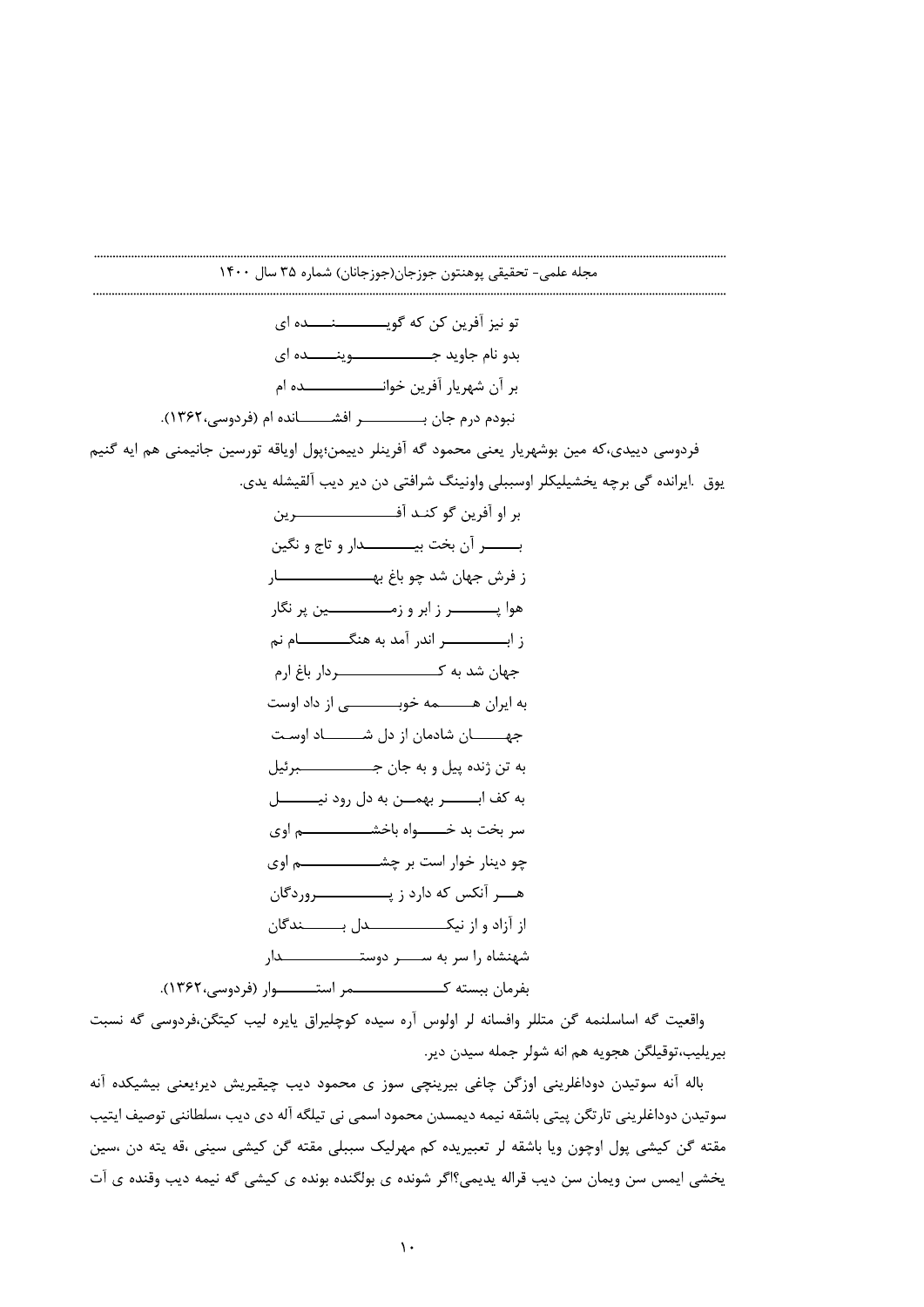واقعیت گه اساسلنمه گن متللر وافسانه لر اولوس آره سیده کوچلیراق یایره لیب کیتگن،فردوسی گه نسبت بيريليب،توقيلگن هجويه هم انه شولر جمله سيدن دير.

باله آنه سوتیدن دوداغلرینی اوزگن چاغی بیرینچی سوز ی محمود دیب چیقیریش دیر؛یعنی بیشیکده آنه سوتیدن دوداغلرینی تارتگن پیتی باشقه نیمه دیمسدن محمود اسمی نی تیلگه آله دی دیب ،سلطاننی توصیف ایتیب مقته گن کیشی پول اوچون ویا باشقه لر تعبیریده کم مهرلیک سببلی مقته گن کیشی سینی ،قه یته دن ،سین يخشى ايمس سن ويمان سن ديب قراله يديمي؟اگر شونده ي بولگنده بونده ي كيشى گه نيمه ديب وقنده ي آت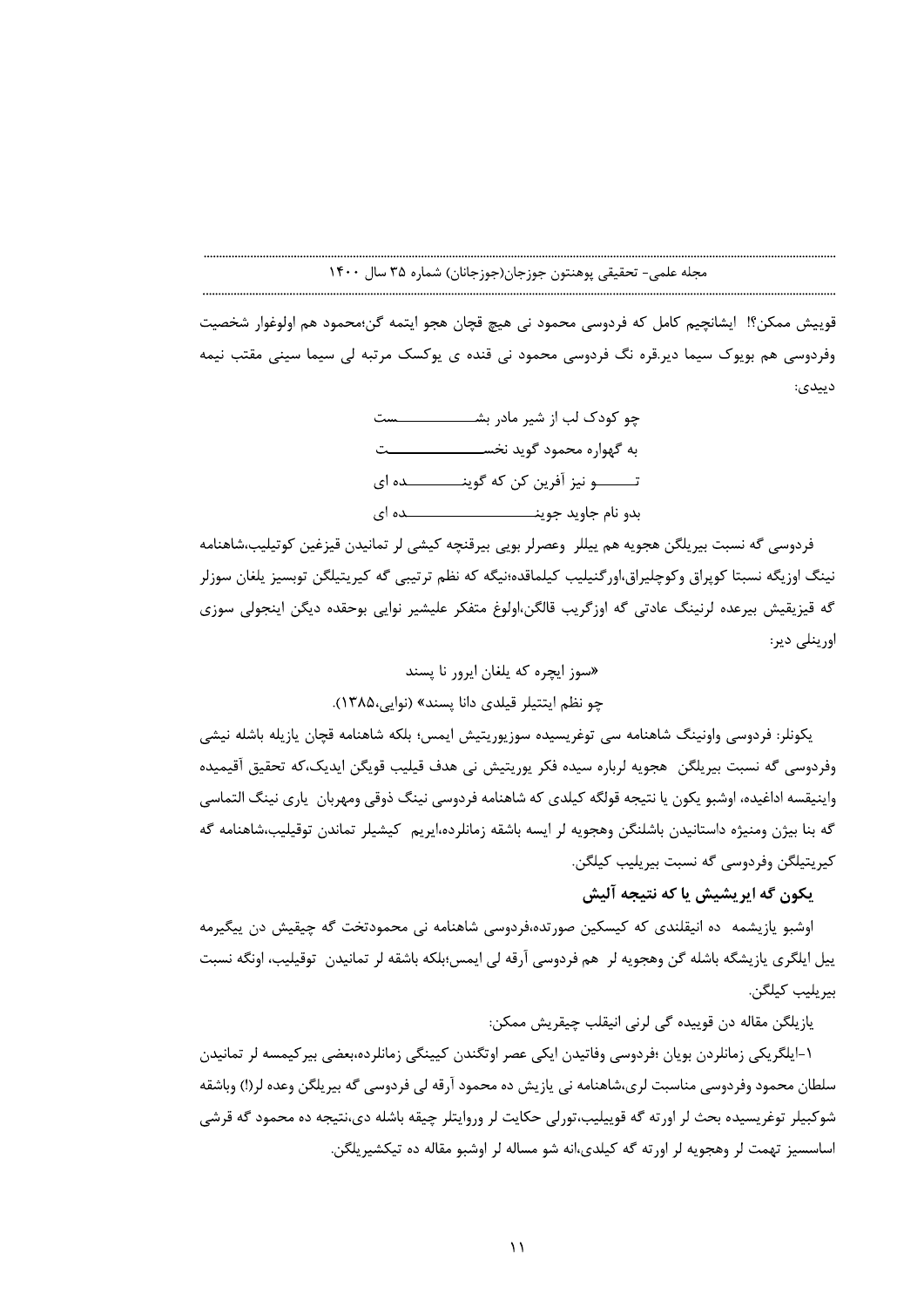قوييش ممكن؟! ايشانچيم كامل كه فردوسي محمود ني هيچ قچان هجو ايتمه گن؛محمود هم اولوغوار شخصيت وفردوسی هم بویوک سیما دیر.قره نگ فردوسی محمود نی قنده ی یوکسک مرتبه لی سیما سینی مقتب نیمه دييدي:

فردوسی گه نسبت بیریلگن هجویه هم ییللر وعصرلر بویی بیرقنچه کیشی لر تمانیدن قیزغین کوتیلیب،شاهنامه نینگ اوزیگه نسبتا کوپراق وکوچلیراق،اور گنیلیب کیلماقده؛نیگه که نظم ترتیبی گه کیریتیلگن توبسیز پلغان سوزلر گه قیزیقیش بیرعده لرنینگ عادتی گه اوزگریب قالگن،اولوغ متفکر علیشیر نوایی بوحقده دیگن اینجولی سوزی اورینلی دیر:

> «سوز ایجره که پلغان ایرور نا پسند چو نظم ایتتیلر قیلدی دانا پسند» (نوایی،۱۳۸۵).

يكونلر: فردوسي واونينگ شاهنامه سي توغريسيده سوزيوريتيش ايمس؛ بلكه شاهنامه قچان يازيله باشله نيشي وفردوسی گه نسبت بیریلگن هجویه لرباره سیده فکر پوریتیش نی هدف قیلیب قویگن ایدیک،که تحقیق آقیمیده واينيقسه اداغيده، اوشبو يكون يا نتيجه قولگه كيلدى كه شاهنامه فردوسي نينگ ذوقي ومهربان يارى نينگ التماسي گه بنا بیژن ومنیژه داستانیدن باشلنگن وهجویه لر ایسه باشقه زمانلرده،ایریم کیشیلر تماندن توقیلیب،شاهنامه گه كيريتيلگن وفردوسي گه نسبت بيريليب كيلگن.

# يكون گه ايريشيش يا كه نتيجه آليش

اوشبو یازیشمه ده انیقلندی که کیسکین صورتده،فردوسی شاهنامه نی محمودتخت گه چیقیش دن ییگیرمه ييل ايلگري يازيشگه باشله گن وهجويه لر هم فردوسي آرقه لي ايمس؛بلكه باشقه لر تمانيدن توقيليب، اونگه نسبت بيريليب كيلگن.

يازيلگن مقاله دن قوييده گي لرني انيقلب چيقريش ممكن:

۱-ایلگریکی زمانلردن بویان ؛فردوسی وفاتیدن ایکی عصر اوتگندن کیپنگی زمانلرده،بعضی بیرکیمسه لر تمانیدن سلطان محمود وفردوسی مناسبت لری،شاهنامه نی پازیش ده محمود آرقه لی فردوسی گه بیریلگن وعده لر(!) وباشقه شوکبيلر توغريسيده بحث لر اورته گه قوييليب،تورلي حکايت لر وروايتلر چيقه باشله دي،نتيجه ده محمود گه قرشي اساسسیز تهمت لر وهجویه لر اورته گه کیلدی،انه شو مساله لر اوشبو مقاله ده تیکشیریلگن.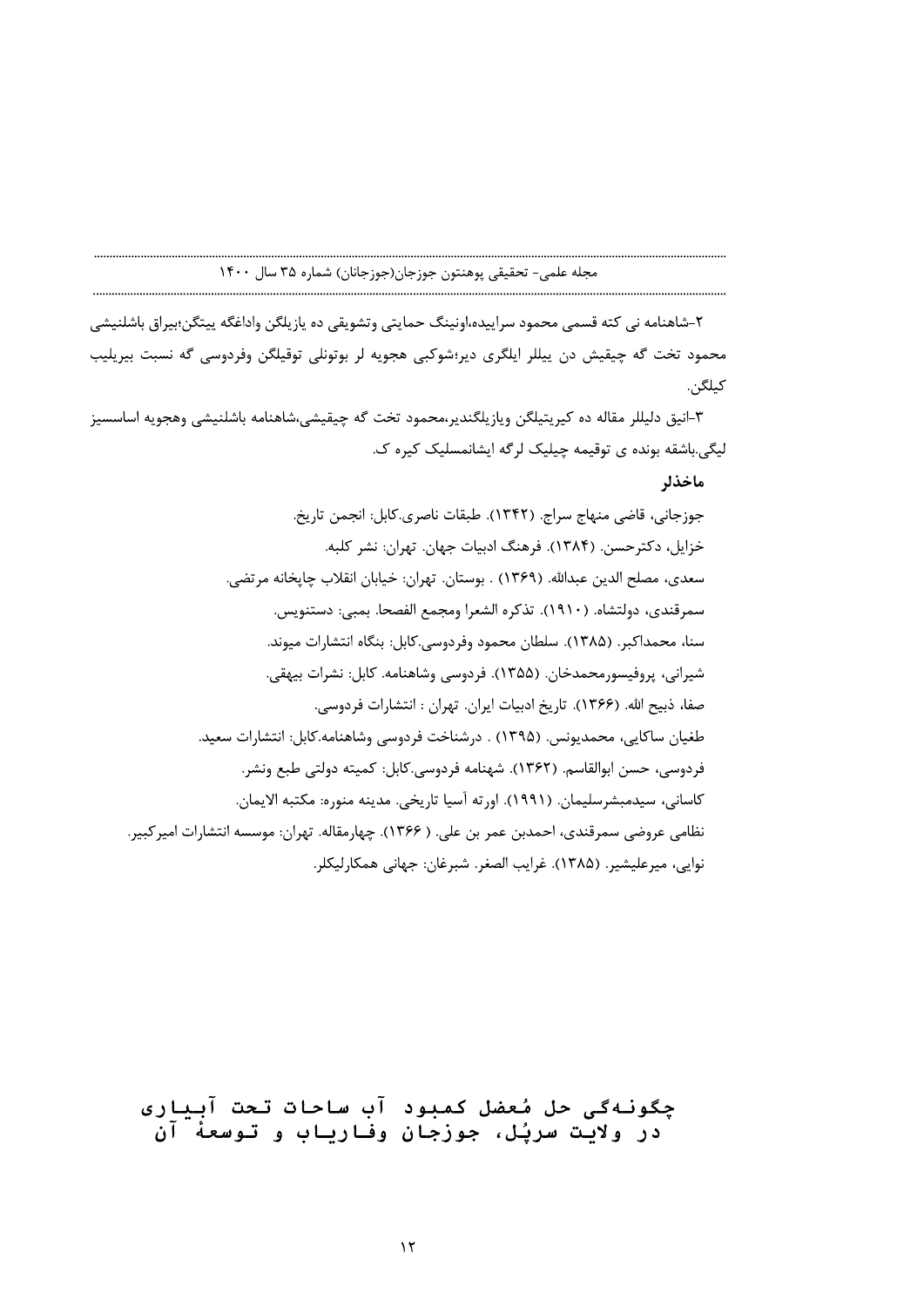۲-شاهنامه نی کته قسمی محمود سراییده،اونینگ حمایتی وتشویقی ده یازیلگن واداغگه پیتگن؛بیراق باشلنیشی محمود تخت گه چیقیش دن پیللر ایلگری دیر؛شوکبی هجویه لر بوتونلی توقیلگن وفردوسی گه نسبت بیریلیب *ک*یلگن.

٣-انيق دليللر مقاله ده كيريتيلگن ويازيلگندير،محمود تخت گه چيقيشي،شاهنامه باشلنيشي وهجويه اساسسيز لیگی.باشقه بونده ی توقیمه چیلیک لرگه ایشانمسلیک کیره ک.

ماخذلر

جوزجاني، قاضي منهاج سراج. (١٣۴٢). طبقات ناصري.كابل: انجمن تاريخ. خزایل، دکترحسن. (۱۳۸۴). فرهنگ ادبیات جهان. تهران: نشر کلبه. سعدي، مصلح الدين عبدالله. (١٣۶٩) . بوستان. تهران: خيابان انقلاب چايخانه مرتضى. سمرقندي، دولتشاه. (١٩١٠). تذكره الشعرا ومجمع الفصحا. بمبي: دستنويس. سنا، محمداكبر. (۱۳۸۵). سلطان محمود وفردوسي.كابل: بنگاه انتشارات ميوند. شيراني، پروفيسورمحمدخان. (١٣۵۵). فردوسي وشاهنامه. كابل: نشرات بيهقي. صفا، ذبيح الله. (١٣۶۶). تاريخ ادبيات ايران. تهران : انتشارات فردوسي. طغيان ساكايي، محمديونس. (١٣٩۵) . درشناخت فردوسي وشاهنامه.كابل: انتشارات سعيد. فردوسي، حسن ابوالقاسم. (١٣۶٢). شهنامه فردوسي.كابل: كميته دولتي طبع ونشر. كاساني، سيدمبشرسليمان. (١٩٩١). اورته آسيا تاريخي. مدينه منوره: مكتبه الايمان. نظامي عروضي سمرقندي، احمدبن عمر بن علي. ( ۱۳۶۶). چهارمقاله. تهران: موسسه انتشارات اميركبير. نوايي، ميرعليشير. (١٣٨۵). غرايب الصغر. شبرغان: جهاني همكارليكلر.

چگونهگی حل مُعضل کمبود آب ساحات تحت آبیاری در ولايت سريُل، جوزجان وفارياب و توسعهٔ آن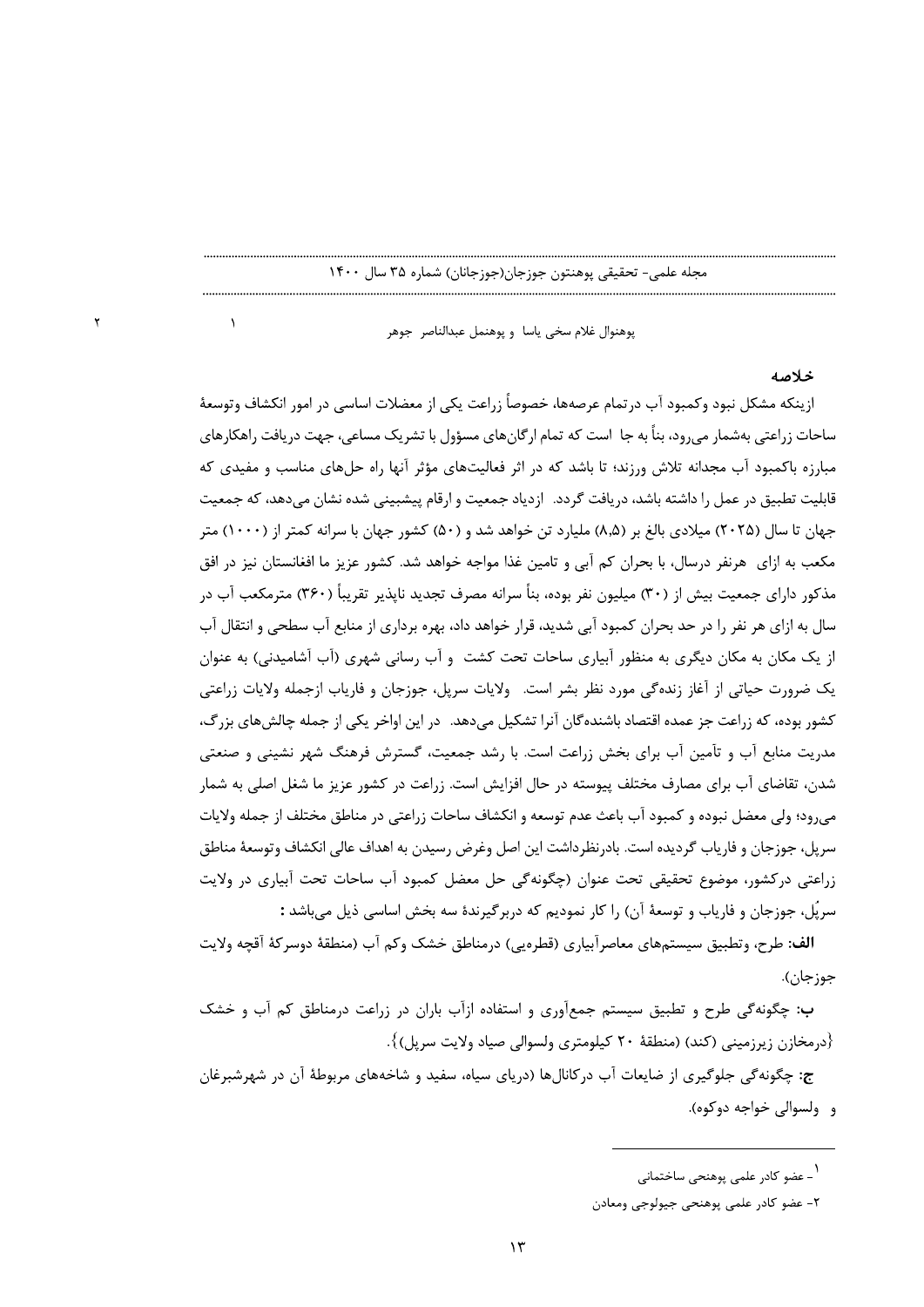پوهنوال غلام سخى ياسا و پوهنمل عبدالناصر جوهر

 $\lambda$ 

خلاصه

ازينكه مشكل نبود وكمبود آب درتمام عرصهها، خصوصاً زراعت يكي از معضلات اساسي در امور انكشاف وتوسعهٔ ساحات زراعتی بهشمار می رود، بناً به جا است که تمام ارگان های مسؤول با تشریک مساعی، جهت در یافت راهکارهای مبارزه باکمبود آب مجدانه تلاش ورزند؛ تا باشد که در اثر فعالیتهای مؤثر آنها راه حلهای مناسب و مفیدی که قابلیت تطبیق در عمل را داشته باشد، دریافت گردد. ازدیاد جمعیت و ارقام پیشبینی شده نشان میدهد، که جمعیت جهان تا سال (۲۰۲۵) میلادی بالغ بر (۵٫۵) ملیارد تن خواهد شد و (۵۰) کشور جهان با سرانه کمتر از (۱۰۰۰) متر مکعب به ازای ِ هرنفر درسال، با بحران کم آبی و تامین غذا مواجه خواهد شد. کشور عزیز ما افغانستان نیز در افق مذکور دارای جمعیت بیش از (۳۰) میلیون نفر بوده، بناً سرانه مصرف تجدید ناپذیر تقریباً (۳۶۰) مترمکعب آب در سال به ازای هر نفر را در حد بحران کمبود آبی شدید، قرار خواهد داد، بهره برداری از منابع آب سطحی و انتقال آب از یک مکان به مکان دیگری به منظور آبیاری ساحات تحت کشت و آب رسانی شهری (آب آشامیدنی) به عنوان یک ضرورت حیاتی از آغاز زنده گی مورد نظر بشر است. ولایات سرپل، جوزجان و فاریاب ازجمله ولایات زراعتی کشور بوده، که زراعت جز عمده اقتصاد باشنده گان آنرا تشکیل میدهد. در این اواخر یکی از جمله چالشهای بزرگ، مدریت منابع آب و تآمین آب برای بخش زراعت است. با رشد جمعیت، گسترش فرهنگ شهر نشینی و صنعتی شدن، تقاضای آب برای مصارف مختلف پیوسته در حال افزایش است. زراعت در کشور عزیز ما شغل اصلی به شمار می,رود؛ ولی معضل نبوده و کمبود آب باعث عدم توسعه و انکشاف ساحات زراعتی در مناطق مختلف از جمله ولایات سريل، جوزجان و فارياب گرديده است. بادرنظرداشت اين اصل وغرض رسيدن به اهداف عالي انكشاف وتوسعهٔ مناطق زراعتی درکشور، موضوع تحقیقی تحت عنوان (چگونه گی حل معضل کمبود آب ساحات تحت آبیاری در ولایت سريًل، جوزجان و فارياب و توسعهٔ آن) ,ا كار نموديم كه دربرگيرندهٔ سه بخش اساسي ذيل مي باشد :

**الف:** طرح، وتطبيق سيستمهاي معاصرآبياري (قطرويي) درمناطق خشک وکم آب (منطقهٔ دوسرکهٔ آقچه ولايت جوز جان).

ب: چگونهگی طرح و تطبیق سیستم جمعآوری و استفاده ازآب باران در زراعت درمناطق کم آب و خشک {درمخازن زیرزمینی (کند) (منطقهٔ ۲۰ کیلومتری ولسوالی صیاد ولایت سرپل)}.

ج: چگونه گی جلوگیری از ضایعات آب در کانالها (دریای سیاه، سفید و شاخههای مربوطهٔ آن در شهرشبرغان و۔ ولسوالي خواجه دوکوه).

۱ - عضو کادر علمی پوهنحی ساختمانی

٢- عضو كادر علمي پوهنحي جيولوجي ومعادن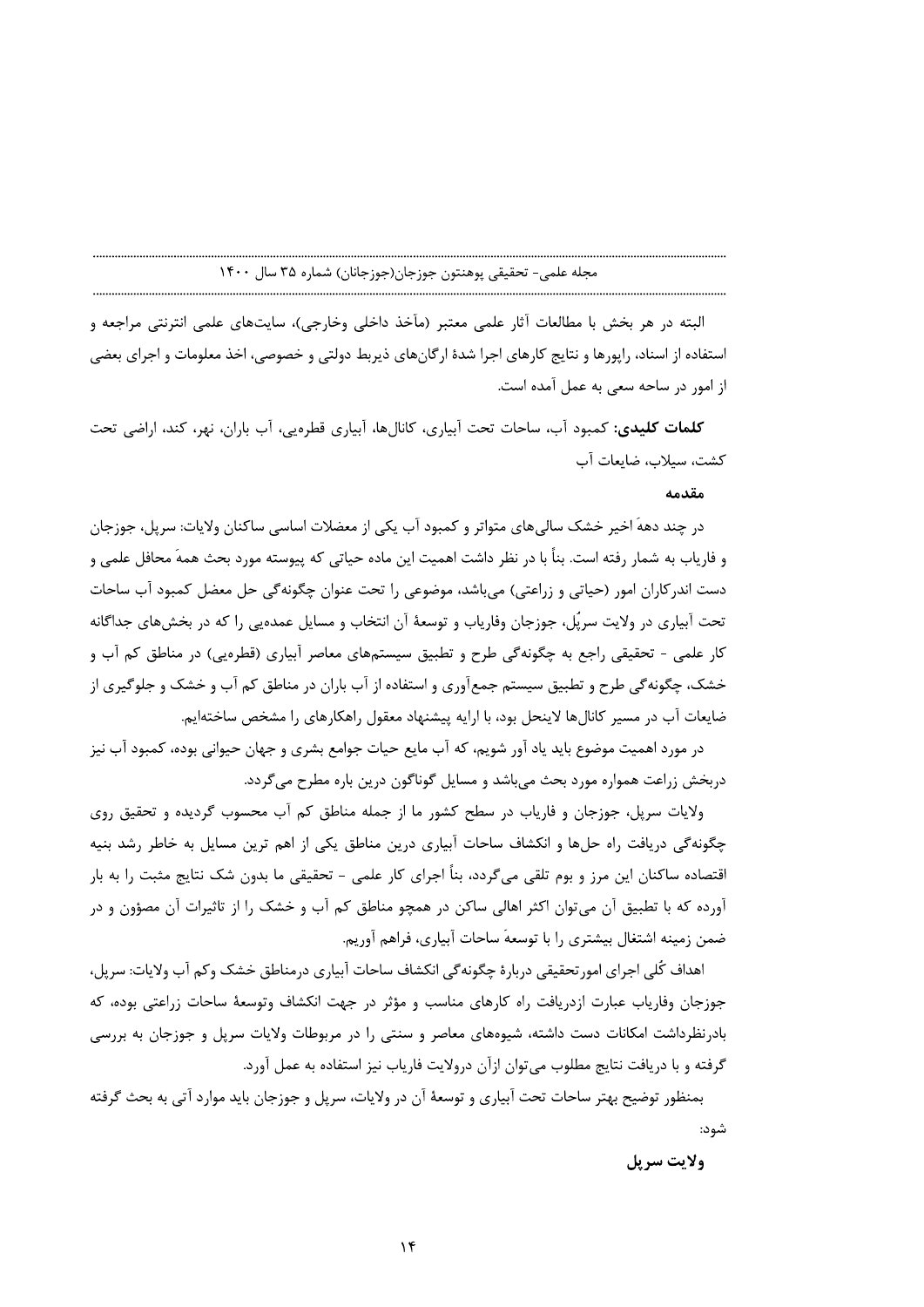البته در هر بخش با مطالعات آثار علمی معتبر (مآخذ داخلی وخارجی)، سایتهای علمی انترنتی مراجعه و استفاده از اسناد، راپورها و نتايج كارهاي اجرا شدهٔ ارگانهاي ذيربط دولتي و خصوصي، اخذ معلومات و اجراي بعضي از امور در ساحه سعی به عمل آمده است.

**کلمات کلیدی:** کمبود آب، ساحات تحت آبیاری، کانالها، آبیاری قطرهیی، آب باران، نهر، کند، اراضی تحت كشت، سيلاب، ضايعات آب

## مقدمه

در چند دههَ اخیر خشک سالی های متواتر و کمبود آب یکی از معضلات اساسی ساکنان ولایات: سریل، جوزجان و فارياب به شمار رفته است. بناً با در نظر داشت اهميت اين ماده حياتي كه پيوسته مورد بحث همهَ محافل علمي و دست اندر کاران امور (حیاتی و زراعتی) میباشد، موضوعی را تحت عنوان چگونهگی حل معضل کمبود آب ساحات تحت آبیاری در ولایت سرپُل، جوزجان وفاریاب و توسعهٔ آن انتخاب و مسایل عمده بی را که در بخش های جداگانه کار علمي - تحقيقي راجع به چگونه گي طرح و تطبيق سيستمهاي معاصر آبياري (قطرهيي) در مناطق کم آب و خشک، چگونهگی طرح و تطبیق سیستم جمعآوری و استفاده از آب باران در مناطق کم آب و خشک و جلوگیری از ضایعات آب در مسیر کانالها لاینحل بود، با ارایه پیشنهاد معقول راهکارهای را مشخص ساختهایم.

در مورد اهمیت موضوع باید یاد آور شویم، که آب مایع حیات جوامع بشری و جهان حیوانی بوده، کمبود آب نیز دربخش زراعت همواره مورد بحث میباشد و مسایل گوناگون درین باره مطرح میگردد.

ولايات سريل، جوزجان و فارياب در سطح كشور ما از جمله مناطق كم آب محسوب گرديده و تحقيق روي چگونه گی دریافت راه حلها و انکشاف ساحات آبیاری درین مناطق یکی از اهم ترین مسایل به خاطر رشد بنیه اقتصاده ساکنان این مرز و بوم تلقی میگردد، بناً اجرای کار علمی - تحقیقی ما بدون شک نتایج مثبت را به بار آورده که با تطبیق آن میتوان اکثر اهالی ساکن در همچو مناطق کم آب و خشک را از تاثیرات آن مصؤون و در ضمن زمينه اشتغال بيشتري را با توسعهَ ساحات آبياري، فراهم آوريم.

اهداف کُلی اجرای امور تحقیقی دربارهٔ چگونه گی انکشاف ساحات آبیاری درمناطق خشک وکم آب ولایات: سریل، جوزجان وفاریاب عبارت ازدریافت راه کارهای مناسب و مؤثر در جهت انکشاف وتوسعهٔ ساحات زراعتی بوده، که بادرنظرداشت امکانات دست داشته، شیوههای معاصر و سنتی را در مربوطات ولایات سرپل و جوزجان به بررسی گرفته و با دریافت نتایج مطلوب می توان ازآن درولایت فاریاب نیز استفاده به عمل آورد.

بمنظور توضيح بهتر ساحات تحت آبياري و توسعهٔ آن در ولايات، سرپل و جوزجان بايد موارد آتي به بحث گرفته شود:

ولايت سريل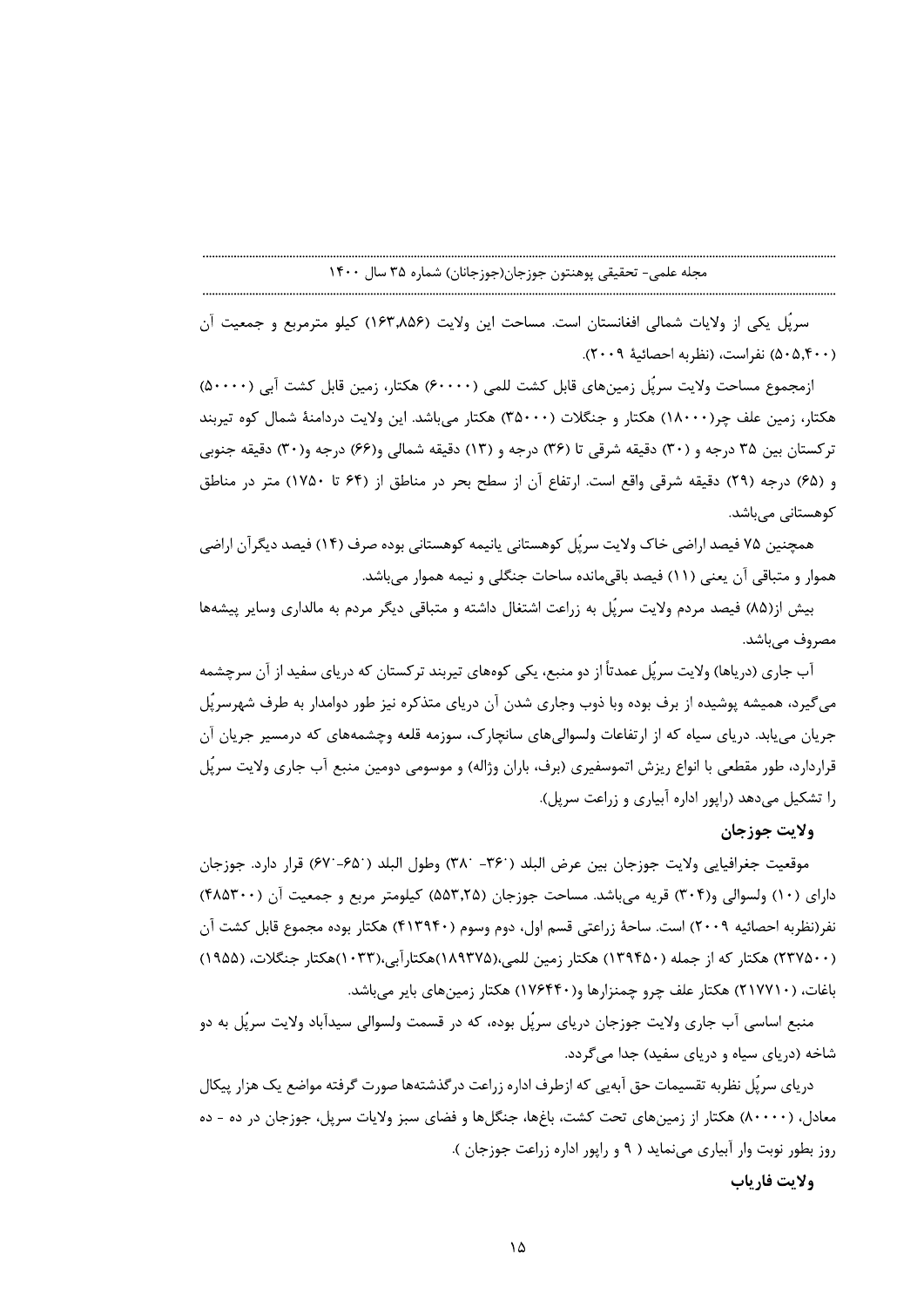سريُل يكي از ولايات شمالي افغانستان است. مساحت اين ولايت (۱۶۳٫۸۵۶) كيلو مترمربع و جمعيت آن (۵۰۵٫۴۰۰) نفراست، (نظربه احصائيهٔ ۲۰۰۹).

ازمجموع مساحت ولايت سريًل زمينهاي قابل كشت للمي (۶۰۰۰۰) هكتار، زمين قابل كشت آبي (۵۰۰۰۰) هکتار، زمین علف چر(۱۸۰۰۰) هکتار و جنگلات (۳۵۰۰۰) هکتار می باشد. این ولایت دردامنهٔ شمال کوه تیربند ترکستان بین ۳۵ درجه و (۳۰) دقیقه شرقی تا (۳۶) درجه و (۱۳) دقیقه شمالی و(۶۶) درجه و(۳۰) دقیقه جنوبی و (۶۵) درجه (۲۹) دقیقه شرقی واقع است. ارتفاع آن از سطح بحر در مناطق از (۶۴ تا ۱۷۵۰) متر در مناطق کوهستانی مے باشد.

همچنین ۷۵ فیصد اراضی خاک ولایت سرپُل کوهستانی پانیمه کوهستانی بوده صرف (۱۴) فیصد دیگرآن اراضی هموار و متباقی آن یعنی (١١) فیصد باقیمانده ساحات جنگلی و نیمه هموار میباشد.

بیش از(۸۵) فیصد مردم ولایت سریُل به زراعت اشتغال داشته و متباقی دیگر مردم به مالداری وسایر پیشهها مصروف مے باشد.

آب جاری (دریاها) ولایت سرپُل عمدتاً از دو منبع، یکی کومهای تیربند ترکستان که دریای سفید از آن سرچشمه می گیرد، همیشه پوشیده از برف بوده وبا ذوب وجاری شدن آن دریای متذکره نیز طور دوامدار به طرف شهرسرپُل جریان می یابد. دریای سیاه که از ارتفاعات ولسوالی های سانچارک، سوزمه قلعه وچشمههای که درمسیر جریان آن قراردارد، طور مقطعی با انواع ریزش اتموسفیری (برف، باران وژاله) و موسومی دومین منبع آب جاری ولایت سرپُل را تشکیل میدهد (رایور اداره آبیاری و زراعت سریل).

# ولايت جوزجان

موقعيت جغرافيايي ولايت جوزجان بين عرض البلد (٣۶٠- ٣٨٢) وطول البلد (۶۵٠- ۶۷) قرار دارد. جوزجان دارای (۱۰) ولسوالی و(۳۰۴) قریه میباشد. مساحت جوزجان (۵۵۳٫۲۵) کیلومتر مربع و جمعیت آن (۴۸۵۳۰۰) نفر (نظربه احصائيه ٢٠٠٩) است. ساحهٔ زراعتي قسم اول، دوم وسوم (۴۱۳۹۴۰) هكتار بوده مجموع قابل كشت آن (۲۳۷۵۰۰) هکتار که از جمله (۱۳۹۴۵۰) هکتار زمین للمی،(۱۸۹۳۷۵)هکتارآبی،(۱۰۳۳)هکتار جنگلات، (۱۹۵۵) باغات، (٢١٧٧١٠) هكتار علف چرو چمنزارها و(١٧۶۴۴٠) هكتار زمينهاي باير مي باشد.

منبع اساسی آب جاری ولایت جوزجان دریای سرپُل بوده، که در قسمت ولسوالی سیدآباد ولایت سرپُل به دو شاخه (دریای سیاه و دریای سفید) جدا می گردد.

دریای سرپُل نظربه تقسیمات حق آبهیی که ازطرف اداره زراعت در گذشتهها صورت گرفته مواضع یک هزار پیکال معادل، (۸۰۰۰۰) هکتار از زمینهای تحت کشت، باغها، جنگلها و فضای سبز ولایات سریل، جوزجان در ده - ده روز بطور نوبت وار آبیاری می نماید ( ۹ و رایور اداره زراعت جوزجان ).

ولايت فارياب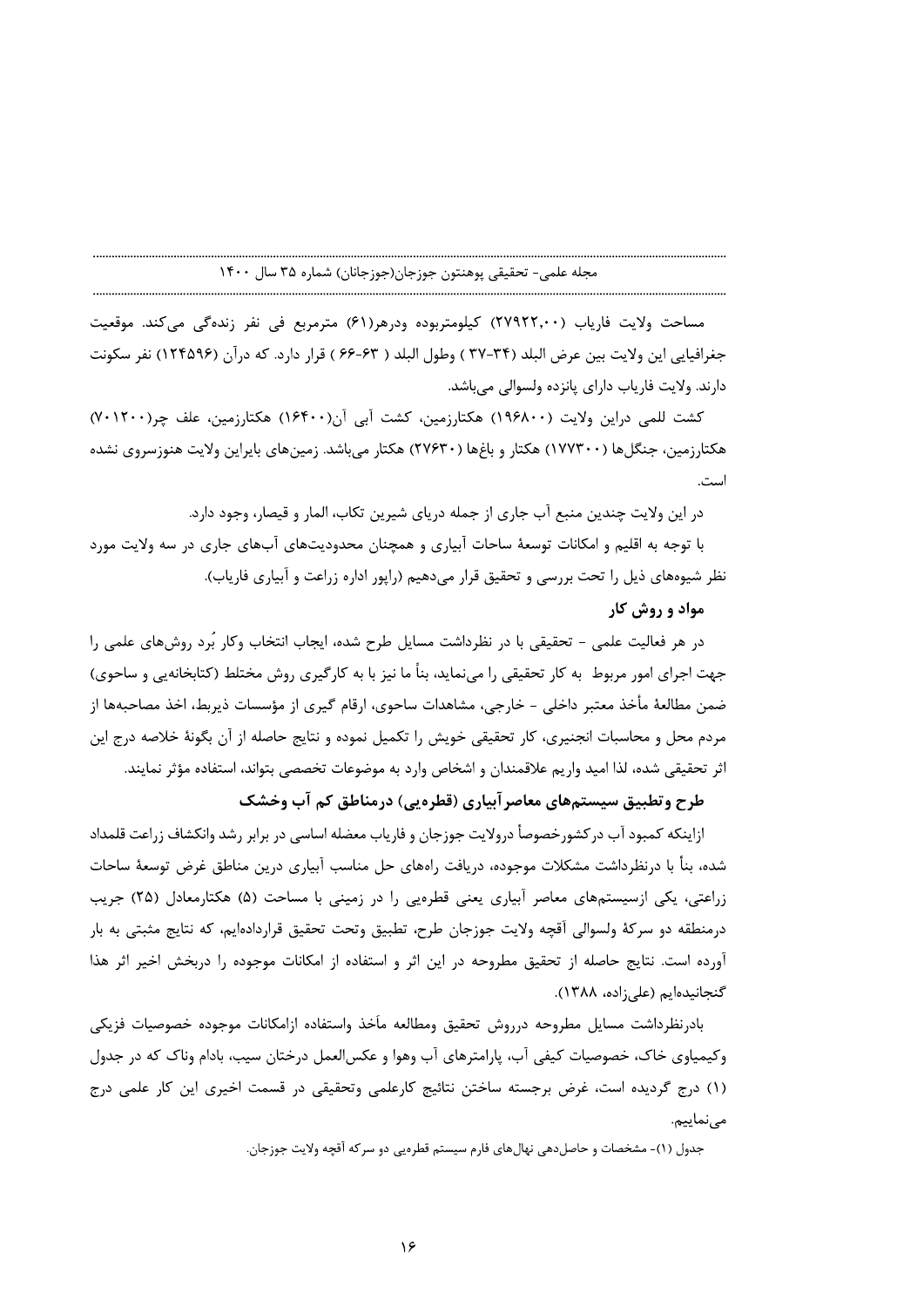مساحت ولايت فارياب (٢٧٩٢٢,٠٠) كيلومتربوده ودرهر(٤١) مترمربع في نفر زندهگي ميكند. موقعيت جغرافيايي اين ولايت بين عرض البلد (٣۴-٣٧ ) وطول البلد ( ۶۳-۶۶ ) قرار دارد. كه درآن (١٢۴۵٩۶) نفر سكونت دارند. ولايت فارياب داراي پانزده ولسوالي مي باشد.

کشت للمی دراین ولایت (۱۹۶۸۰۰) هکتارزمین، کشت آبی آن(۱۶۴۰۰) هکتارزمین، علف چر(۱۲۰۰۰) هکتارزمین، جنگلها (۱۷۷۳۰۰) هکتار و باغها (۲۷۶۳۰) هکتار می باشد. زمین های بایراین ولایت هنوزسروی نشده است.

در این ولایت چندین منبع آب جاری از جمله دریای شیرین تکاب، المار و قیصار، وجود دارد.

با توجه به اقلیم و امکانات توسعهٔ ساحات آبیاری و همچنان محدودیتهای آبهای جاری در سه ولایت مورد نظر شیوههای ذیل را تحت بررسی و تحقیق قرار میدهیم (راپور اداره زراعت و آبیاری فاریاب).

# مواد و روش کار

در هر فعالیت علمی - تحقیقی با در نظرداشت مسایل طرح شده، ایجاب انتخاب وکار بُرد روشهای علمی را جهت اجرای امور مربوط ً به کار تحقیقی را می نماید، بناً ما نیز با به کارگیری روش مختلط (کتابخانهیی و ساحوی) ضمن مطالعهٔ مأخذ معتبر داخلی - خارجی، مشاهدات ساحوی، ارقام گیری از مؤسسات ذیربط، اخذ مصاحبهها از مردم محل و محاسبات انجنیری، کار تحقیقی خویش را تکمیل نموده و نتایج حاصله از آن بگونهٔ خلاصه درج این اثر تحقیقی شده، لذا امید واریم علاقمندان و اشخاص وارد به موضوعات تخصصی بتواند، استفاده مؤثر نمایند.

# طرح وتطبیق سیستمهای معاصر آبیاری (قطره یی) درمناطق کم آب وخشک

ازاینکه کمبود آب در کشورخصوصأ درولایت جوزجان و فاریاب معضله اساسی در برابر رشد وانکشاف زراعت قلمداد شده، بنأ با درنظرداشت مشكلات موجوده، دريافت راههاي حل مناسب آبياري درين مناطق غرض توسعهٔ ساحات زراعتی، یکی ازسیستمهای معاصر آبیاری یعنی قطرهیی را در زمینی با مساحت (۵) هکتارمعادل (۲۵) جریب درمنطقه دو سركهٔ ولسوالی آقچه ولایت جوزجان طرح، تطبیق وتحت تحقیق قراردادهایم، كه نتایج مثبتی به بار آورده است. نتایج حاصله از تحقیق مطروحه در این اثر و استفاده از امکانات موجوده را دربخش اخیر اثر هذا گنجانیدهایم (علی زاده، ۱۳۸۸).

بادرنظرداشت مسايل مطروحه درروش تحقيق ومطالعه مأخذ واستفاده ازامكانات موجوده خصوصيات فزيكي وکیمیاوی خاک، خصوصیات کیفی آب، پارامترهای آب وهوا و عکسالعمل درختان سیب، بادام وناک که در جدول (۱) درج گردیده است، غرض برجسته ساختن نتائیج کارعلمی وتحقیقی در قسمت اخیری این کار علمی درج مے نماییم.

جدول (١)- مشخصات و حاصلِ دهي نهالِ هاي فارم سيستم قطرهيي دو سرِ كه آقچه ولايت جوزِ جان.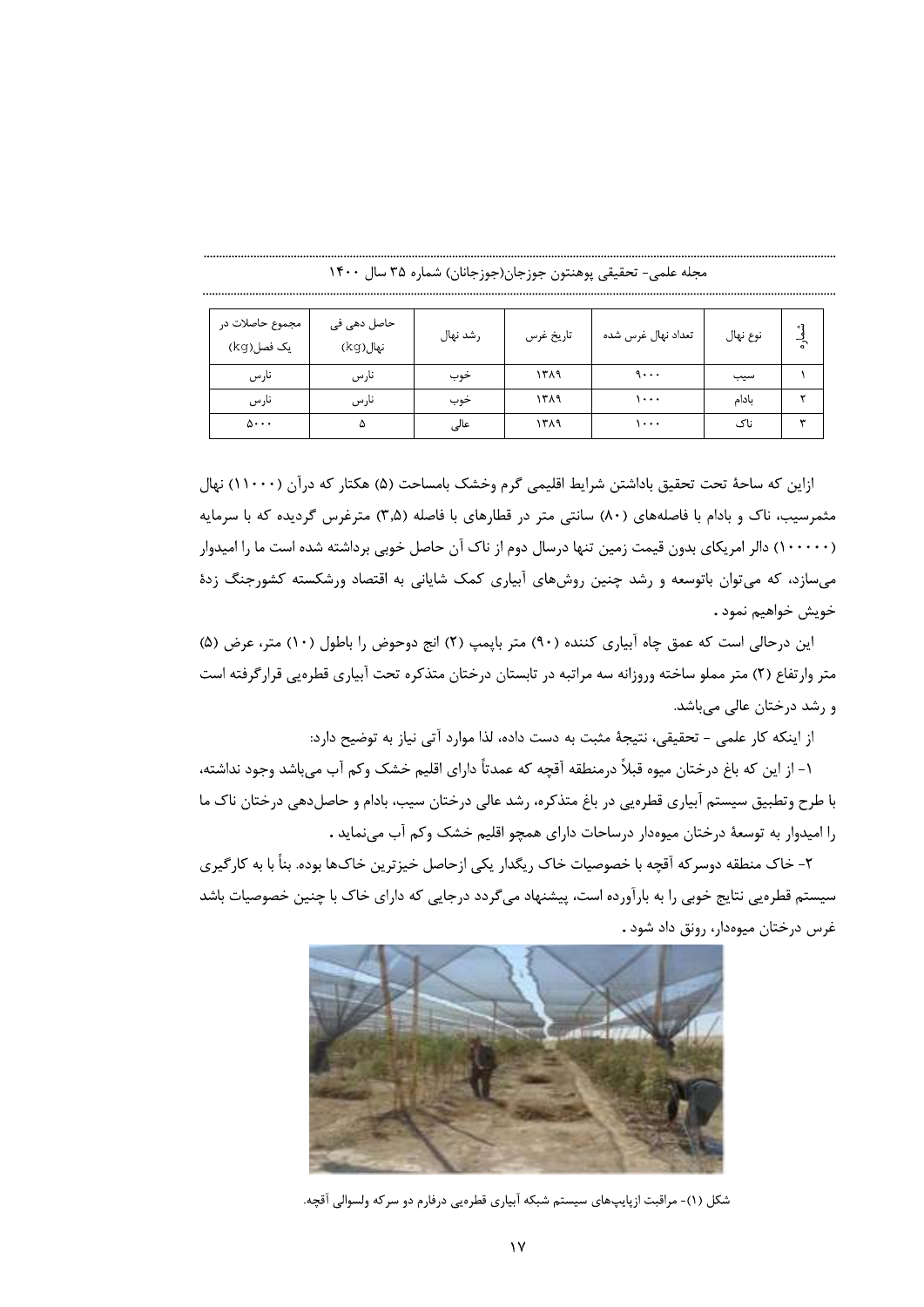| مجموع حاصلات در<br>یک فصل(kg) | حاصل دھی فی<br>نهال(kg) | رشد نهال | تاريخ غرس | تعداد نهال غرس شده | نوع نهال | - 3<br>$\tilde{\cdot}$ |
|-------------------------------|-------------------------|----------|-----------|--------------------|----------|------------------------|
| نارس                          | نارس                    | خوب      | ۱۳۸۹      | 9                  | سيب      |                        |
| نارس                          | نارس                    | حوب      | ۱۳۸۹      | ۰.۰۰               | ىادام    |                        |
| $\Delta \cdot \cdot \cdot$    | ۵                       | عالى     | ۱۳۸۹      | ۰۰۰۱               | ناک      | w                      |

مجله علمي- تحقيقي پوهنتون جوزجان(جوزجانان) شماره ۳۵ سال ۱۴۰۰

ازاین که ساحهٔ تحت تحقیق باداشتن شرایط اقلیمی گرم وخشک بامساحت (۵) هکتار که درآن (۱۱۰۰۰) نهال مثمرسیب، ناک و بادام با فاصلههای (۸۰) سانتی متر در قطارهای با فاصله (۳٫۵) مترغرس گردیده که با سرمایه (۱۰۰۰۰۰) دالر امریکای بدون قیمت زمین تنها درسال دوم از ناک آن حاصل خوبی برداشته شده است ما را امیدوار می سازد، که می توان باتوسعه و رشد چنین روش های آبیاری کمک شایانی به اقتصاد ورشکسته کشورجنگ زدهٔ خويش خواهيم نمود .

این درحالی است که عمق چاه آبیاری کننده (۹۰) متر بایمپ (۲) انج دوحوض را باطول (۱۰) متر، عرض (۵) متر وارتفاع (۲) متر مملو ساخته وروزانه سه مراتبه در تابستان درختان متذکره تحت آبیاری قطرهیی قرارگرفته است و رشد درختان عالی میباشد.

از اینکه کار علمی - تحقیقی، نتیجهٔ مثبت به دست داده، لذا موارد آتی نیاز به توضیح دارد:

١- از اين كه باغ درختان ميوه قبلاً درمنطقه آقچه كه عمدتاً داراي اقليم خشک وكم آب ميباشد وجود نداشته، با طرح وتطبیق سیستم آبیاری قطرهیی در باغ متذکره، رشد عالی درختان سیب، بادام و حاصلدهی درختان ناک ما را امیدوار به توسعهٔ درختان میوهدار درساحات دارای همچو اقلیم خشک وکم آب می نماید .

۲- خاک منطقه دوسر که آقچه با خصوصیات خاک ریگدار یکی ازحاصل خیزترین خاک@ا بوده. بناً با به کار گیری سیستم قطرهیی نتایج خوبی را به بارآورده است، پیشنهاد می گردد درجایی که دارای خاک با چنین خصوصیات باشد غرس درختان ميوهدار، رونق داد شود .



شکل (۱)- مراقبت ازپایپهای سیستم شبکه آبیاری قطرهیی درفارم دو سرکه ولسوالی آقچه.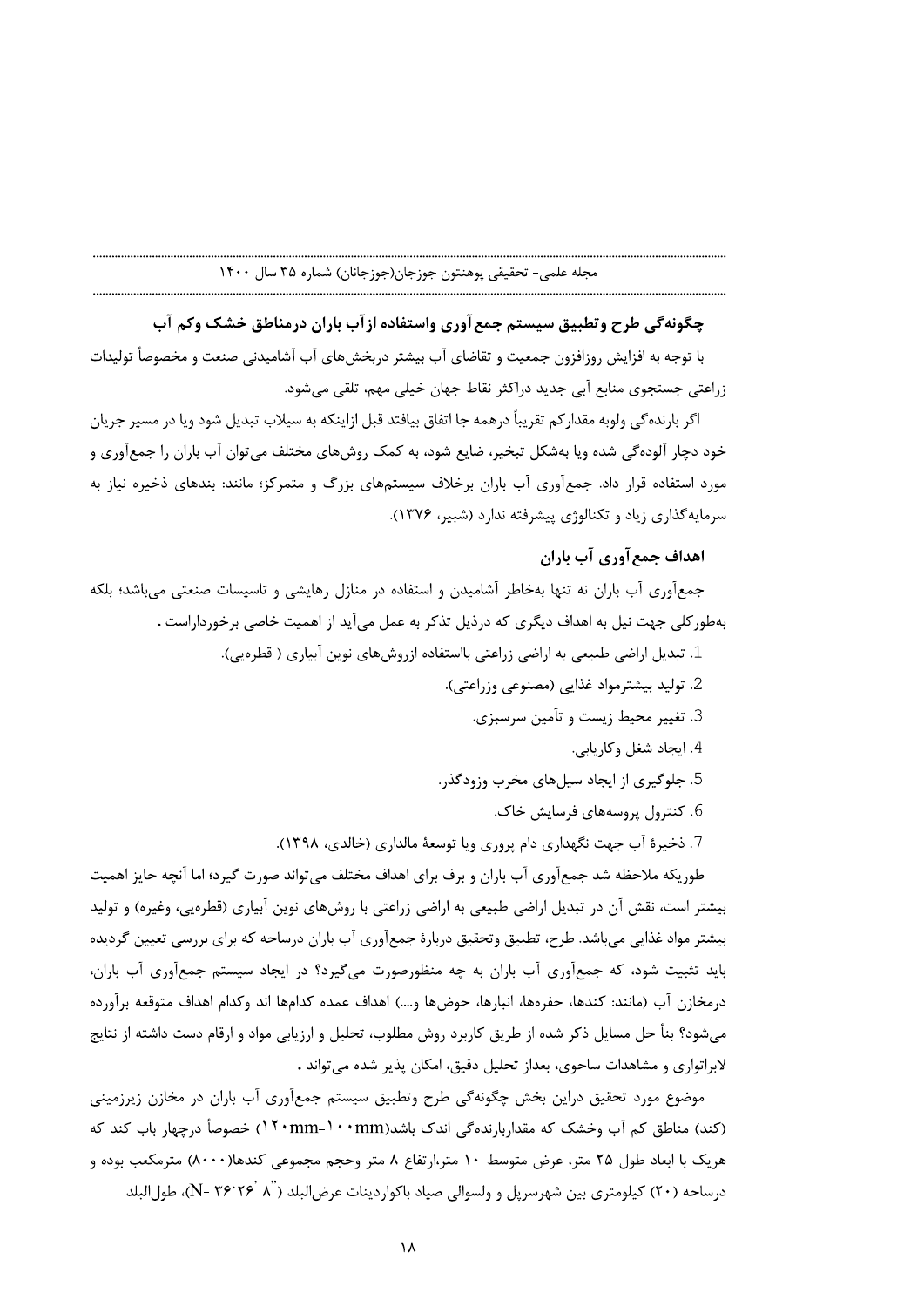با توجه به افزایش روزافزون جمعیت و تقاضای آب بیشتر دربخشهای آب آشامیدنی صنعت و مخصوصأ تولیدات زراعتی جستجوی منابع ابی جدید دراکثر نقاط جهان خیلی مهم، تلقی میشود.

مجله علمی- تحقیقی پوهنتون جوزجان(جوزجانان) شماره ۲۵ سال ۱۴۰۰<br>- استان ۱۴۰۰ سال ۱۴۰۰ مجله علمی- تحقیقی پوهنتون جوزجان(جوزجانان) شماره ۲۵ سال ۱۴۰۰<br>با توجه به افزایش روزافزون جمعیت و تقاضای آب بیشتر دربخش های آب آشامیدنی صنعت اگر بارندهگی ولوبه مقدارکم تقریبا درهمه جا اتفاق بیافتد قبل ازاینکه به سیلاب تبدیل شود ویا در مسیر جریان خود دچار الوده کی شده ویا بهشکل تبخیر، ضایع شود، به کمک روشهای مختلف میتوان اب باران را جمعاوری و هورد استفاده قرار داد. جمعآوری آب باران برخلاف سیستمهای بزرگ و متمرکز؛ مانند: بندهای ذخیره نیاز به سرمایه *گ*ذاری زیاد و تکنالوژی پیشرفته ندارد (شبیر، ۱۳۷۶).<br>**اهداف جمع آوری آب باران** 

جمع|وری اب باران نه تنها بهخاطر اشامیدن و استفاده در منازل رهایشی و تاسیسات صنعتی میباشد؛ بلکه بهطور کلی جهت نیل به اهداف دیگری که درذیل تذکر به عمل می اید از اهمیت خاصی برخورداراست .

- ـ . تبدیل اراضی طبیعی به اراضی زراعتی بااستفاده ازروشهای نوین ابیاری ( قطرهیی).
	- 2. تولید بیشترمواد غذایی (مصنوعی وزراعتی).
		- 3. تغيير محيط زيست و تآمين سرسبزي.
			- 4. ایجاد شغل وکاریابی.
	- 5. جلوگیری از ایجاد سیلهای مخرب وزودگذر.
		- 6. کنترول پروسههای فرسایش خاک.
	- 7. ذخيرهٔ آب جهت نگهداري دام پروري ويا توسعهٔ مالداري (خالدي، ۱۳۹۸).

طوریکه ملاحظه شد جمع[وری آب باران و برف برای اهداف مختلف میتواند صورت گیرد؛ اما انچه حایز اهمیت بیشتر است، نقش آن در تبدیل اراضی طبیعی به اراضی زراعتی با روشهای نوین ابیاری (قطرهیی، وغیره) و تولید بیشتر مواد غذایی میباشد. طرح، تطبیق وتحقیق دربارهٔ جمعاوری اب باران درساحه که برای بررسی تعیین گردیده باید تثبیت شود، که جمعاوری اب باران به چه منظورصورت میگیرد؟ در ایجاد سیستم جمعاوری اب باران، درمخازن آب (مانند: کندها، حفرهها، انبارها، حوضها و….) اهداف عمده کدامها اند وکدام اهداف متوقعه براورده - میشود؟ بنا حل مسایل ذکر شده از طریق کاربرد روش مطلوب، تحلیل و ارزیابی مواد و ارقام دست داشته از نتایج لابراتواری و مشاهدات ساحوی، بعداز تحلیل دقیق، امکان پذیر شده میتواند .

- موضوع مورد تحقیق دراین بخش چگونهگی طرح وتطبیق سیستم جمع|وری اب باران در مخازن زیرزمینی \_ (کند) مناطق کم اب وخشک که مقداربارندهگی اندک باشد(mm−۱۰۰mm→۱۰۰mm (۱۰ مصوصاً درچهار باب کند که هریک با ابعاد طول ۲۵ متر، عرض متوسط ۱۰ متر،ارتفاع ۸ متر وحجم مجموعی کندها(۸۰۰۰) مترمکعب بوده و درساحه (۲۰) کیلومتری بین شهرسرپل و ولسوالی صیاد باکواردینات عرضالبلد (M- ۳۶٬۲۶٬ ۸ $\,$ )، طولالبلد (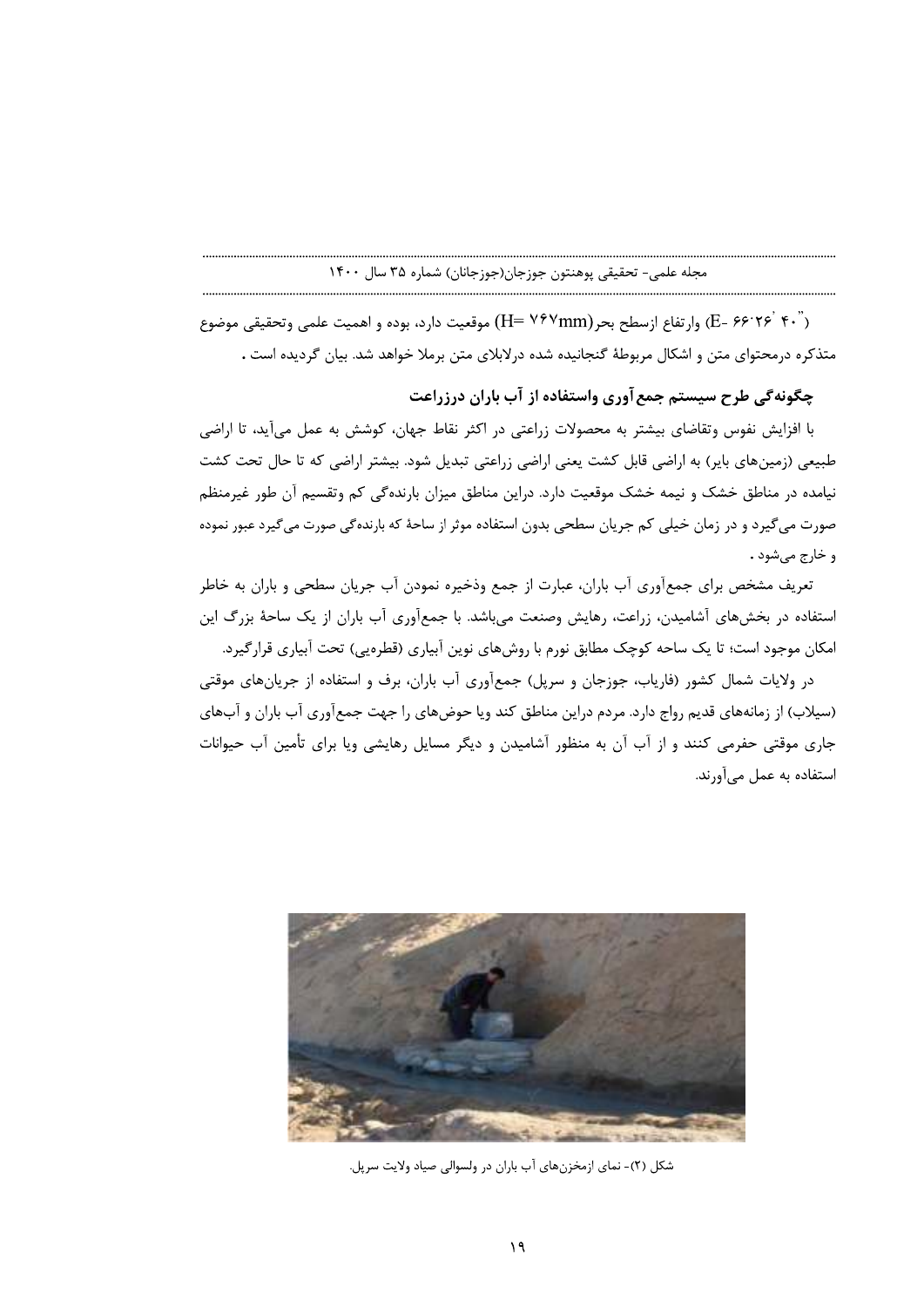(E- ۶۶٬۲۶<sup>٬</sup>۴۰٬ ) وار تفاع ازسطح بحر (H= ۷۶۷mm) موقعیت دارد، بوده و اهمیت علمی وتحقیقی موضوع متذکره درمحتوای متن و اشکال مربوطهٔ گنجانیده شده درلابلای متن برملا خواهد شد. بیان گردیده است .

چگونهگی طرح سیستم جمع آوری واستفاده از آب باران درزراعت

با افزایش نفوس وتقاضای بیشتر به محصولات زراعتی در اکثر نقاط جهان، کوشش به عمل میآید، تا اراضی طبیعی (زمینهای بایر) به اراضی قابل کشت یعنی اراضی زراعتی تبدیل شود. بیشتر اراضی که تا حال تحت کشت نیامده در مناطق خشک و نیمه خشک موقعیت دارد. دراین مناطق میزان بارندهگی کم وتقسیم آن طور غیرمنظم صورت می گیرد و در زمان خیلی کم جریان سطحی بدون استفاده موثر از ساحهٔ که بارنده گی صورت می گیرد عبور نموده و خارج می شود .

تعریف مشخص برای جمعآوری آب باران، عبارت از جمع وذخیره نمودن آب جریان سطحی و باران به خاطر استفاده در بخشهای آشامیدن، زراعت، رهایش وصنعت میباشد. با جمعآوری آب باران از یک ساحهٔ بزرگ این امکان موجود است؛ تا یک ساحه کوچک مطابق نورم با روشهای نوین آبیاری (قطرهیی) تحت آبیاری قرارگیرد.

در ولایات شمال کشور (فاریاب، جوزجان و سریل) جمعآوری آب باران، برف و استفاده از جریانهای موقتی (سیلاب) از زمانههای قدیم رواج دارد. مردم دراین مناطق کند ویا حوضهای را جهت جمعآوری آب باران و آبهای جاری موقتی حفرمی کنند و از آب آن به منظور آشامیدن و دیگر مسایل رهایشی ویا برای تأمین آب حیوانات استفاده به عمل میآورند.



شکل (۲)- نمای ازمخزنهای آب باران در ولسوالی صیاد ولایت سرپل.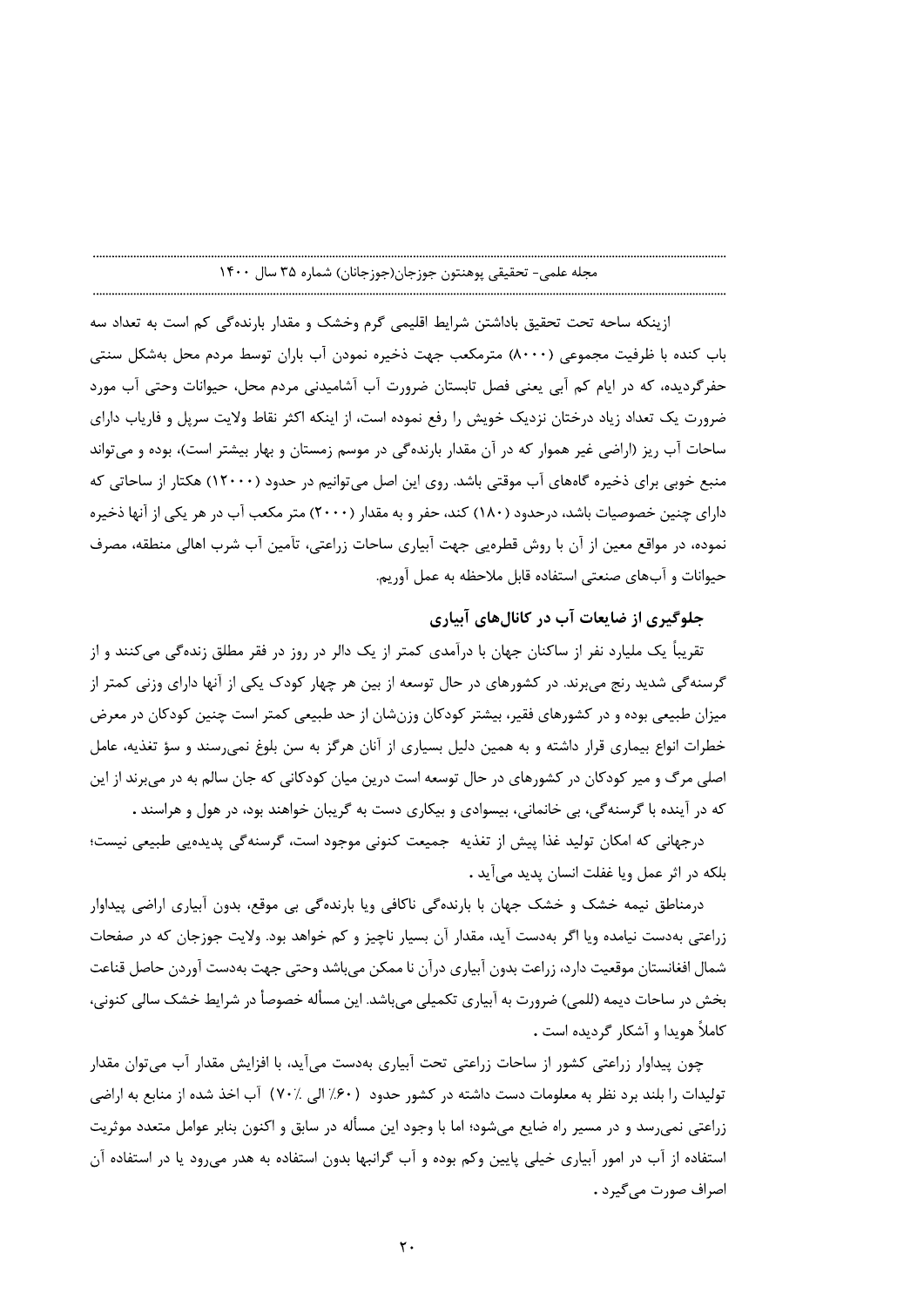ازینکه ساحه تحت تحقیق باداشتن شرایط اقلیمی گرم وخشک و مقدار بارندهگی کم است به تعداد سه باب کنده با ظرفیت مجموعی (۸۰۰۰) مترمکعب جهت ذخیره نمودن آب باران توسط مردم محل بهشکل سنتی حفرگردیده، که در ایام کم آبی یعنی فصل تابستان ضرورت آب آشامیدنی مردم محل، حیوانات وحتی آب مورد ضرورت یک تعداد زیاد درختان نزدیک خویش را رفع نموده است، از اینکه اکثر نقاط ولایت سریل و فاریاب دارای ساحات آب ریز (اراضی غیر هموار که در آن مقدار بارندهگی در موسم زمستان و بهار بیشتر است)، بوده و می تواند منبع خوبی برای ذخیره گاههای آب موقتی باشد. روی این اصل میتوانیم در حدود (۱۲۰۰۰) هکتار از ساحاتی که دارای چنین خصوصیات باشد، درحدود (۱۸۰) کند، حفر و به مقدار (۲۰۰۰) متر مکعب آب در هر یکی از آنها ذخیره نموده، در مواقع معین از آن با روش قطرهیی جهت آبیاری ساحات زراعتی، تأمین آب شرب اهالی منطقه، مصرف حيوانات و آبهاي صنعتي استفاده قابل ملاحظه به عمل آوريم.

# جلوگیری از ضایعات آب در کانالهای آبیاری

تقریباً یک ملیارد نفر از ساکنان جهان با درآمدی کمتر از یک دالر در روز در فقر مطلق زندهگی میکنند و از گرسنهگی شدید رنج می برند. در کشورهای در حال توسعه از بین هر چهار کودک یکی از آنها دارای وزنی کمتر از میزان طبیعی بوده و در کشورهای فقیر، بیشتر کودکان وزنشان از حد طبیعی کمتر است چنین کودکان در معرض خطرات انواع بیماری قرار داشته و به همین دلیل بسیاری از آنان هرگز به سن بلوغ نمی رسند و سؤ تغذیه، عامل اصلي مرگ و مير کودکان در کشورهاي در حال توسعه است درين ميان کودکاني که جان سالم به در مي برند از اين که در آینده با گرسنهگی، بی خانمانی، بیسوادی و بیکاری دست به گریبان خواهند بود، در هول و هراسند .

درجهانی که امکان تولید غذا پیش از تغذیه جمیعت کنونی موجود است، گرسنهگی پدیدهیی طبیعی نیست؛ بلكه در اثر عمل ويا غفلت انسان يديد مي آيد .

درمناطق نیمه خشک و خشک جهان با بارندهگی ناکافی ویا بارندهگی بی موقع، بدون آبیاری اراضی پیداوار زراعتی بهدست نیامده ویا اگر بهدست آید، مقدار آن بسیار ناچیز و کم خواهد بود. ولایت جوزجان که در صفحات شمال افغانستان موقعیت دارد، زراعت بدون آبیاری درآن نا ممکن می باشد وحتی جهت بهدست آوردن حاصل قناعت بخش در ساحات دیمه (للمی) ضرورت به آبیاری تکمیلی می باشد. این مسأله خصوصأ در شرایط خشک سالی کنونی، کاملاً هویدا و آشکار گردیده است .

چون پیداوار زراعتی کشور از ساحات زراعتی تحت آبیاری بهدست میآید، با افزایش مقدار آب میتوان مقدار توليدات را بلند برد نظر به معلومات دست داشته در كشور حدود (۶۰٪ الى ٧٠٪) آب اخذ شده از منابع به اراضى زراعتی نمیرسد و در مسیر راه ضایع میشود؛ اما با وجود این مسأله در سابق و اکنون بنابر عوامل متعدد موثریت استفاده از آب در امور آبیاری خیلی پایین وکم بوده و آب گرانبها بدون استفاده به هدر میرود یا در استفاده آن اصراف صورت می گیرد .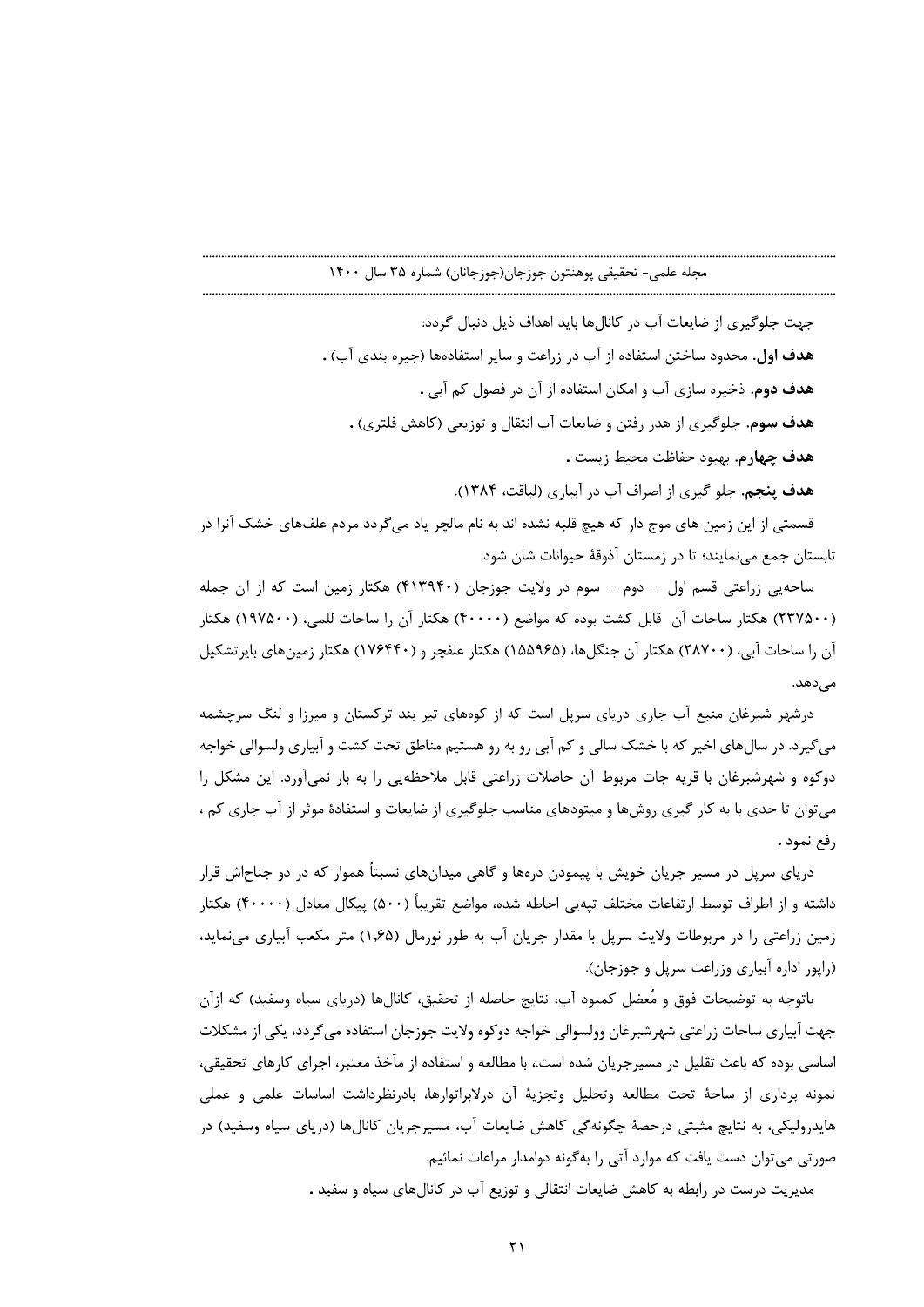جهت جلوگیری از ضایعات آب در کانالها باید اهداف ذیل دنبال گردد: هدف اول. محدود ساختن استفاده از آب در زراعت و سایر استفادهها (جیره بندی آب) . هدف دوم. ذخیره سازی آب و امکان استفاده از آن در فصول کم آبی . هدف سوم. جلوگیری از هدر رفتن و ضایعات آب انتقال و توزیعی (کاهش فلتری) . هدف چهارم. بهبود حفاظت محيط زيست . هدف پنجم. جلو گیری از اصراف آب در آبیاری (لیاقت، ۱۳۸۴).

قسمتی از این زمین های موج دار که هیچ قلبه نشده اند به نام مالچر یاد می¢ردد مردم علفهای خشک آنرا در تابستان جمع می نمایند؛ تا در زمستان آذوقهٔ حیوانات شان شود.

ساحهیی زراعتی قسم اول – دوم – سوم در ولایت جوزجان (۴۱۳۹۴۰) هکتار زمین است که از آن جمله (۲۳۷۵۰۰) هکتار ساحات آن قابل کشت بوده که مواضع (۴۰۰۰۰) هکتار آن را ساحات للمی، (۱۹۷۵۰۰) هکتار آن را ساحات آبی، (۲۸۷۰۰) هکتار آن جنگلها، (۱۵۵۹۶۵) هکتار علفچر و (۱۷۶۴۴۰) هکتار زمینهای بایرتشکیل مے ردھد.

درشهر شبرغان منبع آب جاری دریای سرپل است که از کوههای تیر بند ترکستان و میرزا و لنگ سرچشمه می گیرد. در سال های اخیر که با خشک سالی و کم آبی رو به رو هستیم مناطق تحت کشت و آبیاری ولسوالی خواجه دوکوه و شهرشبرغان با قریه جات مربوط آن حاصلات زراعتی قابل ملاحظهیی را به بار نمیآورد. این مشکل را می توان تا حدی با به کار گیری روشها و میتودهای مناسب جلوگیری از ضایعات و استفادهٔ موثر از آب جاری کم ، رفع نمود .

دریای سرپل در مسیر جریان خویش با پیمودن درهها و گاهی میدانهای نسبتاً هموار که در دو جناحاش قرار داشته و از اطراف توسط ارتفاعات مختلف تپهیی احاطه شده، مواضع تقریباً (۵۰۰) پیکال معادل (۴۰۰۰۰) هکتار زمین زراعتی را در مربوطات ولایت سریل با مقدار جریان آب به طور نورمال (۱٫۶۵) متر مکعب آبیاری می نماید، (راپور اداره آبیاری وزراعت سرپل و جوزجان).

باتوجه به توضیحات فوق و مُعضل کمبود آب، نتایج حاصله از تحقیق، کانالها (دریای سیاه وسفید) که ازآن جهت آبیاری ساحات زراعتی شهرشبرغان وولسوالی خواجه دوکوه ولایت جوزجان استفاده می گردد، یکی از مشکلات اساسی بوده که باعث تقلیل در مسیرجریان شده است.، با مطالعه و استفاده از مآخذ معتبر، اجرای کارهای تحقیقی، نمونه برداری از ساحهٔ تحت مطالعه وتحلیل وتجزیهٔ آن درلابراتوارها، بادرنظرداشت اساسات علمی و عملی هایدرولیکی، به نتایچ مثبتی درحصهٔ چگونهگی کاهش ضایعات آب، مسیرجریان کانالها (دریای سیاه وسفید) در صورتی می توان دست یافت که موارد آتی را بهگونه دوامدار مراعات نمائیم.

مدیریت درست در رابطه به کاهش ضایعات انتقالی و توزیع آب در کانالهای سیاه و سفید .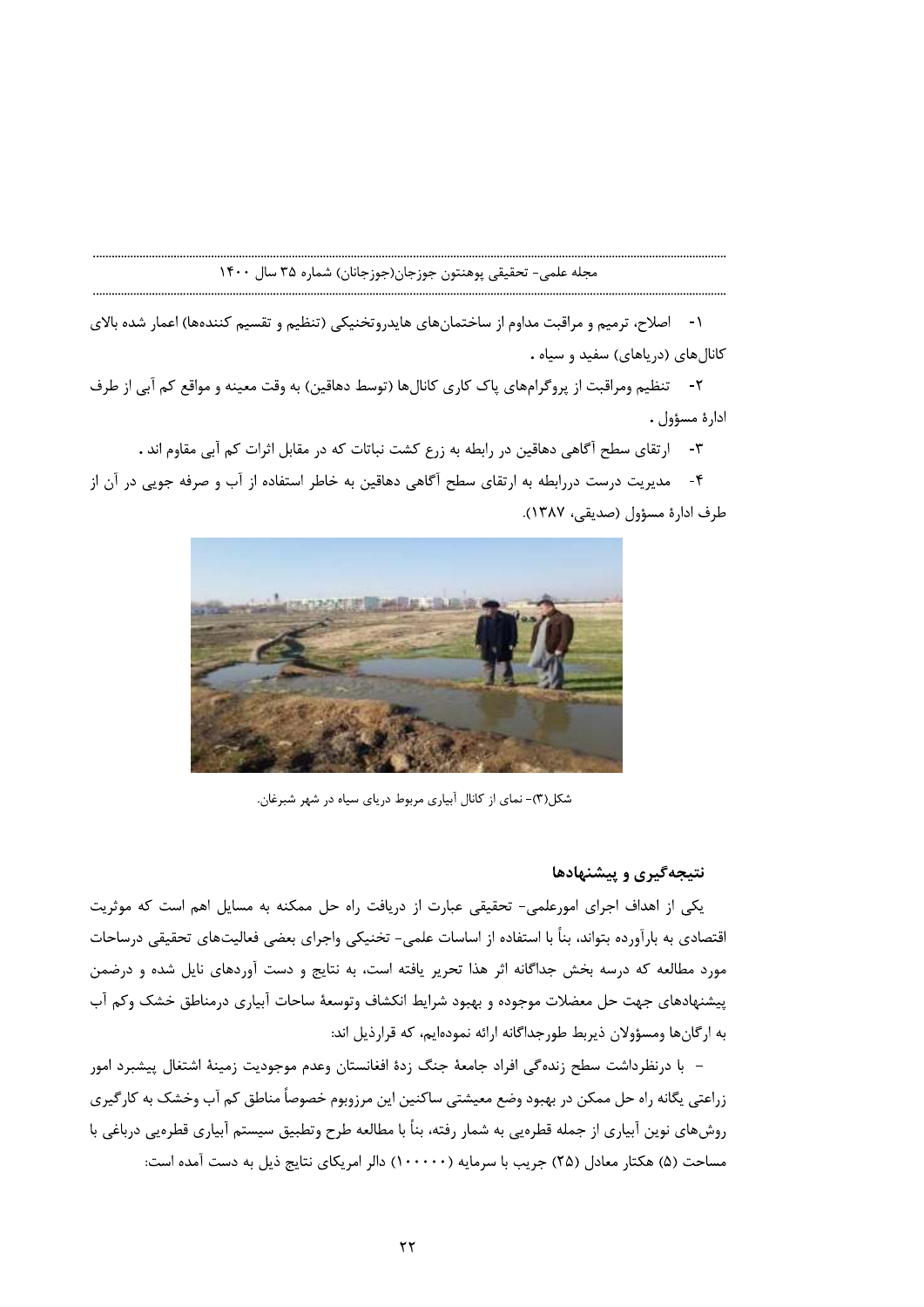۱- اصلاح، ترمیم و مراقبت مداوم از ساختمانهای هایدروتخنیکی (تنظیم و تقسیم کنندهها) اعمار شده بالای کانالهای (دریاهای) سفید و سیاه .

٢- تنظيم ومراقبت از پروگرامهاي پاک کاري کانالها (توسط دهاقين) به وقت معينه و مواقع کم آبي از طرف ادارة مسؤول .

٣- ارتقاى سطح آگاهى دهاقين در رابطه به زرع كشت نباتات كه در مقابل اثرات كم آبى مقاوم اند .

۴- مدیریت درست دررابطه به ارتقای سطح آگاهی دهاقین به خاطر استفاده از آب و صرفه جویی در آن از طرف ادارۂ مسؤول (صدیقے، ۱۳۸۷).



شکل(۳)- نمای از کانال آبیاری مربوط دریای سیاه در شهر شبرغان.

# نتیجهگیری و پیشنهادها

یکی از اهداف اجرای امورعلمی- تحقیقی عبارت از دریافت راه حل ممکنه به مسایل اهم است که موثریت اقتصادی به بارآورده بتواند، بنأ با استفاده از اساسات علمی- تخنیکی واجرای بعضی فعالیتهای تحقیقی درساحات مورد مطالعه که درسه بخش جداگانه اثر هذا تحریر یافته است، به نتایج و دست آوردهای نایل شده و درضمن پیشنهادهای جهت حل معضلات موجوده و بهبود شرایط انکشاف وتوسعهٔ ساحات آبیاری درمناطق خشک وکم آب به ارگانها ومسؤولان ذيربط طورجداگانه ارائه نمودهايم، كه قرارذيل اند:

– با درنظرداشت سطح زنده گی افراد جامعهٔ جنگ زدهٔ افغانستان وعدم موجودیت زمینهٔ اشتغال پیشبرد امور زراعتي يگانه راه حل ممكن در بهبود وضع معيشتي ساكنين اين مرزوبوم خصوصاً مناطق كم آب وخشك به كارگيري روشهای نوین آبیاری از جمله قطرهیی به شمار رفته، بناً با مطالعه طرح وتطبیق سیستم آبیاری قطرهیی درباغی با مساحت (۵) هکتار معادل (۲۵) جریب با سرمایه (۱۰۰۰۰۰) دالر امریکای نتایج ذیل به دست آمده است: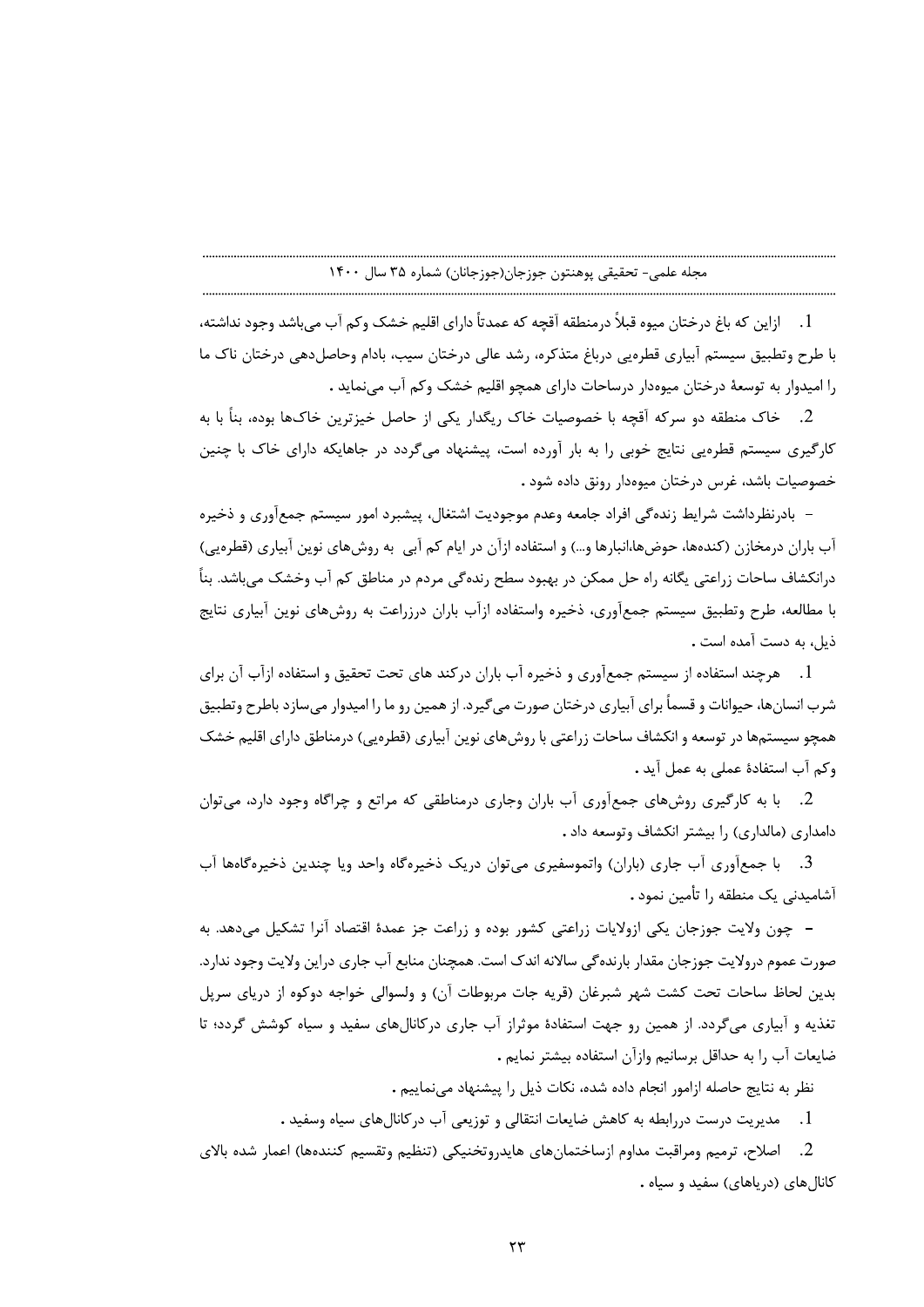1. ازاين كه باغ درختان ميوه قبلاً درمنطقه آقچه كه عمدتاً داراي اقليم خشک وكم آب ميباشد وجود نداشته، با طرح وتطبيق سيستم آبياري قطرهيي درباغ متذكره، رشد عالي درختان سيب، بادام وحاصلدهي درختان ناك ما ,ا امیدوار به توسعهٔ درختان میوهدار درساحات دارای همچو اقلیم خشک وکم آب می نماید .

2. خاک منطقه دو سرکه آقچه با خصوصیات خاک ریگدار یکی از حاصل خیزترین خاکـها بوده، بناً با به کارگیری سیستم قطرمیی نتایج خوبی را به بار آورده است، پیشنهاد می گردد در جاهایکه دارای خاک با چنین خصوصيات باشد، غرس درختان ميوهدار رونق داده شود .

– بادرنظرداشت شرایط زندهگی افراد جامعه وعدم موجودیت اشتغال، پیشبرد امور سیستم جمعآوری و ذخیره آب باران درمخازن (کندهها، حوضها،انبارها و…) و استفاده ازآن در ایام کم آبی به روشهای نوین آبیاری (قطرهیی) درانکشاف ساحات زراعتی یگانه راه حل ممکن در بهبود سطح رندهگی مردم در مناطق کم آب وخشک میباشد. بناً با مطالعه، طرح وتطبيق سيستم جمع آوري، ذخيره واستفاده ازآب باران درزراعت به روشهاي نوين آبياري نتايج ذيل، به دست آمده است .

1. \_ هرچند استفاده از سیستم جمعآوری و ذخیره آب باران درکند های تحت تحقیق و استفاده ازآب آن برای شرب انسانِها، حیوانات و قسماً برای آبیاری درختان صورت می گیرد. از همین رو ما را امیدوار می سازد باطرح وتطبیق همچو سیستمها در توسعه و انکشاف ساحات زراعتی با روشهای نوین آبیاری (قطرهیی) درمناطق دارای اقلیم خشک وكم آب استفادة عملى به عمل آيد .

2. با به کارگیری روشهای جمعآوری آب باران وجاری درمناطقی که مراتع و چراگاه وجود دارد، می توان دامداری (مالداری) را بیشتر انکشاف وتوسعه داد .

3. با جمعآوري آب جاري (باران) واتموسفيري مي توان دريک ذخيرهگاه واحد ويا چندين ذخيرهگاهها آب آشامیدنی یک منطقه را تأمین نمود .

– چون ولایت جوزجان یکی ازولایات زراعتی کشور بوده و زراعت جز عمدهٔ اقتصاد آنرا تشکیل می دهد. به صورت عموم درولايت جوزجان مقدار بارنده گي سالانه اندک است. همچنان منابع آب جاري دراين ولايت وجود ندارد. بدین لحاظ ساحات تحت کشت شهر شبرغان (قریه جات مربوطات آن) و ولسوالی خواجه دوکوه از دریای سریل تغذیه و آبیاری میگردد. از همین رو جهت استفادهٔ موثراز آب جاری درکانالهای سفید و سیاه کوشش گردد؛ تا ضايعات آب ,ا به حداقل برسانيم وازآن استفاده بيشتر نمايم .

نظر به نتايج حاصله ازامور انجام داده شده، نكات ذيل را پيشنهاد مى نماييم .

1. مديريت درست دررابطه به كاهش ضايعات انتقالي و توزيعي آب دركانالهاي سياه وسفيد .

2. اصلاح، ترميم ومراقبت مداوم ازساختمانهاي هايدروتخنيكي (تنظيم وتقسيم كنندهها) اعمار شده بالاي کانالهای (دریاهای) سفید و سیاه .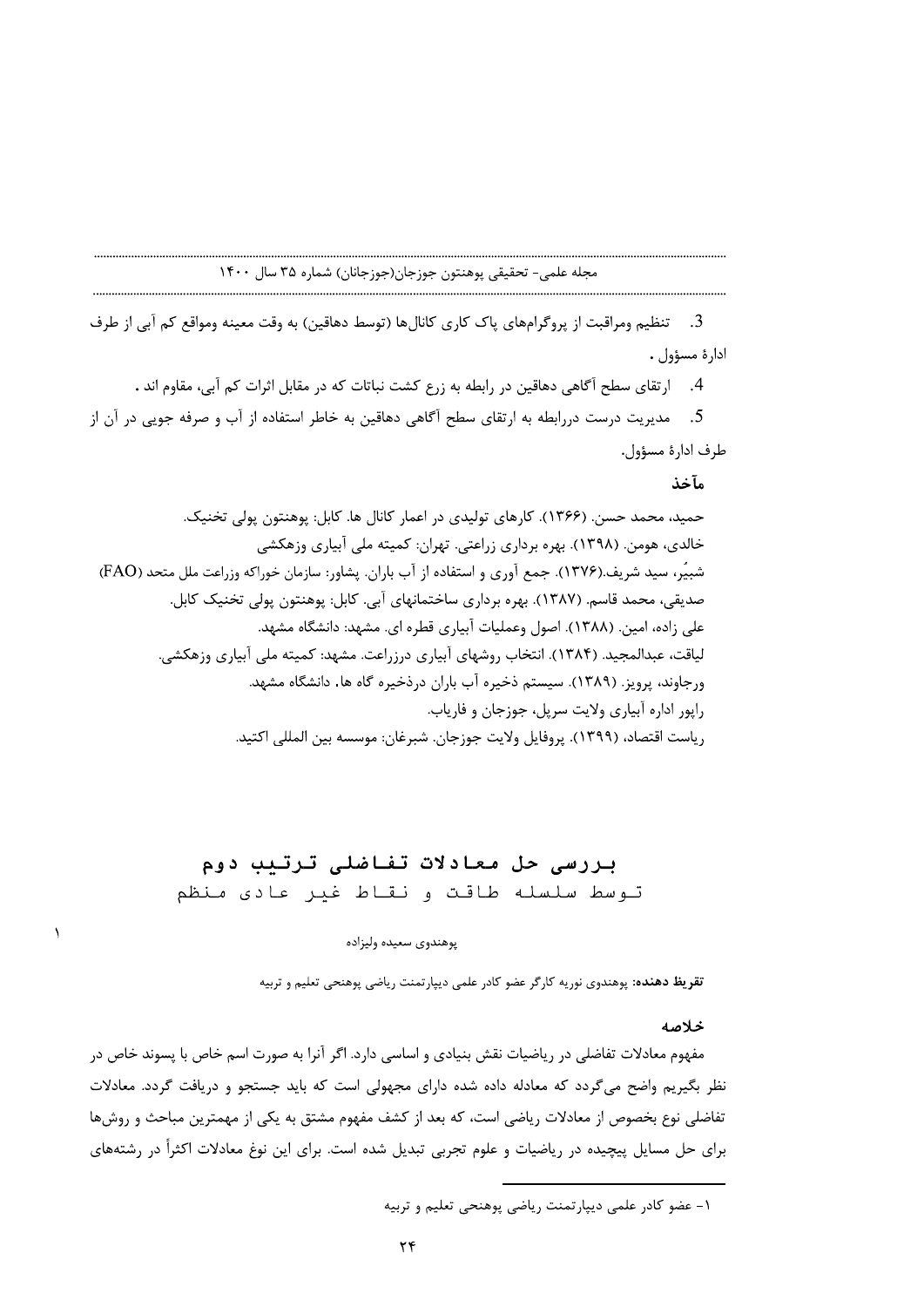3. تنظيم ومراقبت از پروگرامهاي پاک کاري کانالها (توسط دهاقين) به وقت معينه ومواقع کم آبي از طرف ادارهٔ مسؤول .

4. ارتقاى سطح آگاهى دهاقين در رابطه به زرع كشت نباتات كه در مقابل اثرات كم آبى، مقاوم اند .

5. مدیریت درست دررابطه به ارتقای سطح آگاهی دهاقین به خاطر استفاده از آب و صرفه جویی در آن از طرف ادارة مسؤول.

# مآخذ

حمید، محمد حسن. (۱۳۶۶). کارهای تولیدی در اعمار کانال ها. کابل: پوهنتون پولی تخنیک. خالدی، هومن. (۱۳۹۸). بهره برداری زراعتی. تهران: کمیته ملی آبیاری وزهکشی شبيِّر، سيد شريف.(١٣٧۶). جمع آوري و استفاده از آب باران. يشاور: سازمان خوراكه وزراعت ملل متحد (FAO) صدیقی، محمد قاسم. (۱۳۸۷). بهره برداری ساختمانهای آبی. کابل: پوهنتون پولی تخنیک کابل. علی زاده، امین. (۱۳۸۸). اصول وعملیات آبیاری قطره ای. مشهد: دانشگاه مشهد. لیاقت، عبدالمجید. (۱۳۸۴). انتخاب روشهای آبیاری درزراعت. مشهد: کمیته ملی آبیاری وزهکشی. ورجاوند، پرویز. (۱۳۸۹). سیستم ذخیره آب باران درذخیره گاه ها. دانشگاه مشهد. رايور اداره آبياري ولايت سريل، جوزجان و فارياب. رياست اقتصاد، (١٣٩٩). پروفايل ولايت جوزجان. شبرغان: موسسه بين المللي اكتيد.

# بررسی حل معادلات تفاضلی ترتبب دوم توسط سلسله طاقت و نقاط غير عادي منظم

# پوهندوي سعيده وليزاده

تقریظ دهنده: پوهندوی نوریه کارگر عضو کادر علمی دیپارتمنت ریاضی پوهنجی تعلیم و تربیه

### خلاصه

مفهوم معادلات تفاضلي در رياضيات نقش بنيادي و اساسي دارد. اگر آنرا به صورت اسم خاص با پسوند خاص در نظر بگیریم واضح میگردد که معادله داده شده دارای مجهولی است که باید جستجو و دریافت گردد. معادلات تفاضلی نوع بخصوص از معادلات ریاضی است، که بعد از کشف مفهوم مشتق به یکی از مهمترین مباحث و روشها برای حل مسایل پیچیده در ریاضیات و علوم تجربی تبدیل شده است. برای این نوغ معادلات اکثراً در رشتههای

۱- عضو کادر علمی دیپارتمنت ریاضی یوهنجی تعلیم و تربیه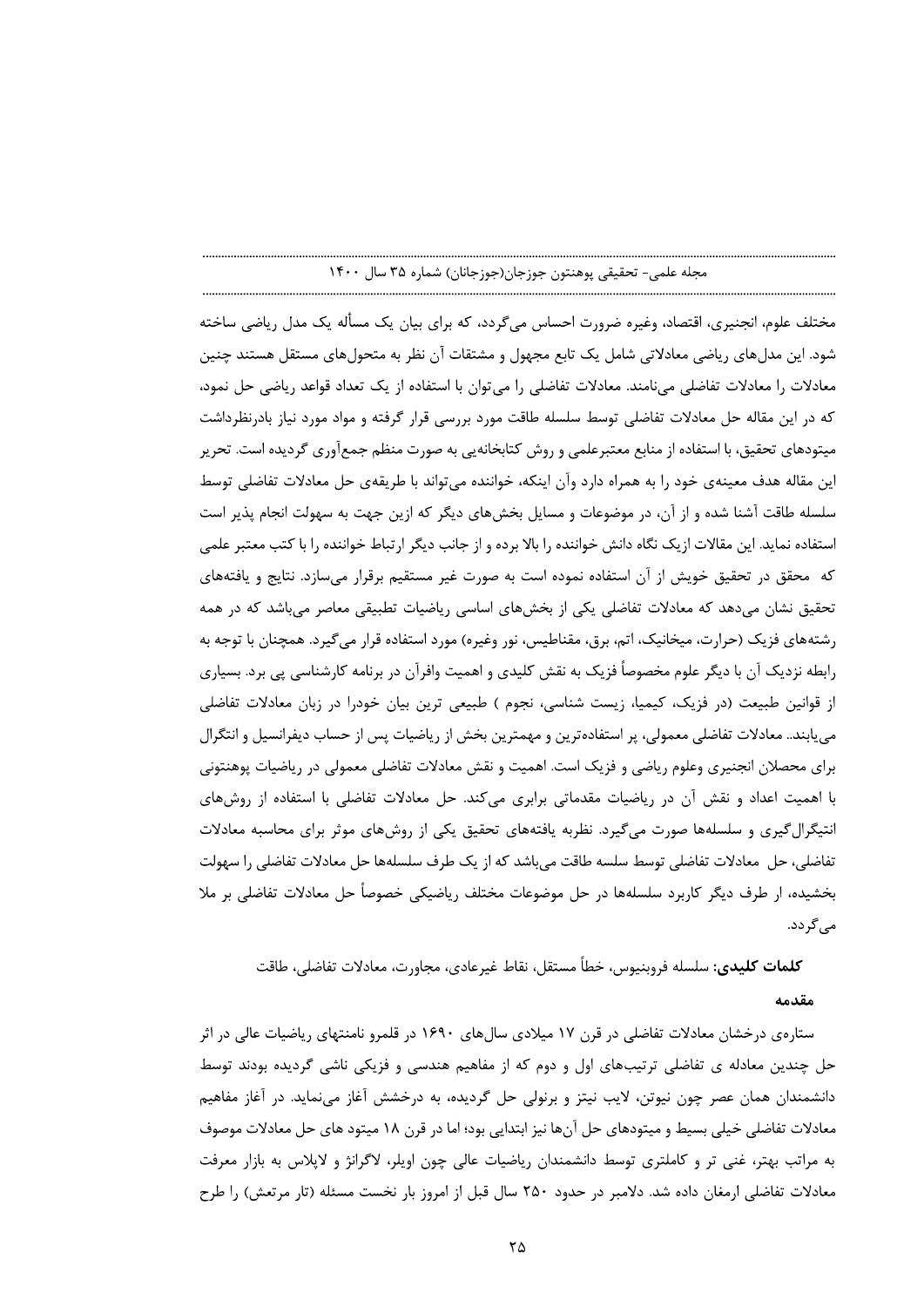مختلف علوم، انجنیری، اقتصاد، وغیرہ ضرورت احساس میگردد، که برای بیان یک مسأله یک مدل ریاضی ساخته شود. این مدلهای ریاضی معادلاتی شامل یک تابع مجهول و مشتقات آن نظر به متحولهای مستقل هستند چنین معادلات را معادلات تفاضلي ميiامند. معادلات تفاضلي را مي توان با استفاده از يک تعداد قواعد رياضي حل نمود، که در این مقاله حل معادلات تفاضلی توسط سلسله طاقت مورد بررسی قرار گرفته و مواد مورد نیاز بادرنظرداشت میتودهای تحقیق، با استفاده از منابع معتبرعلمی و روش کتابخانهیی به صورت منظم جمع[وری گردیده است. تحریر این مقاله هدف معینهی خود را به همراه دارد وآن اینکه، خواننده می تواند با طریقهی حل معادلات تفاضلی توسط سلسله طاقت آشنا شده و از آن، در موضوعات و مسایل بخش۵مای دیگر که ازین جهت به سهولت انجام پذیر است استفاده نماید. این مقالات ازیک نگاه دانش خواننده را بالا برده و از جانب دیگر ارتباط خواننده را با کتب معتبر علمی که محقق در تحقیق خویش از آن استفاده نموده است به صورت غیر مستقیم برقرار می سازد. نتایج و یافتههای تحقیق نشان میدهد که معادلات تفاضلی یکی از بخشهای اساسی ریاضیات تطبیقی معاصر میباشد که در همه رشتههای فزیک (حرارت، میخانیک، اتم، برق، مقناطیس، نور وغیره) مورد استفاده قرار میگیرد. همچنان با توجه به رابطه نزدیک آن با دیگر علوم مخصوصاً فزیک به نقش کلیدی و اهمیت وافرآن در برنامه کارشناسی یی برد. بسیاری از قوانین طبیعت (در فزیک، کیمیا، زیست شناسی، نجوم ) طبیعی ترین بیان خودرا در زبان معادلات تفاضلی می یابند.. معادلات تفاضلی معمولی، پر استفادهترین و مهمترین بخش از ریاضیات پس از حساب دیفرانسیل و انتگرال برای محصلان انجنیری وعلوم ریاضی و فزیک است. اهمیت و نقش معادلات تفاضلی معمولی در ریاضیات پوهنتونی با اهمیت اعداد و نقش آن در ریاضیات مقدماتی برابری میکند. حل معادلات تفاضلی با استفاده از روشهای انتیگرال گیری و سلسلهها صورت می گیرد. نظربه یافتههای تحقیق یکی از روشهای موثر برای محاسبه معادلات تفاضلي، حل معادلات تفاضلي توسط سلسه طاقت مي باشد كه از يک طرف سلسلهها حل معادلات تفاضلي را سهولت بخشیده، از طرف دیگر کاربرد سلسلهها در حل موضوعات مختلف ریاضیکی خصوصاً حل معادلات تفاضلی بر ملا مے گردد.

# **كلمات كليدي:** سلسله فروبنيوس، خطأ مستقل، نقاط غيرعادي، مجاورت، معادلات تفاضلي، طاقت مقدمه

ستارهی درخشان معادلات تفاضلی در قرن ۱۷ میلادی سال۱۶۹۰ در اقلمرو نامنتهای ریاضیات عالی در اثر حل چندین معادله ی تفاضلی ترتیبهای اول و دوم که از مفاهیم هندسی و فزیکی ناشی گردیده بودند توسط دانشمندان همان عصر چون نیوتن، لایب نیتز و برنولی حل گردیده، به درخشش آغاز مینماید. در آغاز مفاهیم معادلات تفاضلي خيلي بسيط و ميتودهاي حل آنها نيز ابتدايي بود؛ اما در قرن ١٨ ميتود هاي حل معادلات موصوف به مراتب بهتر، غنی تر و کاملتری توسط دانشمندان ریاضیات عالی چون اویلر، لاگرانژ و لاپلاس به بازار معرفت معادلات تفاضلی ارمغان داده شد. دلامبر در حدود ۲۵۰ سال قبل از امروز بار نخست مسئله (تار مرتعش) را طرح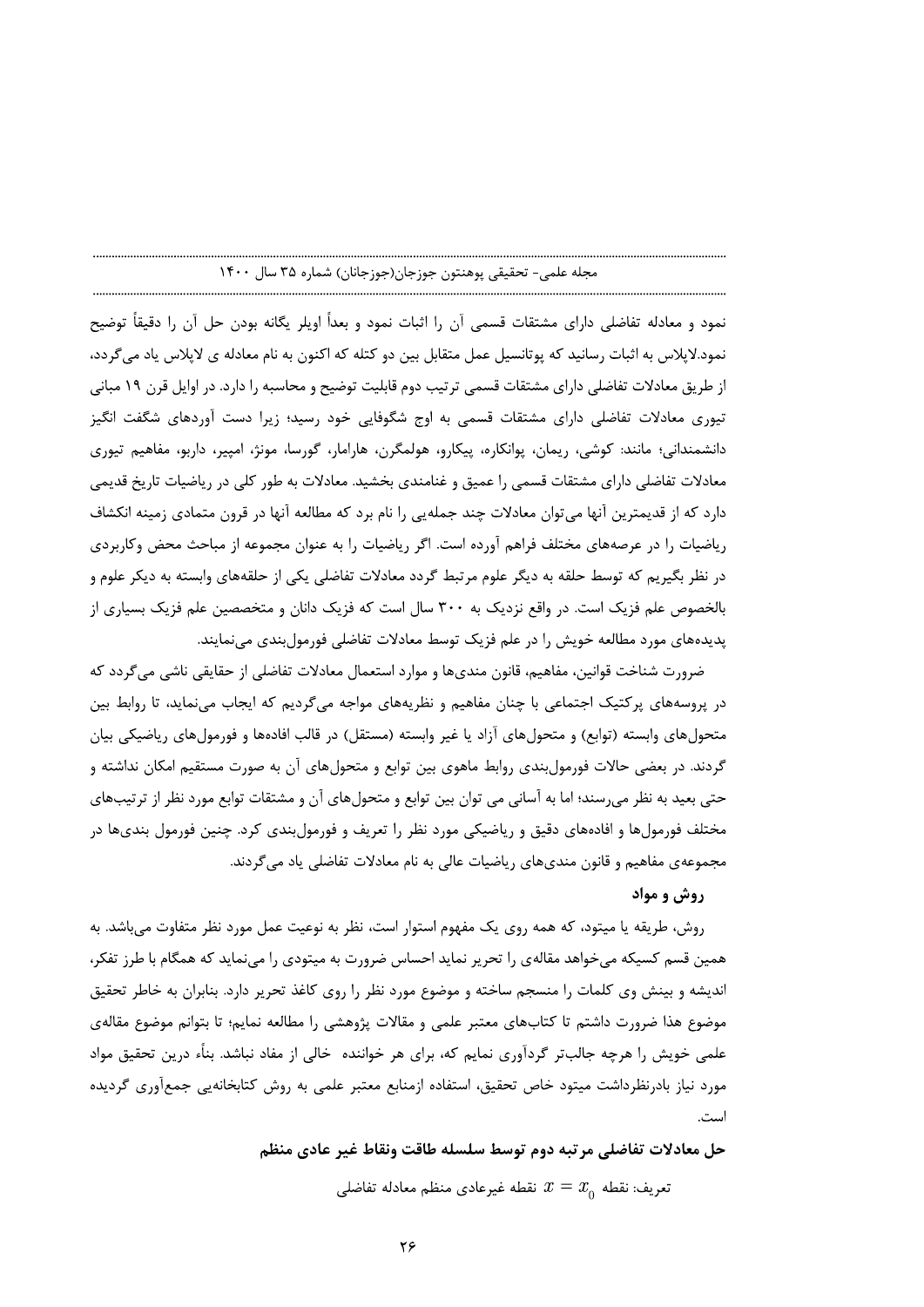نمود و معادله تفاضلی دارای مشتقات قسمی آن را اثبات نمود و بعداً اویلر یگانه بودن حل آن را دقیقاً توضیح نمود.لاپلاس به اثبات رسانید که پوتانسیل عمل متقابل بین دو کتله که اکنون به نام معادله ی لاپلاس یاد میگردد، از طریق معادلات تفاضلی دارای مشتقات قسمی ترتیب دوم قابلیت توضیح و محاسبه را دارد. در اوایل قرن ۱۹ مبانی تیوری معادلات تفاضلی دارای مشتقات قسمی به اوج شگوفایی خود رسید؛ زیرا دست آوردهای شگفت انگیز دانشمندانی؛ مانند: کوشی، ریمان، یوانکاره، پیکارو، هولمگرن، هارامار، گورسا، مونژ، امپیر، داربو، مفاهیم تیوری معادلات تفاضلی دارای مشتقات قسمی را عمیق و غنامندی بخشید. معادلات به طور کلی در ریاضیات تاریخ قدیمی دارد که از قدیمترین آنها می،ّوان معادلات چند جملهیی را نام برد که مطالعه آنها در قرون متمادی زمینه انکشاف ریاضیات را در عرصههای مختلف فراهم آورده است. اگر ریاضیات را به عنوان مجموعه از مباحث محض وکاربردی در نظر بگیریم که توسط حلقه به دیگر علوم مرتبط گردد معادلات تفاضلی یکی از حلقههای وابسته به دیکر علوم و بالخصوص علم فزیک است. در واقع نزدیک به ۳۰۰ سال است که فزیک دانان و متخصصین علم فزیک بسیاری از پدیدههای مورد مطالعه خویش را در علم فزیک توسط معادلات تفاضلی فورمولبندی می نمایند.

ضرورت شناخت قوانین، مفاهیم، قانون مندیها و موارد استعمال معادلات تفاضلی از حقایقی ناشی می گردد که در پروسههای پرکتیک اجتماعی با چنان مفاهیم و نظریههای مواجه میگردیم که ایجاب مینماید، تا روابط بین متحولهای وابسته (توابع) و متحولهای آزاد یا غیر وابسته (مستقل) در قالب افادهها و فورمولهای ریاضیکی بیان گردند. در بعضی حالات فورمول بندی روابط ماهوی بین توابع و متحولهای آن به صورت مستقیم امکان نداشته و حتی بعید به نظر میرسند؛ اما به آسانی می توان بین توابع و متحولهای آن و مشتقات توابع مورد نظر از ترتیبهای مختلف فورمولها و افادههای دقیق و ریاضیکی مورد نظر را تعریف و فورمولبندی کرد. چنین فورمول بندیها در مجموعهی مفاهیم و قانون مندیهای ریاضیات عالی به نام معادلات تفاضلی یاد می گردند.

# روش و مواد

روش، طریقه یا میتود، که همه روی یک مفهوم استوار است، نظر به نوعیت عمل مورد نظر متفاوت مے باشد. به همین قسم کسیکه میخواهد مقالهی را تحریر نماید احساس ضرورت به میتودی را مینماید که همگام با طرز تفکر، اندیشه و بینش وی کلمات را منسجم ساخته و موضوع مورد نظر را روی کاغذ تحریر دارد. بنابران به خاطر تحقیق موضوع هذا ضرورت داشتم تا كتابهاي معتبر علمي و مقالات پژوهشي را مطالعه نمايم؛ تا بتوانم موضوع مقالهي علمی خویش را هرچه جالبتر گردآوری نمایم که، برای هر خواننده خالی از مفاد نباشد. بناًء درین تحقیق مواد مورد نیاز بادرنظرداشت میتود خاص تحقیق، استفاده ازمنابع معتبر علمی به روش کتابخانهیی جمعآوری گردیده است.

حل معادلات تفاضلي مرتبه دوم توسط سلسله طاقت ونقاط غير عادي منظم

تعريف: نقطه  $x=x_\text{0}$  نقطه غيرعادي منظم معادله تفاضلي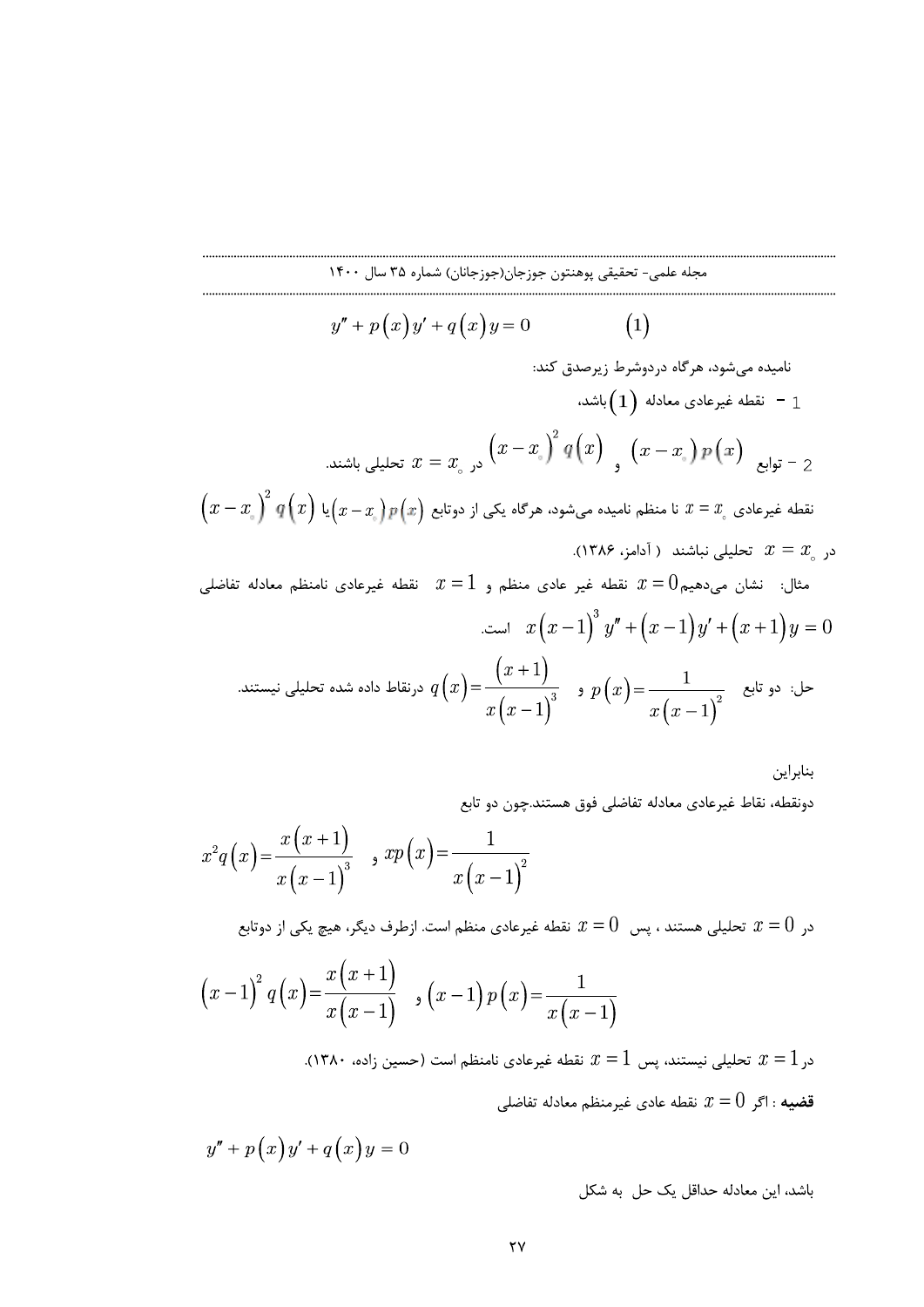$$
y'' + p(x)y' + q(x)y = 0
$$
\n(1)

نامیده میشود، هرگاه دردوشرط زیرصدق کند:  
1 – نقطه غیرعادی معادله (1) باشد،  
نقله غیرعادی 
$$
x = x_{\circ} y_{\circ} x + \frac{1}{2} q(x) \left(x - x_{\circ} y_{\circ} x\right)
$$
  
نقله غیرعادی  $x = x_{\circ} y_{\circ} x$  نا منظم نامیده میشود، هرگاه یکی از دوتابع (x) یا  $(x - x_{\circ})^2 q(x) \left(x - x_{\circ} y_{\circ} x\right)$   
در  $x_{\circ} = x$  تحلیلی نباشند ( آدامز، ۱۳۸۶).  
در  $x = x_{\circ}$ 

مثال: نشان می $\alpha$ هیم $x=0$  نقطه غیر عادی منظم و  $x=1$  نقطه غیرعادی نامنظم معادله تفاضلی است.  $x(x-1)^3 y'' + (x-1)y' + (x+1)y = 0$  $(x+1)$   $(x+1)$ ستند.

حل: دو تابع    دو تابع    
$$
q(x) = \frac{1}{x(x-1)^3}
$$
    $p(x) = \frac{1}{x(x-1)^2}$     $p(x) = \frac{1}{x(x-1)^2}$ 

بنابراين دونقطه، نقاط غیرعادی معادله تفاضلی فوق هستند.چون دو تابع

$$
x^{2}q(x) = \frac{x(x+1)}{x(x-1)^{3}} \quad , \quad xp(x) = \frac{1}{x(x-1)^{2}}
$$

در  $x=0$  تحلیلی هستند ، پس  $0\,$  نقطه غیرعادی منظم است. ازطرف دیگر، هیچ یکی از دوتابع

$$
(x-1)^2 q(x) = \frac{x(x+1)}{x(x-1)}
$$
,  $(x-1) p(x) = \frac{1}{x(x-1)}$ 

در 1 $x=1$  تحلیلی نیستند، پس  $1$  =  $x$  نقطه غیرعادی نامنظم است (حسین زاده، ۱۳۸۰). قضیه : اگر  $x=0$  نقطه عادی غیرمنظم معادله تفاضلی

$$
y'' + p(x)y' + q(x)y = 0
$$

باشد، این معادله حداقل یک حل به شکل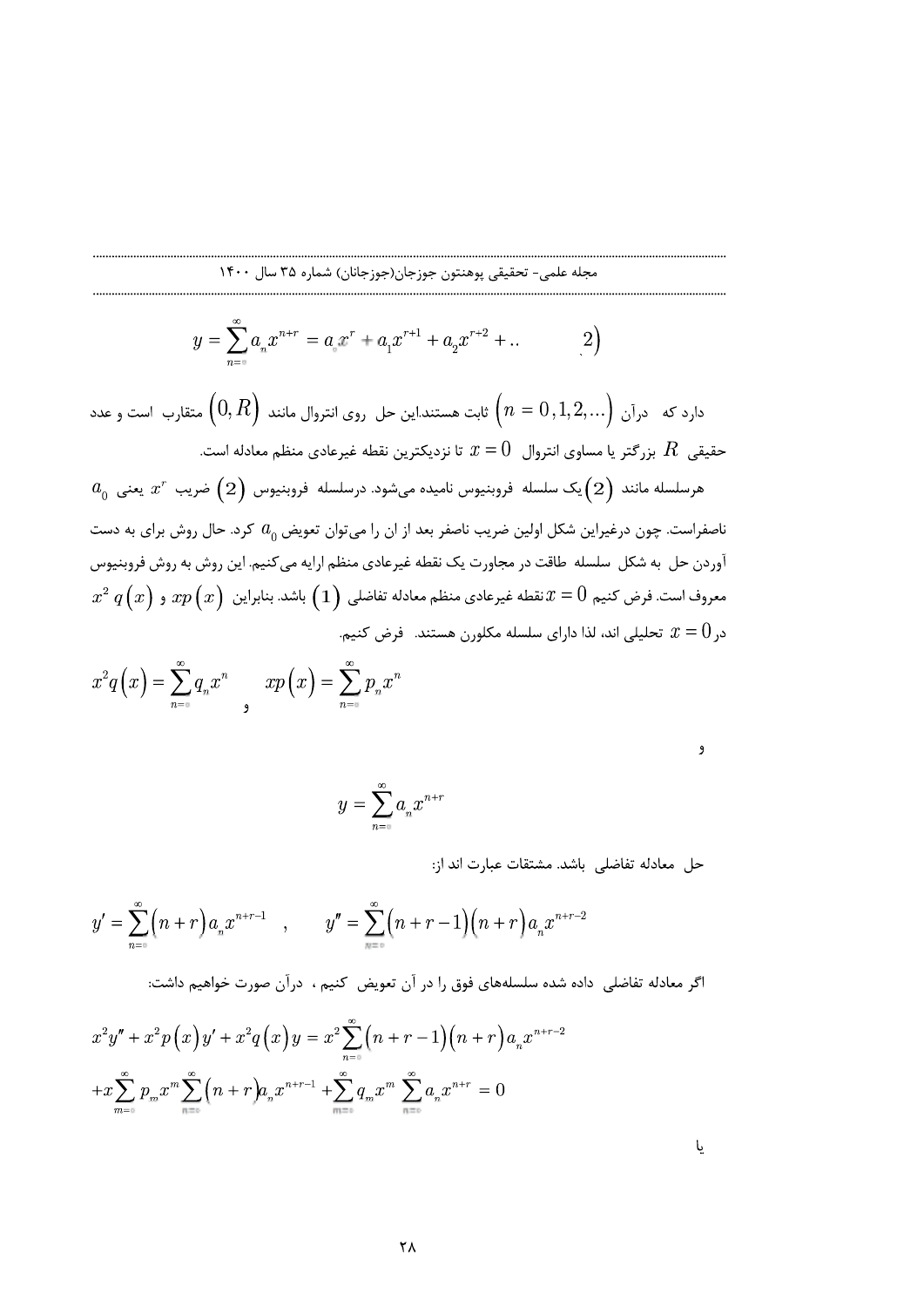$$
y = \sum_{n=0}^{\infty} a_n x^{n+r} = a_n x^r + a_1 x^{r+1} + a_2 x^{r+2} + \dots
$$
 (2)

دارد که  $\epsilon$ رآن  $\Big(n=0,1,2,...\Big)$  ثابت هستند.این حل روی انتروال مانند  $\Big(0,R\Big)$  متقارب است و عدد حقیقی  $R$  بزرگتر یا مساوی انتروال  $x=0$  تا نزدیکترین نقطه غیرعادی منظم معادله است.

 $a_0^+$  هرسلسله مانند  $\left(2\right)$ یک سلسله فروبنیوس نامیده میشود. درسلسله فروبنیوس  $z^r$  ضریب  $x^r$  یعنی ناصفراست. چون درغیراین شکل اولین ضریب ناصفر بعد از ان را میتوان تعویض  $a_0$  کرد. حال روش برای به دست ۔<br>آوردن حل به شکل سلسله طاقت در مجاورت یک نقطه غیرعادی منظم ارایه می کنیم. این روش به روش فروبنیوس  $x^{2}\,q\left(x\right)$  معروف است. فرض کنیم  $x=0$  نقطه غیرعادی منظم معادله تفاضلی  $\left(1\right)$  باشد. بنابراین  $xp\left(x\right)$  و در  $x=0$  تحلیلی اند، لذا دارای سلسله مکلورن هستند. فرض کنیم.

$$
x^{2}q\left(x\right) = \sum_{n=0}^{\infty} q_{n}x^{n} \qquad xp\left(x\right) = \sum_{n=0}^{\infty} p_{n}x^{n}
$$

| I<br>I<br>I |
|-------------|
| I<br>×      |

$$
y=\sum_{n=0}^\infty a_n x^{n+r}
$$

حل معادله تفاضلي باشد. مشتقات عبارت اند از:

$$
y' = \sum_{n=0}^{\infty} (n+r) a_n x^{n+r-1}, \qquad y'' = \sum_{n=0}^{\infty} (n+r-1) (n+r) a_n x^{n+r-2}
$$

اگر معادله تفاضلی ِ داده شده سلسلههای فوق را در آن تعویض کنیم ، درآن صورت خواهیم داشت:

$$
x^{2}y'' + x^{2}p(x)y' + x^{2}q(x)y = x^{2}\sum_{n=0}^{\infty} (n+r-1)(n+r)a_{n}x^{n+r-2}
$$

$$
+x\sum_{m=0}^{\infty} p_{m}x^{m}\sum_{n=0}^{\infty} (n+r)a_{n}x^{n+r-1} + \sum_{m=0}^{\infty} q_{m}x^{m}\sum_{n=0}^{\infty} a_{n}x^{n+r} = 0
$$

یا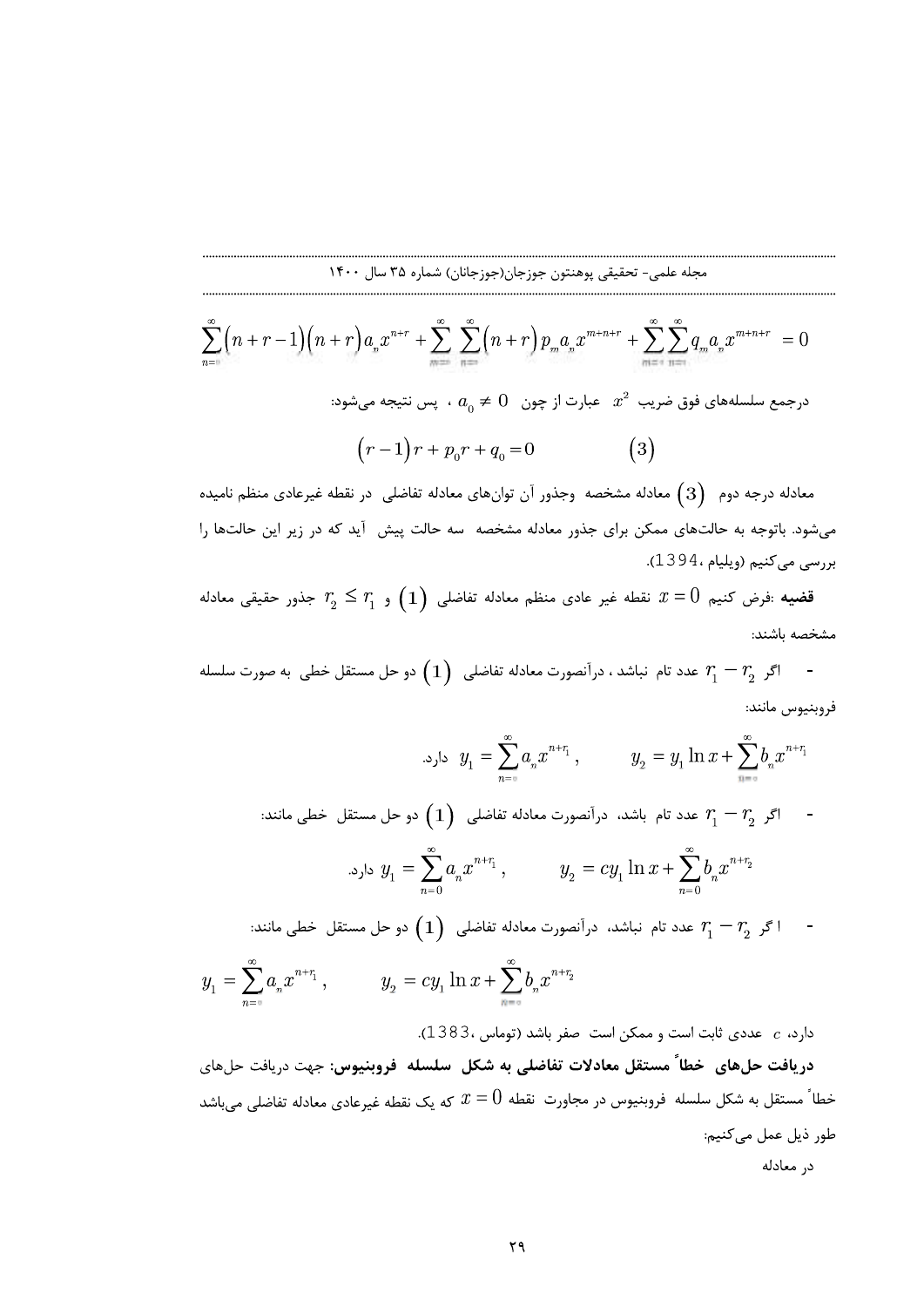$$
\sum_{n=0}^{\infty} \left( n+r-1 \right) \left( n+r \right) a_n x^{n+r} + \sum_{n=0}^{\infty} \sum_{n=0}^{\infty} \left( n+r \right) p_m a_n x^{m+n+r} + \sum_{m=0}^{\infty} \sum_{n=0}^{\infty} q_m a_n x^{m+n+r} = 0
$$

$$
(r-1)r + p_0r + q_0 = 0 \t\t(3)
$$

محله علمي، تحليلي پرستين جو جان(جوزخان) شماره 25 سال ٢٥٠٠ ).<br> $\sum_{n=0}^{\infty} (n+r-1)(n-r)h_n x^{n+r} + \sum_{n=0}^{\infty} \sum_{n=0}^{\infty} (n+r) p_n a_n y^{n-n+r} + \sum_{n=0}^{\infty} \sum_{n=0}^{\infty} q_n y^{n-n+r} = 0$ <br> $\sum_{n=0}^{\infty} \sum_{n=0}^{\infty} q_n y^{n-n+r} + \sum_{n=0}^{\infty} \sum_{n=0}$ <sup>+</sup> - <sup>+</sup> - <sup>+</sup> <sup>+</sup> , <sup>+</sup> ,./ <sup>+</sup> ,0./ 1./ <sup>2</sup> <sup>2</sup> <sup>2</sup> <sup>2</sup> <sup>2</sup> <sup>3</sup> <sup>3</sup> <sup>3</sup> <sup>3</sup> <sup>3</sup> <sup>4</sup> <sup>4</sup> <sup>4</sup> <sup>4</sup> <sup>4</sup> 6 66 66 <sup>3</sup> <sup>5</sup> <sup>3</sup> <sup>3</sup> <sup>3</sup> <sup>3</sup> <sup>4</sup> J9
-مجله علمی- تحقیقی پوهنتون جوزجان(جوزجانان) شماره ۳۵ سال ۲۰۰ $r-1$ ۱۴۰۰ سال ۲۵۰۰ $r-1$ ۱۴۰۰ سماره ۳۵ سال ۲۵۰۰ $r-1$ ۱۳ سماره ۳۵۰۰ سال ۲۵۰۰ $r-1$ ۱۳ سماره ۳۵۰۰ سال ۲۰۰۰ $\sum_{m=1}^{\infty} \sum_{m=1}^{\infty} (n+r) p_m a_n x^{m+n+r} + \sum_{m=1}^{\infty} \sum_{m=1}^{\in$ الجله علمى " تحقيقى بوهنتون جوزجان(جوزجالل) نساره ٣٥ سال ١٢٠٠٠<br>  $\sum_{n=1}^{\infty} \left(n+r-1\right) \left(n+r\right) a_n x^{n+r} + \sum_{n=-\infty}^{\infty} \sum_{n=-\infty}^{\infty} \left(n+r\right) p_n a_n x^{n+n+r} + \sum_{n=-\infty}^{\infty} \sum_{n=-\infty}^{\infty} q_n a_n x^{n-n+r} = 0$ <br>
درجمع سلسلههای فوق ضریب  $x^2$ معادله درجه دوم  $\hspace{.1cm}(3)$  معادله مشخصه ًوجذور آن توان $\hspace{.1cm}$ ی معادله تفاضلی ً در نقطه غیرعادی منظم نامیده  $\begin{array}{l} \displaystyle\sum_{n=m}^{\infty} \left(n+r-1\right)\left(n+r\right) \int_{\mathbb{R}^{n}}\int_{\mathbb{R}^{n}}\int_{\mathbb{R}^{n}}\int_{\mathbb{R}^{n}}\int_{\mathbb{R}^{n}}\int_{\mathbb{R}^{n}}\int_{\mathbb{R}^{n}}\int_{\mathbb{R}^{n}}\int_{\mathbb{R}^{n}}\int_{\mathbb{R}^{n}}\int_{\mathbb{R}^{n}}\int_{\mathbb{R}^{n}}\int_{\mathbb{R}^{n}}\int_{\mathbb{R}^{n}}\int_{\mathbb{R}^{n}}\int_{$ میشود. باتوجه به حالتهای ممکن برای جذور معادله مشخصه سه حالت پیش آید که در زیر این حالتها را بررسی میکنیم (ویلیام ، 495 L).  $\sum_{n=0}^{\infty} (n+r-1)(n+r)a_s x^{n+r} + \sum_{n=-\infty}^{\infty} \sum_{n=0}^{\infty} (n+r)p_m a_s x^{m+n+r} + \sum_{n=-\infty}^{\infty}$ <br>  $\therefore a_0 \neq 0 \quad \text{and} \quad x^2 \neq 0$ <br>  $\therefore x^2 \neq 0$ <br>  $\therefore x^3 \neq 0$ <br>  $\therefore x^2 \neq 0$ <br>  $\therefore x^3 \neq 0$ <br>  $\therefore x^2 \neq 0$ <br>  $\therefore x^3 \neq 0$ <br>  $\therefore x^2 \neq 0$ درجمع سلسلههای فوق ضریب <sup>2</sup>ته عبارت از چون  $0 \neq 0$  . بس نتیجه میشود:<br> $r-1$   $r+p_0r+q_0=0$  (3)<br>معادله درجه دوم (3) معادله مشخصه وجذور آن توان های معادله تفاضلی در نقطه غیرعادی منظم نامیده<br>می شود. باتوجه به حالت های معکن ب ریب  $x^2$  عبارت از چون  $0 \neq 0$  بس نتیجه میشود:<br>  $(r-1)r + p_0r + q_0 = 0$  (3)<br>
dolon مشخصه وجذور آن توان های معادله تفاضلی در نقطه غیرعادی منظم نامیده<br>
dolon مشخصه وجذور آن توان های معادله تفاضلی در نقطه غیرعادی منظم نامیده<br>2) معادله درجه دوم  $\left(3\right)$  معادله مشخصه وجذور آن توان هاي هي شود. باتوجه به حالت هاي ممكن براي جذور معادله مشخصه<br>بررسي مي كنيم (ويليام ،1394).<br>**قضيه** :فرض كنيم  $T=0$  نقطه غير عادي منظم معادله ت<br>مشخصه باشند:<br>ويتيوس مانند:<br> معادله درجه دوم (3) )<br>میرشود باوج (3) معكن برای جذور ان توارهای معادله تفاضلی در نقطه غیرعادی منظم نامیده<br>میرشود باوجه به حالت های ممكن برای جذور معادله میشود به حالت پیش آید كه در زیر این حالت ها را<br>برای میرسی كنیم ویلی

قضیه :فرض کنیم  $x=0$  نقطه غیر عادی منظم معادله تفاضلی  $\left( \begin{array}{c} 1 \end{array} \right)$  و  $r_{_2} \leq r_{_1}$  جذور حقیقی معادله  $\begin{align*} \epsilon \, r_1 \,\,\epsilon \,, \end{align*} \begin{align*} \epsilon \, r_2 \,, \end{align*} \begin{align*} \epsilon \, r_3 \,, \end{align*} \begin{align*} \epsilon \, r_4 \,, \end{align*} \begin{align*} \epsilon \, r_5 \,, \end{align*} \begin{align*} \epsilon \, r_6 \,, \end{align*} \begin{align*} \epsilon \, r_7 \,, \end{align*} \begin{align*} \epsilon \, r_8 \,, \end{align*} \begin{align*} \epsilon \, r_9 \,, \end{align*} \begin{align*} \epsilon \, r_1 \,, \end{align*} \begin{align*$  $x_1 x_2 \leq r_1$  و  $r_2 \leq r_1$  بنا  $x = 0$  تقطه غیر عادی منظم معادله تفاضلی  $x = 0$  و جنور حقی $x = r_2$  جذور حقی $x = 0$  مشخصه باشند:<br>مشخصه باشند:<br>مشخصه باشند:<br>فروبشیوس مانند:  $r_1 - r_2$  عدد تام نباشد، درآنصورت معادله تفاضلی  $y_1$ 

$$
(1)\ \, \Omega_{2}\ \, \Omega_{1}\ \, \Omega_{2}
$$
ویدی دارانصورت معادله تفاضلی $\Omega_{2}\ \, \Omega_{3}$ دیعسی تفاطی یه صورت سلسله یدیمیں یمانند:

JZs]M?< ) ) + + 3 3 4 4 @UN9OEQT9HZ
]L9Z, , ) <sup>A</sup> 5 ?oDn <sup>m</sup>

$$
y_{1} = \sum_{n=0} a_{n} x^{n+r_{1}}, \qquad y_{2} = y_{1} \ln x + \sum_{n=0} b_{n} x^{n+r_{1}}
$$
  
\n
$$
= \int_{0}^{1} \int_{0}^{1} \int_{0}^{1} e^{-x} dx
$$
  
\n
$$
y_{2} = y_{1} \ln x + \sum_{n=0}^{n} b_{n} x^{n+r_{1}}
$$
  
\n
$$
y_{3} = \sum_{n=0}^{\infty} a_{n} x^{n+r_{1}}, \qquad y_{4} = cy_{1} \ln x + \sum_{n=0}^{\infty} b_{n} x^{n+r_{2}}
$$
  
\n
$$
= \int_{0}^{1} \int_{0}^{1} e^{-x} dx
$$
  
\n
$$
= \int_{0}^{1} \ln x + \sum_{n=0}^{\infty} b_{n} x^{n+r_{2}}
$$
  
\n
$$
= \int_{0}^{1} e^{-x} dx \ln x + \sum_{n=0}^{\infty} b_{n} x^{n+r_{2}}
$$

Yqp7p\M9'()-) A ) \* \* + + 4 4 t uv <sup>+</sup> , <sup>+</sup> , <sup>+</sup> <sup>+</sup> w ./ w yw / x/ <sup>2</sup> <sup>2</sup> ) A 3 3

e delse  $x_i \geq 0$  و  $\tau_i \geq 0$   $\tau_i \geq 0$  فلا عنظم معادله تفاضل  $\tau_i \geq 0$  و حل مستقل خطى به صورت سلسله  $\tau_i \geq 0$  من  $\tau_i \geq 0$  من  $\tau_i \geq 0$  من  $\tau_i \geq 0$  من  $\tau_i \geq 0$  من  $\tau_i \geq 0$  من  $\tau_i \geq 0$  من  $\tau_i \geq 0$  من  $\tau_i$ تام نباشد ، در آنصورت معادله تفاضلی  $y_1 = \sum_{n=0}^{\infty} a_n x^{n+i}$ ,  $y_2 = y$ <br> $y_3 = \sum_{n=0}^{\infty} a_n x^{n+i}$ ,  $y_3 = y$ <br> $y_4 = \sum_{n=0}^{\infty} a_n x^{n+i}$ ,  $y_5 = y$ <br> $y_6 = \sum_{n=0}^{\infty} a_n x^{n+i}$ ,  $y_7 = cy_1 \ln x +$ <br> $y_8 = cy_1 \ln x + \sum_{n=0}^{\infty} a_n x^{n+i}$ ,  $y_9$  $y_1 = \sum_{n = \infty}^{\infty} a_n x^{n+r_1}$ ,  $y_2 = y_1 \ln x + \sum_{n = \infty}^{\infty} b_n x^{n+r_1}$ <br>
اگر  $r_1 = r_2$  عدد تام باشد، درآنصورت معادله تفاضلی<br>  $x^{n+r_1}$ ,  $y_2 = cy_1 \ln x + \sum_{n = 0}^{\infty} b_n x^{n+r_2}$ <br>  $x + \sum_{n = \infty}^{\infty} b_n x^{n+r_2}$  عدد تام نباشد، درآنصورت د تام باشد، درآنصورت معادله تفاضلی  $\left(1\right)$  دو حل مستقل خطی مانند:<br> $y_1 = \sum_{n=0}^{\infty} a_n x^{n+r_1} , \qquad y_2 = c y_1 \ln x + \sum_{n=0}^{\infty} y_n$  دد تام نباشد، درآنصورت معادله تفاضلی  $\left(1\right)$  دو حل مستقل خطی مانند:<br>دد تام نباشد، درآنصورت م  $y_1 = 0$ د، درآنصورت معادله تفاضلی  $\left( 1\right)$  دو حل مستقل خطی مانند:<br> $y_1 = \sum_{n = s}^\infty a_n x^{n+\tau_1}\,, \qquad y_2 = c y_1 \ln x + \sum_{n = s}^\infty b_n x^{n+\tau_2}$ است صفر باشد (توماس ،1383).<br>است صفر باشد (توماس ،1383).<br>معادلات تفاضلی به شکل سلسله فروبنی w ./ w yw / x/ <sup>2</sup> <sup>2</sup> شد، درآنصورت معادله تفاضلی  $\left(1\right)$  دو حل مستقل خطی مانند: $y_{1}=\sum_{n=0}^{\infty}a_{n}x^{n+r_{1}}\,,\qquad y_{2}=cy_{1}\ln x+\sum_{n=0}^{\infty}b_{n}x^{n+r_{2}}$ ن است صفر باشد (توماس ،1383).<br>ناست صفر باشد (توماس ،1383).<br>معادلات تفاضلی به شکل سلسله فروبنیو  $y_1 = \sum_{n=0}^{\infty} a_n x^{n-1},$   $y_2 = \sum_{n=0}^{\infty} a_n x^{n-1},$   $y_3 = y_1 \ln x + \sum_{n=0}^{\infty} b_n x^{n-1}$ <br>
(a)  $y_2 = y_1 \ln x + \sum_{n=0}^{\infty} b_n x^{n-1}$ <br>
(a)  $y_3 = \sum_{n=0}^{\infty} a_n x^{n-1}$ ,  $y_4 = c y_1 \ln x + \sum_{n=0}^{\infty} b_n x^{n-1}$ <br>
(b)  $y_1 = \sum_{n=0}^{\infty} a_n x$ خطا ً مستقل به شکل سلسله ۖ فروبنیوس در مجاورت ۖ نقطه  $x=0$  که یک نقطه غیرعادی معادله تفاضلی می باشد ه "  $\frac{1}{n=0}$  "  $\frac{1}{n=0}$ " محدد تام نباشد، درآنصورت معادله تفاضلى  $\left( \begin{array}{c} 1 \end{array} \right)$  دو حل مستقل خطى مانند  $r_1-r_2$  و  $r_3-r_4$  محدد تام نباشد، درآنصورت معادله تفاضلى  $y_2 = cy_1 \ln x + \sum\limits_{n=0}^\infty b_n x^{n+r_2}$  (1983).<br>دری طور ذيل عمل مي كنيم:

در معادله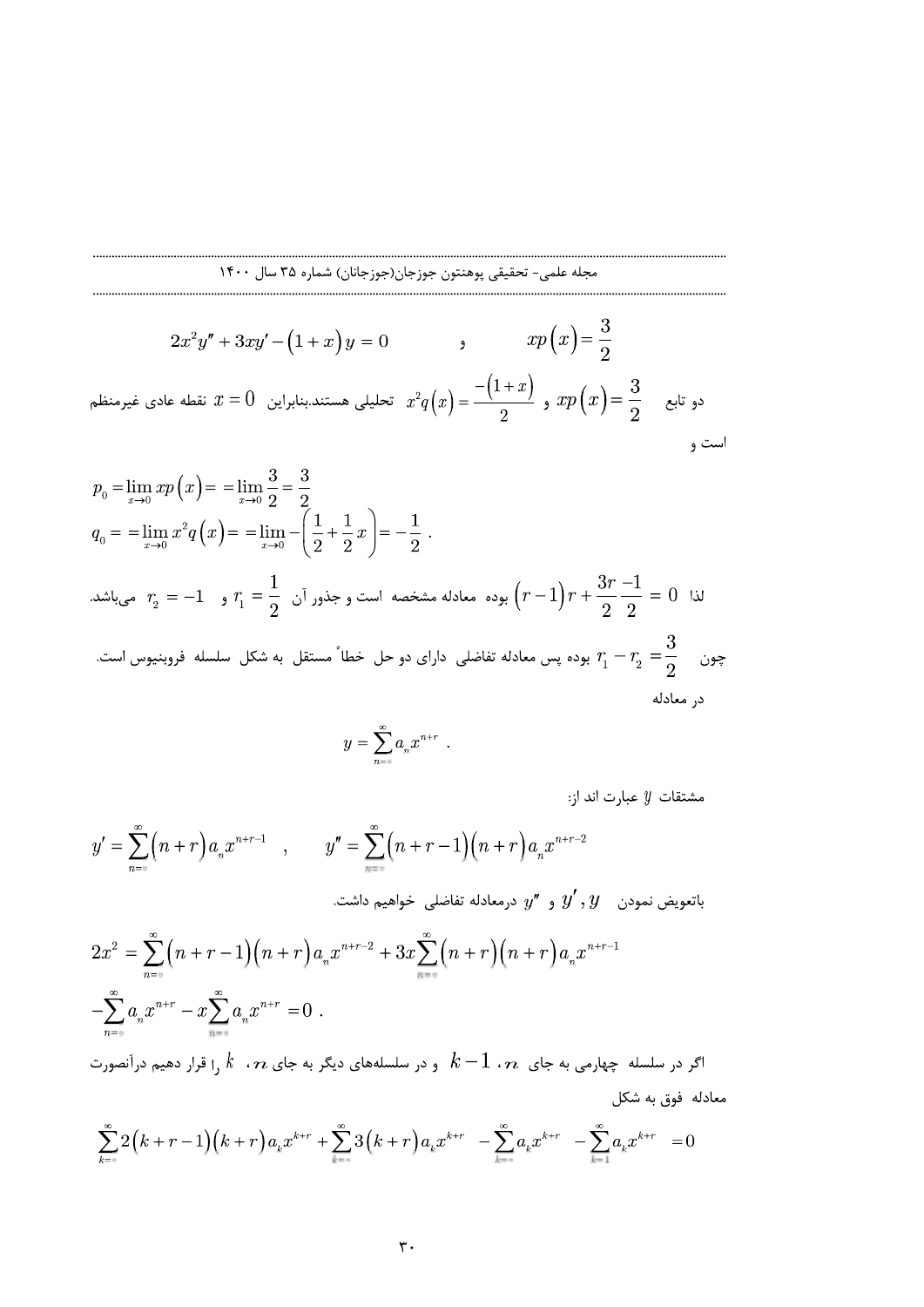$$
2x^{2}y'' + 3xy' - (1+x)y = 0
$$
  

$$
2x^{2}y'' + 3xy' - (1+x)y = 0
$$
  

$$
x^{2}q(x) = \frac{-(1+x)}{2}
$$
, 
$$
xp(x) = \frac{3}{2}
$$
  

$$
x^{2}q(x) = \frac{-(1+x)}{2}
$$
, 
$$
xp(x) = \frac{3}{2}
$$

$$
p_0 = \lim_{x \to 0} x p(x) = \lim_{x \to 0} \frac{3}{2} = \frac{3}{2}
$$
  
\n
$$
q_0 = \lim_{x \to 0} x^2 q(x) = \lim_{x \to 0} -\left(\frac{1}{2} + \frac{1}{2}x\right) = -\frac{1}{2}.
$$
  
\n
$$
\lim_{x \to 0} r_2 = -1 \quad \text{or} \quad r_1 = \frac{1}{2} \quad \text{or} \quad r_2 = \frac{1}{2} \quad \text{or} \quad r_1 = \frac{1}{2} \quad \text{or} \quad r_2 = \frac{1}{2} \quad \text{or} \quad r_2 = \frac{1}{2} \quad \text{or} \quad r_2 = \frac{1}{2} \quad \text{or} \quad r_2 = \frac{3}{2} \quad \text{or} \quad r_2 = \frac{3}{2} \quad \text{or} \quad r_2 = \frac{3}{2} \quad \text{or} \quad r_2 = \frac{3}{2} \quad \text{or} \quad r_2 = \frac{3}{2} \quad \text{or} \quad r_2 = \frac{3}{2} \quad \text{or} \quad r_2 = \frac{3}{2} \quad \text{or} \quad r_2 = \frac{3}{2} \quad \text{or} \quad r_2 = \frac{3}{2} \quad \text{or} \quad r_2 = \frac{3}{2} \quad \text{or} \quad r_2 = \frac{3}{2} \quad \text{or} \quad r_2 = \frac{3}{2} \quad \text{or} \quad r_2 = \frac{3}{2} \quad \text{or} \quad r_2 = \frac{3}{2} \quad \text{or} \quad r_2 = \frac{3}{2} \quad \text{or} \quad r_2 = \frac{3}{2} \quad \text{or} \quad r_2 = \frac{3}{2} \quad \text{or} \quad r_2 = \frac{3}{2} \quad \text{or} \quad r_2 = \frac{3}{2} \quad \text{or} \quad r_2 = \frac{3}{2} \quad \text{or} \quad r_2 = \frac{3}{2} \quad \text{or} \quad r_2 = \frac{3}{2} \quad \text{or} \quad r_2 = \frac{3}{2} \quad \text{or} \quad r_2 = \frac{3}{2} \quad \text{or} \quad r_2 = \frac{3}{2}
$$

$$
y=\sum_{n=\ast}^{\infty}a_nx^{n+r} \enspace .
$$

مشتقات  $y$  عبارت اند از:

$$
y' = \sum_{n=0}^{\infty} (n+r) a_n x^{n+r-1}, \qquad y'' = \sum_{n=0}^{\infty} (n+r-1)(n+r) a_n x^{n+r-2}
$$
  
\n
$$
2x^2 = \sum_{n=0}^{\infty} (n+r-1)(n+r) a_n x^{n+r-2} + 3x \sum_{n=0}^{\infty} (n+r)(n+r) a_n x^{n+r-1}
$$
  
\n
$$
-\sum_{n=0}^{\infty} a_n x^{n+r} - x \sum_{n=0}^{\infty} a_n x^{n+r} = 0.
$$
  
\n
$$
k-1 \cdot n
$$

$$
\sum_{k=-\infty}^{\infty} 2(k+r-1)(k+r)a_k x^{k+r} + \sum_{k=-\infty}^{\infty} 3(k+r)a_k x^{k+r} - \sum_{k=-\infty}^{\infty} a_k x^{k+r} = 0
$$